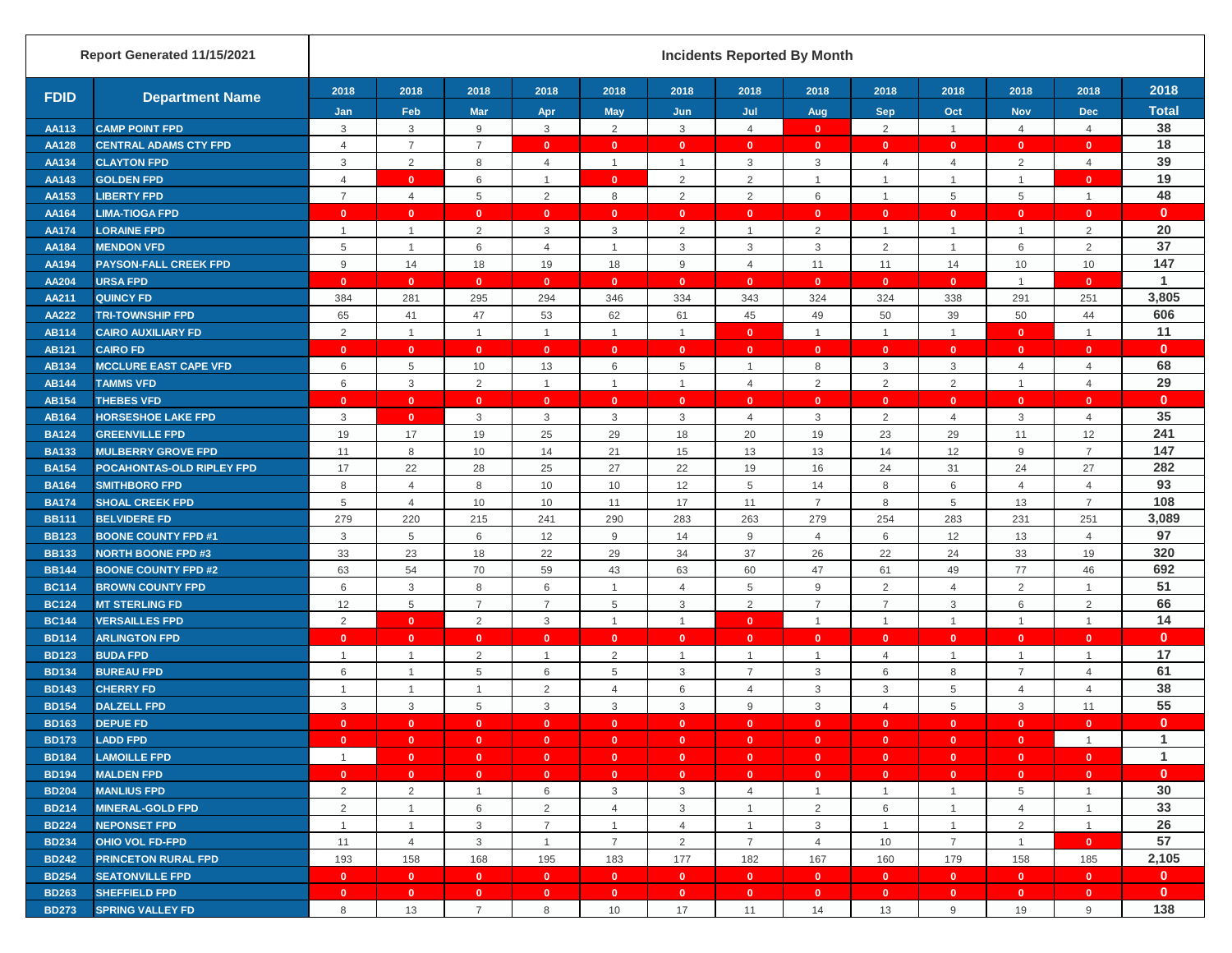|                              | Report Generated 11/15/2021                    |                                |                              |                                      |                           |                              |                     | <b>Incidents Reported By Month</b> |                                             |                                |                              |                    |                   |                              |
|------------------------------|------------------------------------------------|--------------------------------|------------------------------|--------------------------------------|---------------------------|------------------------------|---------------------|------------------------------------|---------------------------------------------|--------------------------------|------------------------------|--------------------|-------------------|------------------------------|
| <b>FDID</b>                  | <b>Department Name</b>                         | 2018                           | 2018                         | 2018                                 | 2018                      | 2018                         | 2018                | 2018                               | 2018                                        | 2018                           | 2018                         | 2018               | 2018              | 2018                         |
|                              |                                                | Jan                            | Feb                          | <b>Mar</b>                           | Apr                       | May                          | Jun                 | Jul                                | Aug                                         | <b>Sep</b>                     | Oct                          | <b>Nov</b>         | <b>Dec</b>        | <b>Total</b>                 |
| AA113                        | <b>CAMP POINT FPD</b>                          | 3                              | 3                            | 9                                    | 3                         | $\overline{2}$               | 3                   | 4                                  | $\mathbf{0}$                                | $\overline{2}$                 | $\mathbf{1}$                 | $\overline{4}$     | $\overline{4}$    | 38                           |
| <b>AA128</b>                 | <b>CENTRAL ADAMS CTY FPD</b>                   | $\overline{4}$                 | $\overline{7}$               | $\overline{7}$                       | $\mathbf{0}$              | $\mathbf{0}$                 | $\mathbf{0}$        | $\mathbf{0}$                       | $\mathbf{0}$                                | $\mathbf{0}$                   | $\mathbf{0}$                 | $\mathbf{0}$       | $\mathbf{0}$      | 18<br>39                     |
| AA134                        | <b>CLAYTON FPD</b>                             | 3                              | $\overline{2}$               | 8                                    | $\overline{4}$            | $\overline{1}$               | $\overline{1}$      | $\ensuremath{\mathsf{3}}$          | $\mathbf{3}$                                | $\overline{4}$                 | $\overline{4}$               | 2                  | $\overline{4}$    |                              |
| AA143                        | <b>GOLDEN FPD</b>                              | 4                              | $\mathbf{0}$                 | 6                                    | $\mathbf{1}$              | $\mathbf{0}$                 | $\overline{2}$      | $\overline{2}$                     | $\mathbf{1}$                                | $\mathbf{1}$                   | $\mathbf{1}$                 | $\mathbf{1}$       | $\mathbf{0}$      | 19<br>48                     |
| AA153                        | <b>LIBERTY FPD</b>                             | $\overline{7}$                 | $\overline{4}$               | 5                                    | 2                         | 8                            | $\overline{2}$      | 2                                  | 6                                           | $\overline{1}$                 | 5                            | 5                  | $\overline{1}$    |                              |
| AA164                        | <b>LIMA-TIOGA FPD</b>                          | $\mathbf{0}$<br>$\overline{1}$ | $\mathbf{0}$                 | $\mathbf{0}$                         | $\mathbf{0}$              | $\mathbf{0}$                 | $\mathbf{0}$        | $\mathbf{0}$                       | $\mathbf{0}$                                | $\mathbf{0}$                   | $\mathbf{0}$                 | $\mathbf{0}$       | $\mathbf{0}$      | $\mathbf{0}$<br>20           |
| <b>AA174</b><br>AA184        | <b>LORAINE FPD</b><br><b>MENDON VFD</b>        | 5                              | $\mathbf{1}$<br>$\mathbf{1}$ | $\overline{2}$<br>6                  | 3<br>$\overline{4}$       | $\mathbf{3}$<br>$\mathbf{1}$ | $\overline{2}$<br>3 | $\mathbf{1}$<br>3                  | $\overline{2}$<br>$\ensuremath{\mathsf{3}}$ | $\mathbf{1}$<br>$\overline{2}$ | $\mathbf{1}$<br>$\mathbf{1}$ | $\mathbf{1}$<br>6  | 2<br>2            | 37                           |
| AA194                        | <b>PAYSON-FALL CREEK FPD</b>                   | 9                              | 14                           | 18                                   | 19                        | 18                           | 9                   | $\overline{4}$                     | 11                                          | 11                             | 14                           | 10                 | 10                | 147                          |
| AA204                        | <b>URSA FPD</b>                                | $\mathbf{0}$                   | $\mathbf{0}$                 | $\mathbf{0}$                         | $\mathbf{0}$              | $\mathbf{0}$                 | $\mathbf{0}$        | $\mathbf{0}$                       | $\mathbf{0}$                                | $\mathbf{0}$                   | $\mathbf{0}$                 | $\mathbf{1}$       | $\mathbf{0}$      | $\mathbf{1}$                 |
| AA211                        | <b>QUINCY FD</b>                               | 384                            | 281                          | 295                                  | 294                       | 346                          | 334                 | 343                                | 324                                         | 324                            | 338                          | 291                | 251               | 3,805                        |
| <b>AA222</b>                 | <b>TRI-TOWNSHIP FPD</b>                        | 65                             | 41                           | 47                                   | 53                        | 62                           | 61                  | 45                                 | 49                                          | 50                             | 39                           | 50                 | 44                | 606                          |
| <b>AB114</b>                 | <b>CAIRO AUXILIARY FD</b>                      | 2                              | $\overline{1}$               | $\mathbf{1}$                         | $\mathbf{1}$              | $\overline{1}$               | $\overline{1}$      | $\mathbf{0}$                       | $\mathbf{1}$                                | $\overline{1}$                 | $\mathbf{1}$                 | $\mathbf{0}$       | $\overline{1}$    | 11                           |
| <b>AB121</b>                 | <b>CAIRO FD</b>                                | $\mathbf{0}$                   | $\mathbf{0}$                 | $\mathbf{0}$                         | $\mathbf{0}$              | $\mathbf{0}$                 | $\mathbf{0}$        | $\mathbf{0}$                       | $\mathbf{0}$                                | $\mathbf{0}$                   | $\mathbf{0}$                 | $\mathbf{0}$       | $\mathbf{0}$      | $\mathbf{0}$                 |
| <b>AB134</b>                 | <b>MCCLURE EAST CAPE VFD</b>                   | 6                              | 5                            | 10                                   | 13                        | 6                            | 5                   | $\overline{1}$                     | 8                                           | $\mathbf{3}$                   | 3                            | $\overline{4}$     | $\overline{4}$    | 68                           |
| <b>AB144</b>                 | <b>TAMMS VFD</b>                               | 6                              | 3                            | $\overline{2}$                       | $\overline{1}$            | $\overline{1}$               | $\overline{1}$      | $\overline{4}$                     | 2                                           | 2                              | 2                            | $\mathbf{1}$       | $\overline{4}$    | 29                           |
| <b>AB154</b>                 | <b>THEBES VFD</b>                              | $\mathbf{0}$                   | $\mathbf{0}$                 | $\mathbf{0}$                         | $\mathbf{0}$              | $\mathbf{0}$                 | $\mathbf{0}$        | $\mathbf{0}$                       | $\mathbf{0}$                                | $\mathbf{0}$                   | $\mathbf{0}$                 | $\mathbf{0}$       | $\mathbf{0}$      | $\mathbf{0}$                 |
| <b>AB164</b>                 | <b>HORSESHOE LAKE FPD</b>                      | 3                              | $\mathbf{0}$                 | 3                                    | 3                         | $\mathbf{3}$                 | 3                   | 4                                  | $\mathbf{3}$                                | $\overline{2}$                 | 4                            | 3                  | $\overline{4}$    | 35                           |
| <b>BA124</b>                 | <b>GREENVILLE FPD</b>                          | 19                             | 17                           | 19                                   | 25                        | 29                           | 18                  | 20                                 | 19                                          | 23                             | 29                           | 11                 | 12                | 241                          |
| <b>BA133</b>                 | <b>MULBERRY GROVE FPD</b>                      | 11                             | $\,8\,$                      | 10                                   | 14                        | 21                           | 15                  | 13                                 | 13                                          | 14                             | 12                           | 9                  | $\overline{7}$    | 147                          |
| <b>BA154</b>                 | POCAHONTAS-OLD RIPLEY FPD                      | 17                             | 22                           | 28                                   | 25                        | 27                           | 22                  | 19                                 | 16                                          | 24                             | 31                           | 24                 | 27                | 282                          |
| <b>BA164</b>                 | <b>SMITHBORO FPD</b>                           | 8                              | $\overline{4}$               | 8                                    | 10                        | 10                           | 12                  | 5                                  | 14                                          | 8                              | 6                            | $\overline{4}$     | $\overline{4}$    | 93                           |
| <b>BA174</b>                 | <b>SHOAL CREEK FPD</b>                         | 5                              | $\overline{4}$               | 10                                   | 10                        | 11                           | 17                  | 11                                 | $\overline{7}$                              | 8                              | 5                            | 13                 | $\overline{7}$    | 108                          |
| <b>BB111</b>                 | <b>BELVIDERE FD</b>                            | 279                            | 220                          | 215                                  | 241                       | 290                          | 283                 | 263                                | 279                                         | 254                            | 283                          | 231                | 251               | 3,089                        |
| <b>BB123</b>                 | <b>BOONE COUNTY FPD #1</b>                     | 3                              | 5                            | 6                                    | 12                        | 9                            | 14                  | 9                                  | $\overline{4}$                              | 6                              | 12                           | 13                 | $\overline{4}$    | 97                           |
| <b>BB133</b>                 | <b>NORTH BOONE FPD #3</b>                      | 33                             | 23                           | 18                                   | 22                        | 29                           | 34                  | 37                                 | 26                                          | 22                             | 24                           | 33                 | 19                | 320                          |
| <b>BB144</b>                 | <b>BOONE COUNTY FPD #2</b>                     | 63                             | 54                           | 70                                   | 59                        | 43                           | 63                  | 60                                 | 47                                          | 61                             | 49                           | 77                 | 46                | 692                          |
| <b>BC114</b>                 | <b>BROWN COUNTY FPD</b>                        | 6                              | $\mathbf{3}$                 | 8                                    | 6                         | $\mathbf{1}$                 | $\overline{4}$      | 5                                  | $9\,$                                       | $\overline{2}$                 | $\overline{4}$               | 2                  | $\overline{1}$    | 51                           |
| <b>BC124</b>                 | <b>MT STERLING FD</b>                          | 12                             | 5                            | $\overline{7}$                       | $\overline{7}$            | 5                            | 3                   | 2                                  | $\overline{7}$                              | $\overline{7}$                 | 3                            | 6                  | 2                 | 66                           |
| <b>BC144</b>                 | <b>VERSAILLES FPD</b>                          | 2                              | $\overline{\mathbf{0}}$      | 2                                    | 3                         | $\overline{1}$               | $\overline{1}$      | $\mathbf{0}$                       | $\mathbf{1}$                                | $\mathbf{1}$                   | $\mathbf{1}$                 | $\mathbf{1}$       | $\overline{1}$    | 14                           |
| <b>BD114</b>                 | <b>ARLINGTON FPD</b>                           | $\mathbf{0}$                   | $\mathbf{0}$                 | $\mathbf{0}$                         | $\mathbf{0}$              | $\mathbf{0}$                 | $\mathbf{0}$        | $\mathbf{0}$                       | $\mathbf{0}$                                | $\mathbf{0}$                   | $\mathbf{0}$                 | $\mathbf{0}$       | $\mathbf{0}$      | $\mathbf{0}$                 |
| <b>BD123</b>                 | <b>BUDA FPD</b>                                | $\overline{1}$                 | $\overline{1}$               | $\overline{2}$                       | $\mathbf{1}$              | $\overline{2}$               | $\overline{1}$      | $\overline{1}$                     | $\mathbf{1}$                                | $\overline{4}$                 | $\mathbf{1}$                 | $\mathbf{1}$       | $\overline{1}$    | 17                           |
| <b>BD134</b>                 | <b>BUREAU FPD</b>                              | 6                              | $\mathbf{1}$                 | 5                                    | 6                         | $\overline{5}$               | $\mathbf{3}$        | $\overline{7}$                     | $\mathbf{3}$                                | 6                              | 8                            | $\overline{7}$     | $\overline{4}$    | 61                           |
| <b>BD143</b>                 | <b>CHERRY FD</b>                               |                                | $\mathbf{1}$                 | $\overline{1}$                       | 2                         | $\overline{4}$               | 6                   | $\overline{4}$                     | $\mathbf{3}$                                | 3                              | 5                            | $\overline{4}$     | $\overline{4}$    | 38                           |
| <b>BD154</b>                 | <b>DALZELL FPD</b>                             | 3                              | 3                            | 5                                    | 3                         | $\mathbf{3}$                 | 3                   | 9                                  | $\mathbf{3}$                                | $\overline{4}$                 | 5                            | 3                  | 11                | 55                           |
| <b>BD163</b>                 | <b>DEPUE FD</b>                                | $\mathbf{0}$                   | $\mathbf{0}$                 | $\mathbf{0}$                         | $\mathbf{0}$              | $\mathbf{0}$                 | $\mathbf{0}$        | $\mathbf{0}$                       | $\mathbf{0}$                                | $\mathbf{0}$                   | $\mathbf{0}$                 | $\mathbf{0}$       | $\mathbf{0}$      | $\mathbf{0}$                 |
| <b>BD173</b>                 | <b>LADD FPD</b>                                | $\mathbf{0}$                   | $\bullet$                    | $\bullet$                            | $\bullet$                 | $\bullet$                    | $\mathbf{0}$        | $\mathbf{0}$                       | $\mathbf{0}$                                | $\bullet$                      | $\mathbf{0}$                 | $\mathbf{0}$       | $\overline{1}$    | $\mathbf{1}$                 |
| <b>BD184</b>                 | <b>LAMOILLE FPD</b>                            | $\overline{1}$                 | $\overline{0}$               | $\overline{\mathbf{0}}$              | $\bullet$                 | $\bullet$                    | $\mathbf{0}$        | $\overline{0}$                     | $\overline{0}$                              | $\overline{0}$                 | $\bullet$                    | $\mathbf{0}$       | $\mathbf{0}$      | $\overline{1}$               |
| <b>BD194</b>                 | <b>MALDEN FPD</b>                              | $\mathbf{0}$                   | $\bullet$                    | $\bullet$                            | $\mathbf{0}$              | $\bullet$                    | $\mathbf{0}$        | $\mathbf{0}$                       | $\mathbf{0}$                                | $\overline{0}$                 | $\bullet$                    | $\bullet$          | $\mathbf{0}$      | $\mathbf{0}$                 |
| <b>BD204</b>                 | <b>MANLIUS FPD</b>                             | $\overline{2}$                 | $\overline{2}$               | $\mathbf{1}$                         | 6                         | 3                            | 3                   | 4                                  | $\mathbf{1}$                                | $\overline{1}$                 | $\mathbf{1}$                 | 5                  | $\overline{1}$    | 30                           |
| <b>BD214</b>                 | <b>MINERAL-GOLD FPD</b>                        | $\overline{2}$                 | $\mathbf{1}$                 | 6                                    | $\overline{2}$            | $\overline{4}$               | 3                   | $\overline{1}$                     | 2                                           | 6                              | $\mathbf{1}$                 | $\overline{4}$     | $\overline{1}$    | 33                           |
| <b>BD224</b>                 | <b>NEPONSET FPD</b>                            | $\overline{1}$                 | $\mathbf{1}$                 | $\mathbf{3}$                         | $\overline{7}$            | $\mathbf{1}$                 | $\overline{4}$      | $\overline{1}$                     | 3                                           | $\overline{1}$                 | $\mathbf{1}$                 | 2                  | $\overline{1}$    | 26                           |
| <b>BD234</b>                 | <b>OHIO VOL FD-FPD</b>                         | 11                             | $\overline{4}$               | 3                                    | $\overline{1}$            | $\overline{7}$               | $\overline{2}$      | $\overline{7}$                     | $\overline{4}$                              | 10                             | $\overline{7}$               | $\mathbf{1}$       | $\mathbf{0}$      | 57                           |
| <b>BD242</b>                 | <b>PRINCETON RURAL FPD</b>                     | 193                            | 158                          | 168                                  | 195                       | 183                          | 177                 | 182                                | 167                                         | 160                            | 179                          | 158                | 185               | 2,105                        |
| <b>BD254</b>                 | <b>SEATONVILLE FPD</b><br><b>SHEFFIELD FPD</b> | $\mathbf{0}$<br>$\mathbf{0}$   | $\bullet$                    | $\bullet$<br>$\overline{\mathbf{0}}$ | $\bullet$<br>$\mathbf{0}$ | $\bullet$                    | $\bullet$           | $\mathbf{0}$                       | $\mathbf{0}$                                | $\mathbf{0}$                   | $\bullet$<br>$\mathbf{0}$    | $\mathbf{0}$       | $\mathbf{0}$      | $\mathbf{0}$<br>$\mathbf{0}$ |
| <b>BD263</b><br><b>BD273</b> | <b>SPRING VALLEY FD</b>                        | 8                              | $\mathbf{0}$<br>13           | $\overline{7}$                       | 8                         | $\mathbf{0}$<br>10           | $\mathbf{0}$<br>17  | $\mathbf{0}$<br>11                 | $\mathbf{0}$<br>14                          | $\bullet$<br>13                | 9                            | $\mathbf{0}$<br>19 | $\mathbf{0}$<br>9 | 138                          |
|                              |                                                |                                |                              |                                      |                           |                              |                     |                                    |                                             |                                |                              |                    |                   |                              |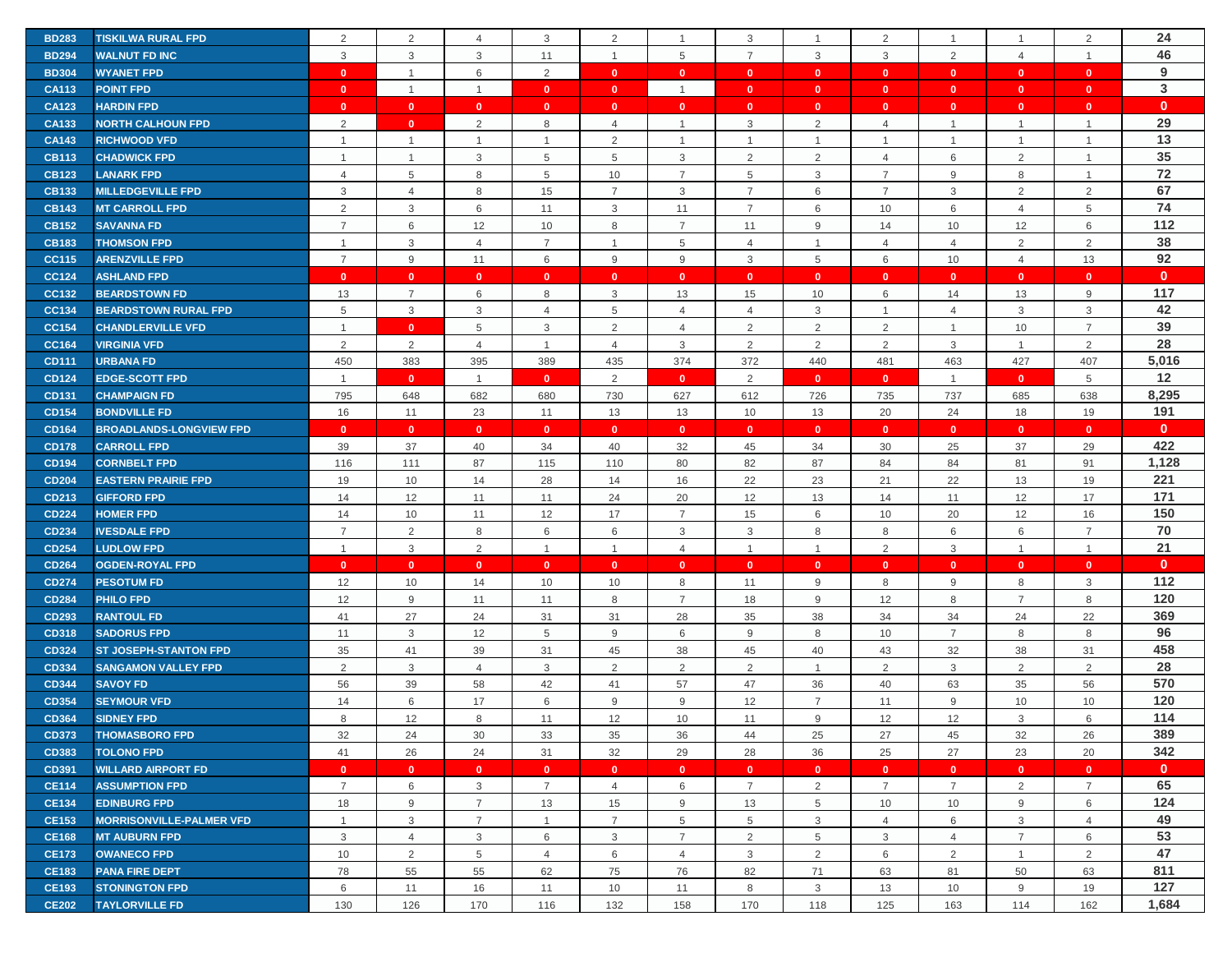| <b>BD283</b> | <b>TISKILWA RURAL FPD</b>                     | 2                  | $\overline{2}$ | $\overline{4}$     | 3                  | 2                  | $\overline{1}$     | 3                  |                           | $\overline{2}$ | -1                 | $\mathbf{1}$       | $\overline{2}$     | 24           |
|--------------|-----------------------------------------------|--------------------|----------------|--------------------|--------------------|--------------------|--------------------|--------------------|---------------------------|----------------|--------------------|--------------------|--------------------|--------------|
| <b>BD294</b> | <b>WALNUT FD INC</b>                          | 3                  | 3              | 3                  | 11                 | $\mathbf{1}$       | 5                  | $\overline{7}$     | 3                         | 3              | 2                  | $\overline{4}$     | $\mathbf{1}$       | 46           |
| <b>BD304</b> | <b>WYANET FPD</b>                             | $\mathbf{0}$       | $\mathbf{1}$   | 6                  | 2                  | $\mathbf{0}$       | $\mathbf{0}$       | $\mathbf{0}$       | $\mathbf{0}$              | $\mathbf{0}$   | $\overline{0}$     | $\mathbf{0}$       | $\mathbf{0}$       | 9            |
| <b>CA113</b> | <b>POINT FPD</b>                              | $\mathbf{0}$       | $\overline{1}$ | $\overline{1}$     | $\mathbf{0}$       | $\mathbf{0}$       | $\overline{1}$     | $\mathbf{0}$       | $\mathbf{0}$              | $\mathbf{0}$   | $\mathbf{0}$       | $\mathbf{0}$       | $\mathbf{0}$       | $\mathbf{3}$ |
| <b>CA123</b> | <b>HARDIN FPD</b>                             | $\mathbf{0}$       | $\mathbf{0}$   | $\mathbf{0}$       | $\mathbf{0}$       | $\mathbf{0}$       | $\mathbf{0}$       | $\mathbf{0}$       | $\mathbf{0}$              | $\mathbf{0}$   | $\mathbf{0}$       | $\mathbf{0}$       | $\mathbf{0}$       | $\mathbf{0}$ |
| <b>CA133</b> | <b>NORTH CALHOUN FPD</b>                      | $\overline{2}$     | $\mathbf{0}$   | 2                  | 8                  | $\overline{4}$     | $\overline{1}$     | 3                  | 2                         | $\overline{4}$ | -1                 | $\mathbf{1}$       | $\overline{1}$     | 29           |
| <b>CA143</b> | <b>RICHWOOD VFD</b>                           | $\overline{1}$     | $\mathbf{1}$   | $\overline{1}$     | $\mathbf{1}$       | 2                  | $\overline{1}$     | $\overline{1}$     | $\mathbf{1}$              | $\mathbf{1}$   | $\mathbf{1}$       | $\mathbf{1}$       | $\mathbf{1}$       | 13           |
| <b>CB113</b> | <b>CHADWICK FPD</b>                           | $\overline{1}$     | $\overline{1}$ | 3                  | 5                  | 5                  | $\mathbf{3}$       | 2                  | 2                         | $\overline{4}$ | 6                  | 2                  | $\mathbf{1}$       | 35           |
| <b>CB123</b> | <b>LANARK FPD</b>                             | $\overline{4}$     | $\,$ 5 $\,$    | 8                  | 5                  | 10                 | $\overline{7}$     | 5                  | $\ensuremath{\mathsf{3}}$ | $\overline{7}$ | 9                  | 8                  | $\overline{1}$     | 72           |
| <b>CB133</b> | <b>MILLEDGEVILLE FPD</b>                      | 3                  | $\overline{4}$ | 8                  | 15                 | $\overline{7}$     | $\mathbf{3}$       | $\overline{7}$     | 6                         | $\overline{7}$ | 3                  | 2                  | $\overline{2}$     | 67           |
| <b>CB143</b> | <b>MT CARROLL FPD</b>                         | 2                  | 3              | 6                  | 11                 | 3                  | 11                 | $\overline{7}$     | 6                         | 10             | 6                  | $\overline{4}$     | 5                  | 74           |
| <b>CB152</b> | <b>SAVANNA FD</b>                             | $\overline{7}$     | 6              | 12                 | 10                 | 8                  | $\overline{7}$     | 11                 | 9                         | 14             | 10                 | 12                 | 6                  | 112          |
| <b>CB183</b> | <b>THOMSON FPD</b>                            | $\overline{1}$     | 3              | $\overline{4}$     | $\overline{7}$     | $\mathbf{1}$       | 5                  | $\overline{4}$     | $\mathbf{1}$              | 4              | 4                  | 2                  | $\overline{2}$     | 38           |
| <b>CC115</b> | <b>ARENZVILLE FPD</b>                         | $\overline{7}$     | 9              | 11                 | 6                  | 9                  | 9                  | 3                  | 5                         | 6              | 10                 | $\overline{4}$     | 13                 | 92           |
| <b>CC124</b> | <b>ASHLAND FPD</b>                            | $\mathbf{0}$       | $\mathbf{0}$   | $\mathbf{0}$       | $\mathbf{0}$       | $\mathbf{0}$       | $\mathbf{0}$       | $\mathbf{0}$       | $\mathbf{0}$              | $\mathbf{0}$   | $\mathbf{0}$       | $\mathbf{0}$       | $\mathbf{0}$       | $\mathbf{0}$ |
| CC132        | <b>BEARDSTOWN FD</b>                          | 13                 | $\overline{7}$ | 6                  | 8                  | 3                  | 13                 | 15                 | 10                        | 6              | 14                 | 13                 | $\mathsf g$        | 117          |
| CC134        | <b>BEARDSTOWN RURAL FPD</b>                   | 5                  | $\mathbf{3}$   | 3                  | 4                  | 5                  | $\overline{4}$     | $\overline{4}$     | $\mathbf{3}$              | $\mathbf{1}$   | $\overline{4}$     | 3                  | $\mathsf 3$        | 42           |
| <b>CC154</b> | <b>CHANDLERVILLE VFD</b>                      | $\overline{1}$     | $\mathbf{0}$   | 5                  | 3                  | 2                  | $\overline{4}$     | $\overline{2}$     | $\overline{2}$            | $\overline{2}$ | $\mathbf{1}$       | 10                 | $\overline{7}$     | 39           |
| <b>CC164</b> | <b>VIRGINIA VFD</b>                           | 2                  | 2              | 4                  | $\overline{1}$     | $\overline{4}$     | 3                  | 2                  | 2                         | 2              | 3                  | $\mathbf{1}$       | 2                  | 28           |
| <b>CD111</b> | <b>URBANA FD</b>                              | 450                | 383            | 395                | 389                | 435                | 374                | 372                | 440                       | 481            | 463                | 427                | 407                | 5,016        |
| <b>CD124</b> |                                               | $\overline{1}$     | $\mathbf{0}$   | $\overline{1}$     | $\mathbf{0}$       | 2                  | $\mathbf{0}$       | $\overline{2}$     | $\mathbf{0}$              | $\mathbf{0}$   | $\overline{1}$     | $\mathbf{0}$       | 5                  | 12           |
| <b>CD131</b> | <b>EDGE-SCOTT FPD</b><br><b>CHAMPAIGN FD</b>  | 795                |                | 682                | 680                | 730                | 627                |                    |                           |                |                    |                    | 638                | 8,295        |
| <b>CD154</b> | <b>BONDVILLE FD</b>                           |                    | 648            | 23                 |                    |                    |                    | 612                | 726                       | 735<br>20      | 737<br>24          | 685                |                    | 191          |
| <b>CD164</b> | <b>BROADLANDS-LONGVIEW FPD</b>                | 16<br>$\mathbf{0}$ | 11             |                    | 11<br>$\mathbf{0}$ | 13<br>$\mathbf{0}$ | 13                 | 10<br>$\mathbf{0}$ | 13                        | $\mathbf{0}$   |                    | 18<br>$\mathbf{0}$ | 19<br>$\mathbf{0}$ | $\mathbf{0}$ |
| <b>CD178</b> | <b>CARROLL FPD</b>                            | 39                 | $\mathbf{0}$   | $\mathbf{0}$<br>40 | 34                 | 40                 | $\mathbf{0}$<br>32 | 45                 | $\mathbf{0}$<br>34        | 30             | $\mathbf{0}$<br>25 | 37                 | 29                 | 422          |
| <b>CD194</b> |                                               | 116                | 37<br>111      | 87                 | 115                | 110                | 80                 | 82                 | 87                        | 84             | 84                 | 81                 | 91                 | 1,128        |
|              | <b>CORNBELT FPD</b>                           |                    |                |                    |                    |                    |                    |                    |                           |                |                    |                    |                    | 221          |
| <b>CD204</b> | <b>EASTERN PRAIRIE FPD</b>                    | 19                 | 10             | 14                 | 28                 | 14                 | 16                 | 22                 | 23                        | 21             | 22                 | 13                 | 19                 | 171          |
| CD213        | <b>GIFFORD FPD</b>                            | 14                 | 12             | 11                 | 11                 | 24                 | 20                 | 12                 | 13                        | 14             | 11                 | 12                 | 17                 | 150          |
| <b>CD224</b> | <b>HOMER FPD</b>                              | 14                 | 10             | 11                 | 12                 | 17                 | $\overline{7}$     | 15                 | 6                         | 10             | 20                 | 12                 | 16                 |              |
| <b>CD234</b> | <b>IVESDALE FPD</b>                           | $\overline{7}$     | $\overline{2}$ | 8                  | 6                  | 6                  | 3                  | 3                  | 8                         | 8              | 6                  | 6                  | $\overline{7}$     | 70           |
| <b>CD254</b> | <b>LUDLOW FPD</b>                             | $\overline{1}$     | 3              | 2                  | $\mathbf{1}$       | $\mathbf{1}$       | $\overline{4}$     | $\overline{1}$     | 1                         | 2              | 3                  | $\mathbf{1}$       | $\mathbf{1}$       | 21           |
| <b>CD264</b> | <b>OGDEN-ROYAL FPD</b>                        | $\mathbf{0}$       | $\mathbf{0}$   | $\mathbf{0}$       | $\mathbf{0}$       | $\mathbf{0}$       | $\mathbf{0}$       | $\mathbf{0}$       | $\mathbf{0}$              | $\mathbf{0}$   | $\mathbf{0}$       | $\mathbf{0}$       | $\mathbf{0}$       | $\mathbf{0}$ |
| <b>CD274</b> | <b>PESOTUM FD</b>                             | 12                 | 10             | 14                 | 10                 | 10                 | 8                  | 11                 | 9                         | 8              | 9                  | 8                  | 3                  | 112          |
| <b>CD284</b> | <b>PHILO FPD</b>                              | 12                 | 9              | 11                 | 11                 | 8                  | $\overline{7}$     | 18                 | 9                         | 12             | 8                  | $\overline{7}$     | 8                  | 120          |
| <b>CD293</b> | <b>RANTOUL FD</b>                             | 41                 | 27             | 24                 | 31                 | 31                 | 28                 | 35                 | 38                        | 34             | 34                 | 24                 | 22                 | 369<br>96    |
| <b>CD318</b> | <b>SADORUS FPD</b>                            | 11                 | 3              | 12                 | 5                  | 9                  | 6                  | 9                  | 8                         | 10             | $\overline{7}$     | 8                  | 8                  | 458          |
| <b>CD324</b> | <b>ST JOSEPH-STANTON FPD</b>                  | 35                 | 41             | 39                 | 31                 | 45                 | 38                 | 45                 | 40                        | 43             | 32                 | 38                 | 31                 | 28           |
| CD334        | <b>SANGAMON VALLEY FPD</b><br><b>SAVOY FD</b> | 2                  | 3              | $\overline{4}$     | 3                  | 2                  | 2                  | $\overline{2}$     | $\mathbf{1}$              | $\overline{2}$ | $\mathbf{3}$       | 2                  | $\overline{2}$     | 570          |
| <b>CD344</b> |                                               | 56<br>14           | 39<br>6        | 58<br>17           | 42<br>6            | 41<br>9            | 57<br>9            | 47<br>12           | 36<br>$\overline{7}$      | 40<br>11       | 63<br>9            | 35                 | 56<br>10           | 120          |
| <b>CD354</b> | <b>SEYMOUR VFD</b>                            |                    |                |                    |                    |                    |                    |                    |                           |                |                    | 10                 |                    | 114          |
| <b>CD364</b> | <b>SIDNEY FPD</b>                             | 8                  | 12             | 8                  | 11                 | 12                 | 10                 | 11                 | 9                         | 12             | 12                 | 3                  | 6                  |              |
| <b>CD373</b> | <b>THOMASBORO FPD</b>                         | 32                 | 24             | 30                 | 33                 | 35                 | 36                 | 44                 | 25                        | 27             | 45                 | 32                 | 26                 | 389<br>342   |
| <b>CD383</b> | <b>TOLONO FPD</b>                             | 41                 | 26             | 24                 | 31                 | 32                 | 29                 | 28                 | 36                        | 25             | 27                 | 23                 | 20                 | $\mathbf{0}$ |
| CD391        | <b>WILLARD AIRPORT FD</b>                     | $\mathbf{0}$       | $\mathbf{0}$   | $\bullet$          | $\mathbf{0}$       | $\mathbf{0}$       | $\mathbf{0}$       | $\mathbf{0}$       | $\mathbf{0}$              | $\mathbf{0}$   | $\mathbf{0}$       | $\mathbf{0}$       | $\mathbf{0}$       |              |
| <b>CE114</b> | <b>ASSUMPTION FPD</b>                         | $\overline{7}$     | 6              | 3                  | $\overline{7}$     | $\overline{4}$     | 6                  | $\overline{7}$     | $\overline{2}$            | $\overline{7}$ | $\overline{7}$     | 2                  | $\overline{7}$     | 65<br>124    |
| <b>CE134</b> | <b>EDINBURG FPD</b>                           | 18                 | 9              | $\overline{7}$     | 13                 | 15                 | 9                  | 13                 | 5                         | 10             | 10                 | 9                  | 6                  |              |
| <b>CE153</b> | <b>MORRISONVILLE-PALMER VFD</b>               | $\overline{1}$     | 3              | $\overline{7}$     | $\mathbf{1}$       | $\overline{7}$     | 5                  | 5                  | 3                         | $\overline{4}$ | 6                  | 3                  | $\overline{4}$     | 49           |
| <b>CE168</b> | <b>MT AUBURN FPD</b>                          | 3                  | $\overline{4}$ | 3                  | 6                  | 3                  | $\overline{7}$     | $\overline{2}$     | 5                         | 3              | $\overline{4}$     | $\overline{7}$     | 6                  | 53           |
| <b>CE173</b> | <b>OWANECO FPD</b>                            | 10                 | 2              | 5                  | $\overline{4}$     | 6                  | $\overline{4}$     | 3                  | 2                         | 6              | 2                  | $\mathbf{1}$       | 2                  | 47           |
| <b>CE183</b> | <b>PANA FIRE DEPT</b>                         | 78                 | 55             | 55                 | 62                 | 75                 | 76                 | 82                 | 71                        | 63             | 81                 | 50                 | 63                 | 811          |
| <b>CE193</b> | <b>STONINGTON FPD</b>                         | 6                  | 11             | 16                 | 11                 | 10                 | 11                 | 8                  | 3                         | 13             | 10                 | 9                  | 19                 | 127          |
| <b>CE202</b> | <b>TAYLORVILLE FD</b>                         | 130                | 126            | 170                | 116                | 132                | 158                | 170                | 118                       | 125            | 163                | 114                | 162                | 1,684        |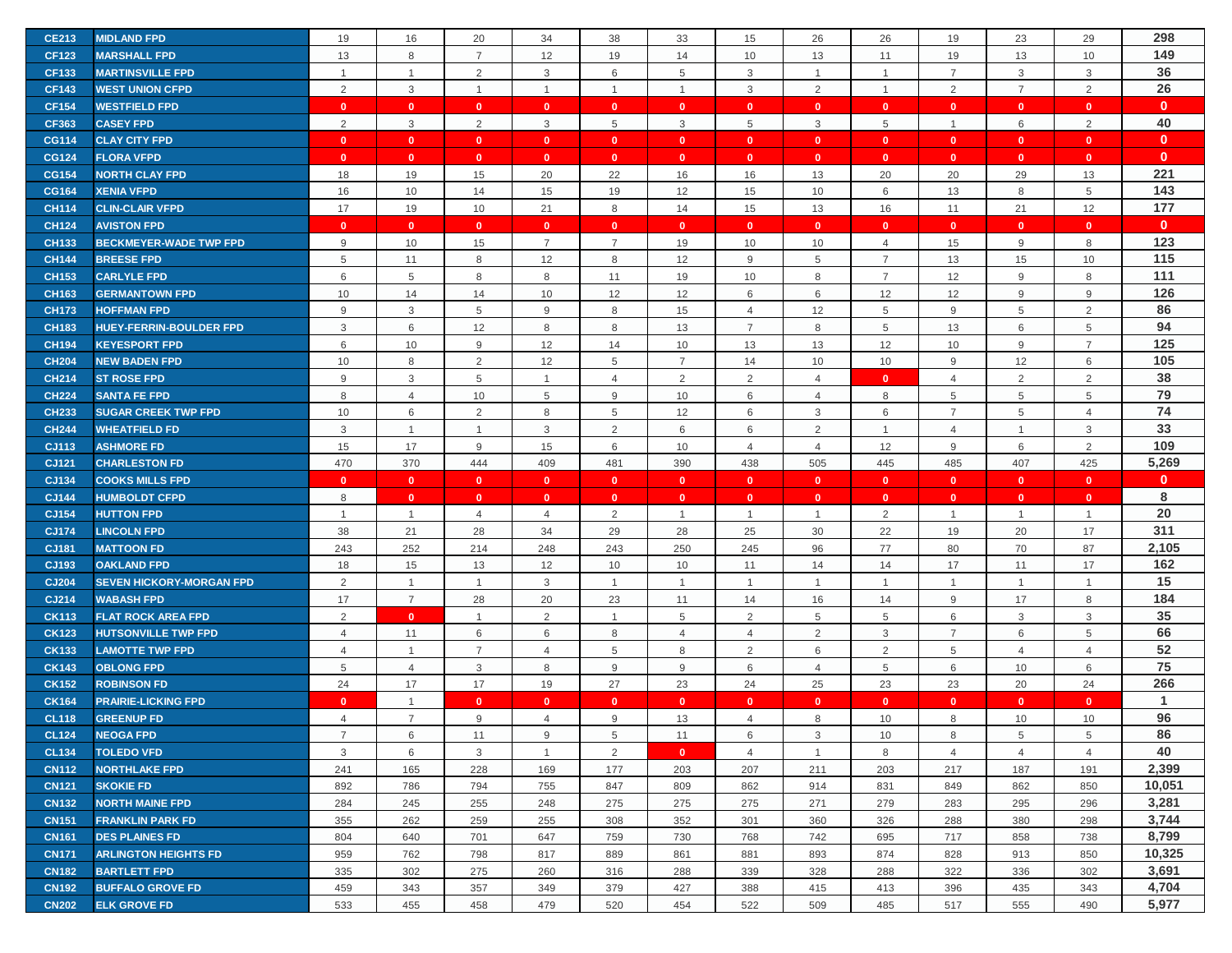| <b>CE213</b>                 | <b>MIDLAND FPD</b>                             | 19             | 16             | 20             | 34             | 38             | 33             | 15                        | 26             | 26             | 19             | 23             | 29             | 298            |
|------------------------------|------------------------------------------------|----------------|----------------|----------------|----------------|----------------|----------------|---------------------------|----------------|----------------|----------------|----------------|----------------|----------------|
| <b>CF123</b>                 | <b>MARSHALL FPD</b>                            | 13             | 8              | $\overline{7}$ | 12             | 19             | 14             | 10                        | 13             | 11             | 19             | 13             | 10             | 149            |
| <b>CF133</b>                 | <b>MARTINSVILLE FPD</b>                        | $\overline{1}$ | $\mathbf{1}$   | $\overline{2}$ | 3              | 6              | 5              | 3                         | 1              | $\mathbf{1}$   | $\overline{7}$ | 3              | 3              | 36             |
| <b>CF143</b>                 | <b>WEST UNION CFPD</b>                         | 2              | $\mathbf{3}$   | $\overline{1}$ | $\overline{1}$ | $\mathbf{1}$   | $\overline{1}$ | $\ensuremath{\mathsf{3}}$ | $\overline{2}$ | $\mathbf{1}$   | $\overline{2}$ | $\overline{7}$ | $\overline{2}$ | 26             |
| <b>CF154</b>                 | <b>WESTFIELD FPD</b>                           | $\mathbf{0}$   | $\mathbf{0}$   | $\mathbf{0}$   | $\mathbf{0}$   | $\mathbf{0}$   | $\mathbf{0}$   | $\mathbf{0}$              | $\mathbf{0}$   | $\mathbf{0}$   | $\mathbf{0}$   | $\mathbf{0}$   | $\mathbf{0}$   | $\mathbf{0}$   |
| <b>CF363</b>                 | <b>CASEY FPD</b>                               | 2              | 3              | 2              | 3              | 5              | 3              | 5                         | 3              | 5              | $\overline{1}$ | 6              | 2              | 40             |
| <b>CG114</b>                 | <b>CLAY CITY FPD</b>                           | $\mathbf{0}$   | $\mathbf{0}$   | $\mathbf{0}$   | $\mathbf{0}$   | $\mathbf{0}$   | $\bullet$      | $\mathbf{0}$              | $\mathbf{0}$   | $\mathbf{0}$   | $\bullet$      | $\mathbf{0}$   | $\mathbf{0}$   | $\mathbf{0}$   |
| <b>CG124</b>                 | <b>FLORA VFPD</b>                              | $\mathbf{0}$   | $\mathbf{0}$   | $\mathbf{0}$   | $\mathbf{0}$   | $\mathbf{0}$   | $\mathbf{0}$   | $\mathbf{0}$              | $\mathbf{0}$   | $\mathbf{0}$   | $\mathbf{0}$   | $\mathbf{0}$   | $\mathbf{0}$   | $\mathbf 0$    |
| <b>CG154</b>                 | <b>NORTH CLAY FPD</b>                          | 18             | 19             | 15             | 20             | 22             | 16             | 16                        | 13             | 20             | 20             | 29             | 13             | 221            |
| <b>CG164</b>                 | <b>XENIA VFPD</b>                              | 16             | 10             | 14             | 15             | 19             | 12             | 15                        | 10             | 6              | 13             | 8              | 5              | 143            |
| <b>CH114</b>                 | <b>CLIN-CLAIR VFPD</b>                         | 17             | 19             | 10             | 21             | 8              | 14             | 15                        | 13             | 16             | 11             | 21             | 12             | 177            |
| <b>CH124</b>                 | <b>AVISTON FPD</b>                             | $\mathbf{0}$   | $\mathbf{0}$   | $\mathbf{0}$   | $\mathbf{0}$   | $\mathbf{0}$   | $\mathbf{0}$   | $\mathbf{0}$              | $\mathbf{0}$   | $\mathbf{0}$   | $\mathbf{0}$   | $\mathbf{0}$   | $\mathbf{0}$   | $\mathbf{0}$   |
| <b>CH133</b>                 | <b>BECKMEYER-WADE TWP FPD</b>                  | 9              | 10             | 15             | $\overline{7}$ | $\overline{7}$ | 19             | 10                        | 10             | 4              | 15             | 9              | 8              | 123            |
| <b>CH144</b>                 | <b>BREESE FPD</b>                              | 5              | 11             | 8              | 12             | 8              | 12             | 9                         | 5              | $\overline{7}$ | 13             | 15             | 10             | 115            |
| <b>CH153</b>                 | <b>CARLYLE FPD</b>                             | 6              | 5              | 8              | 8              | 11             | 19             | 10                        | 8              | $\overline{7}$ | 12             | 9              | 8              | 111            |
| <b>CH163</b>                 | <b>GERMANTOWN FPD</b>                          | 10             | 14             | 14             | 10             | 12             | 12             | 6                         | 6              | 12             | 12             | 9              | 9              | 126            |
| <b>CH173</b>                 | <b>HOFFMAN FPD</b>                             | 9              | $\mathbf{3}$   | 5              | 9              | 8              | 15             | $\overline{4}$            | 12             | 5              | 9              | 5              | 2              | 86             |
|                              | <b>HUEY-FERRIN-BOULDER FPD</b>                 |                |                |                |                |                |                | $\overline{7}$            |                |                |                |                |                | 94             |
| <b>CH183</b>                 |                                                | 3              | 6              | 12             | 8              | 8              | 13             |                           | 8              | $\,$ 5 $\,$    | 13             | 6              | 5              | 125            |
| <b>CH194</b>                 | <b>KEYESPORT FPD</b>                           | 6              | 10             | 9              | 12             | 14             | 10             | 13                        | 13             | 12             | 10             | 9              | $\overline{7}$ | 105            |
| <b>CH204</b>                 | <b>NEW BADEN FPD</b>                           | 10             | 8              | 2              | 12             | 5              | $\overline{7}$ | 14                        | 10             | 10             | 9              | 12             | 6              | 38             |
| <b>CH214</b>                 | <b>ST ROSE FPD</b>                             | 9              | $\mathbf{3}$   | 5              | $\overline{1}$ | $\overline{4}$ | $\overline{2}$ | $\overline{2}$            | $\overline{4}$ | $\mathbf{0}$   | $\overline{4}$ | $\overline{2}$ | 2              | 79             |
| <b>CH224</b>                 | <b>SANTA FE FPD</b>                            | 8              | $\overline{4}$ | 10             | 5              | 9              | 10             | 6                         | 4              | 8              | 5              | 5              | 5              | 74             |
| <b>CH233</b>                 | <b>SUGAR CREEK TWP FPD</b>                     | 10             | 6              | $\overline{2}$ | 8              | 5              | 12             | 6                         | 3              | 6              | $\overline{7}$ | 5              | $\overline{4}$ |                |
| <b>CH244</b>                 | <b>WHEATFIELD FD</b>                           | 3              | $\mathbf{1}$   | $\overline{1}$ | 3              | 2              | 6              | 6                         | $\overline{2}$ | $\mathbf{1}$   | $\overline{4}$ | $\overline{1}$ | 3              | 33<br>109      |
| CJ113                        | <b>ASHMORE FD</b>                              | 15             | 17             | 9              | 15             | 6              | 10             | $\overline{4}$            | 4              | 12             | 9              | 6              | 2              | 5,269          |
|                              |                                                |                |                |                |                |                |                |                           |                |                |                |                |                |                |
| CJ121                        | <b>CHARLESTON FD</b>                           | 470            | 370            | 444            | 409            | 481            | 390            | 438                       | 505            | 445            | 485            | 407            | 425            |                |
| CJ134                        | <b>COOKS MILLS FPD</b>                         | $\mathbf{0}$   | $\mathbf{0}$   | $\mathbf{0}$   | $\mathbf{0}$   | $\mathbf{0}$   | $\mathbf{0}$   | $\mathbf{0}$              | $\mathbf{0}$   | $\mathbf{0}$   | $\mathbf{0}$   | $\mathbf{0}$   | $\mathbf{0}$   | $\mathbf{0}$   |
| <b>CJ144</b>                 | <b>HUMBOLDT CFPD</b>                           | 8              | $\mathbf{0}$   | $\mathbf{0}$   | $\mathbf{0}$   | $\mathbf{0}$   | $\mathbf{0}$   | $\mathbf{0}$              | $\mathbf{0}$   | $\mathbf{0}$   | $\mathbf{0}$   | $\mathbf{0}$   | $\mathbf{0}$   | 8              |
| CJ154                        | <b>HUTTON FPD</b>                              | -1             | $\mathbf{1}$   | $\overline{4}$ | 4              | 2              | $\overline{1}$ |                           | $\mathbf{1}$   | $\overline{2}$ | -1             | $\mathbf{1}$   | $\overline{1}$ | 20             |
| <b>CJ174</b>                 | <b>LINCOLN FPD</b>                             | 38             | 21             | 28             | 34             | 29             | 28             | 25                        | 30             | 22             | 19             | 20             | 17             | 311            |
| CJ181                        | <b>MATTOON FD</b>                              | 243            | 252            | 214            | 248            | 243            | 250            | 245                       | 96             | 77             | 80             | 70             | 87             | 2,105          |
| CJ193                        | <b>OAKLAND FPD</b>                             | 18             | 15             | 13             | 12             | 10             | 10             | 11                        | 14             | 14             | 17             | 11             | 17             | 162            |
| <b>CJ204</b>                 | <b>SEVEN HICKORY-MORGAN FPD</b>                | 2              | $\mathbf{1}$   | $\overline{1}$ | 3              | $\mathbf{1}$   | $\overline{1}$ | $\overline{1}$            | $\mathbf{1}$   | $\mathbf{1}$   | $\overline{1}$ | $\overline{1}$ | $\mathbf{1}$   | 15             |
| CJ214                        | <b>WABASH FPD</b>                              | 17             | $\overline{7}$ | 28             | 20             | 23             | 11             | 14                        | 16             | 14             | 9              | 17             | 8              | 184            |
| <b>CK113</b>                 | <b>FLAT ROCK AREA FPD</b>                      | 2              | $\mathbf{0}$   | $\mathbf 1$    | 2              |                | 5              | $\overline{2}$            | 5              | $\,$ 5 $\,$    | 6              | 3              | $\mathsf 3$    | 35             |
| <b>CK123</b>                 | <b>HUTSONVILLE TWP FPD</b>                     | $\overline{4}$ | 11             | 6              | 6              | 8              | $\overline{4}$ | $\overline{4}$            | 2              | 3              | $\overline{7}$ | 6              | 5              | 66             |
| <b>CK133</b>                 | <b>LAMOTTE TWP FPD</b>                         | $\overline{4}$ | $\mathbf{1}$   | $\overline{7}$ | $\overline{4}$ | 5              | 8              | $\overline{2}$            | 6              | 2              | 5              | $\overline{4}$ | $\overline{4}$ | 52             |
| <b>CK143</b>                 | <b>OBLONG FPD</b>                              | 5              | $\overline{4}$ | $\mathbf{3}$   | 8              | 9              | 9              | 6                         | $\overline{4}$ | 5              | 6              | 10             | 6              | 75             |
| <b>CK152</b>                 | <b>ROBINSON FD</b>                             | 24             | 17             | 17             | 19             | 27             | 23             | 24                        | 25             | 23             | 23             | 20             | 24             | 266            |
| <b>CK164</b>                 | <b>PRAIRIE-LICKING FPD</b>                     | $\mathbf{0}$   | $\mathbf{1}$   | $\mathbf{0}$   | $\mathbf{0}$   | $\mathbf{0}$   | $\mathbf{0}$   | $\mathbf{0}$              | $\mathbf{0}$   | $\mathbf{0}$   | $\mathbf{0}$   | $\mathbf{0}$   | $\mathbf{0}$   | $\mathbf{1}$   |
| <b>CL118</b>                 | <b>GREENUP FD</b>                              | $\overline{4}$ | $\overline{7}$ | 9              | 4              | 9              | 13             | $\overline{4}$            | 8              | 10             | 8              | 10             | 10             | 96             |
| <b>CL124</b>                 | <b>NEOGA FPD</b>                               | $\overline{7}$ | 6              | 11             | 9              | 5              | 11             | 6                         | 3              | 10             | 8              | 5              | 5              | 86             |
| <b>CL134</b>                 | <b>TOLEDO VFD</b>                              | 3              | 6              | 3              | $\overline{1}$ | 2              | $\mathbf{0}$   | $\overline{4}$            | $\mathbf{1}$   | 8              | $\overline{4}$ | $\overline{4}$ | $\overline{4}$ | 40             |
| <b>CN112</b>                 | <b>NORTHLAKE FPD</b>                           | 241            | 165            | 228            | 169            | 177            | 203            | 207                       | 211            | 203            | 217            | 187            | 191            | 2,399          |
| <b>CN121</b>                 | <b>SKOKIE FD</b>                               | 892            | 786            | 794            | 755            | 847            | 809            | 862                       | 914            | 831            | 849            | 862            | 850            | 10,051         |
| <b>CN132</b>                 | <b>NORTH MAINE FPD</b>                         | 284            | 245            | 255            | 248            | 275            | 275            | 275                       | 271            | 279            | 283            | 295            | 296            | 3,281          |
| <b>CN151</b>                 | <b>FRANKLIN PARK FD</b>                        | 355            | 262            | 259            | 255            | 308            | 352            | 301                       | 360            | 326            | 288            | 380            | 298            | 3,744          |
| <b>CN161</b>                 | <b>DES PLAINES FD</b>                          | 804            | 640            | 701            | 647            | 759            | 730            | 768                       | 742            | 695            | 717            | 858            | 738            | 8,799          |
| <b>CN171</b>                 | <b>ARLINGTON HEIGHTS FD</b>                    | 959            | 762            | 798            | 817            | 889            | 861            | 881                       | 893            | 874            | 828            | 913            | 850            | 10,325         |
| <b>CN182</b>                 | <b>BARTLETT FPD</b>                            | 335            | 302            | 275            | 260            | 316            | 288            | 339                       | 328            | 288            | 322            | 336            | 302            | 3,691          |
| <b>CN192</b><br><b>CN202</b> | <b>BUFFALO GROVE FD</b><br><b>ELK GROVE FD</b> | 459<br>533     | 343<br>455     | 357<br>458     | 349<br>479     | 379<br>520     | 427<br>454     | 388<br>522                | 415<br>509     | 413<br>485     | 396<br>517     | 435<br>555     | 343<br>490     | 4,704<br>5,977 |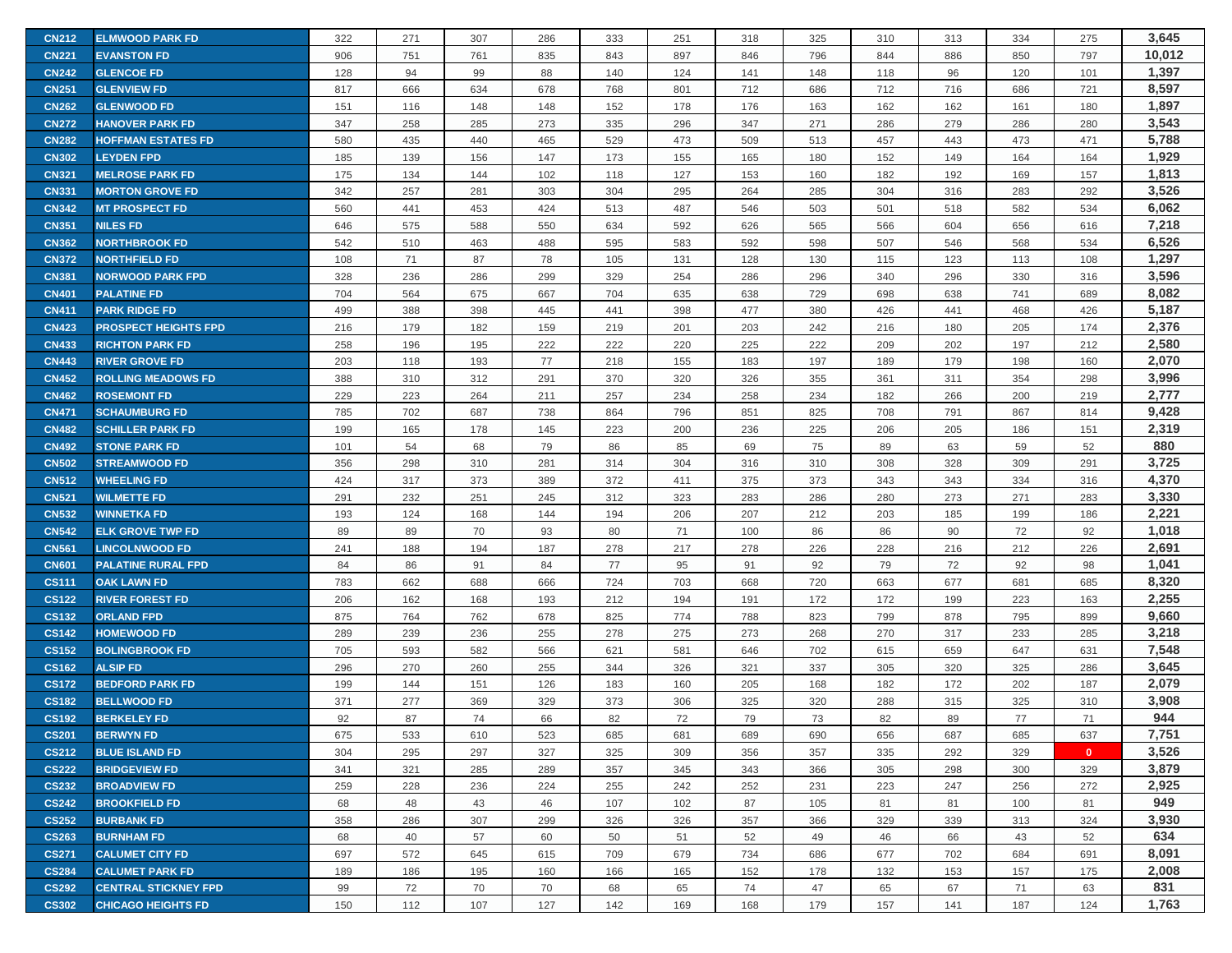| <b>CN212</b> | <b>ELMWOOD PARK FD</b>      | 322 | 271 | 307 | 286 | 333 | 251 | 318 | 325 | 310 | 313 | 334 | 275          | 3,645  |
|--------------|-----------------------------|-----|-----|-----|-----|-----|-----|-----|-----|-----|-----|-----|--------------|--------|
| <b>CN221</b> | <b>EVANSTON FD</b>          | 906 | 751 | 761 | 835 | 843 | 897 | 846 | 796 | 844 | 886 | 850 | 797          | 10,012 |
| <b>CN242</b> | <b>GLENCOE FD</b>           | 128 | 94  | 99  | 88  | 140 | 124 | 141 | 148 | 118 | 96  | 120 | 101          | 1,397  |
| <b>CN251</b> | <b>GLENVIEW FD</b>          | 817 | 666 | 634 | 678 | 768 | 801 | 712 | 686 | 712 | 716 | 686 | 721          | 8,597  |
| <b>CN262</b> | <b>GLENWOOD FD</b>          | 151 | 116 | 148 | 148 | 152 | 178 | 176 | 163 | 162 | 162 | 161 | 180          | 1,897  |
| <b>CN272</b> | <b>HANOVER PARK FD</b>      | 347 | 258 | 285 | 273 | 335 | 296 | 347 | 271 | 286 | 279 | 286 | 280          | 3,543  |
| <b>CN282</b> | <b>HOFFMAN ESTATES FD</b>   | 580 | 435 | 440 | 465 | 529 | 473 | 509 | 513 | 457 | 443 | 473 | 471          | 5,788  |
| <b>CN302</b> | <b>LEYDEN FPD</b>           | 185 | 139 | 156 | 147 | 173 | 155 | 165 | 180 | 152 | 149 | 164 | 164          | 1,929  |
| <b>CN321</b> | <b>MELROSE PARK FD</b>      | 175 | 134 | 144 | 102 | 118 | 127 | 153 | 160 | 182 | 192 | 169 | 157          | 1,813  |
| <b>CN331</b> | <b>MORTON GROVE FD</b>      | 342 | 257 | 281 | 303 | 304 | 295 | 264 | 285 | 304 | 316 | 283 | 292          | 3,526  |
| <b>CN342</b> | <b>MT PROSPECT FD</b>       | 560 | 441 | 453 | 424 | 513 | 487 | 546 | 503 | 501 | 518 | 582 | 534          | 6,062  |
| <b>CN351</b> | <b>NILES FD</b>             | 646 | 575 | 588 | 550 | 634 | 592 | 626 | 565 | 566 | 604 | 656 | 616          | 7,218  |
| <b>CN362</b> | <b>NORTHBROOK FD</b>        | 542 | 510 | 463 | 488 | 595 | 583 | 592 | 598 | 507 | 546 | 568 | 534          | 6,526  |
| <b>CN372</b> | <b>NORTHFIELD FD</b>        | 108 | 71  | 87  | 78  | 105 | 131 | 128 | 130 | 115 | 123 | 113 | 108          | 1,297  |
| <b>CN381</b> | <b>NORWOOD PARK FPD</b>     | 328 | 236 | 286 | 299 | 329 | 254 | 286 | 296 | 340 | 296 | 330 | 316          | 3,596  |
| <b>CN401</b> | <b>PALATINE FD</b>          | 704 | 564 | 675 | 667 | 704 | 635 | 638 | 729 | 698 | 638 | 741 | 689          | 8,082  |
| <b>CN411</b> | <b>PARK RIDGE FD</b>        | 499 | 388 | 398 | 445 | 441 | 398 | 477 | 380 | 426 | 441 | 468 | 426          | 5,187  |
| <b>CN423</b> | <b>PROSPECT HEIGHTS FPD</b> | 216 | 179 | 182 | 159 | 219 | 201 | 203 | 242 | 216 | 180 | 205 | 174          | 2,376  |
| <b>CN433</b> | <b>RICHTON PARK FD</b>      | 258 | 196 | 195 | 222 | 222 | 220 | 225 | 222 | 209 | 202 | 197 | 212          | 2,580  |
| <b>CN443</b> | <b>RIVER GROVE FD</b>       | 203 | 118 | 193 | 77  | 218 | 155 | 183 | 197 | 189 | 179 | 198 | 160          | 2,070  |
| <b>CN452</b> | <b>ROLLING MEADOWS FD</b>   | 388 | 310 | 312 | 291 | 370 | 320 | 326 | 355 | 361 | 311 | 354 | 298          | 3,996  |
| <b>CN462</b> | <b>ROSEMONT FD</b>          | 229 | 223 | 264 | 211 | 257 | 234 | 258 | 234 | 182 | 266 | 200 | 219          | 2,777  |
| <b>CN471</b> | <b>SCHAUMBURG FD</b>        | 785 | 702 | 687 | 738 | 864 | 796 | 851 | 825 | 708 | 791 | 867 | 814          | 9,428  |
| <b>CN482</b> | <b>SCHILLER PARK FD</b>     | 199 | 165 | 178 | 145 | 223 | 200 | 236 | 225 | 206 | 205 | 186 | 151          | 2,319  |
| <b>CN492</b> | <b>STONE PARK FD</b>        | 101 | 54  | 68  | 79  | 86  | 85  | 69  | 75  | 89  | 63  | 59  | 52           | 880    |
| <b>CN502</b> | <b>STREAMWOOD FD</b>        | 356 | 298 | 310 | 281 | 314 | 304 | 316 | 310 | 308 | 328 | 309 | 291          | 3,725  |
| <b>CN512</b> | <b>WHEELING FD</b>          | 424 | 317 | 373 | 389 | 372 | 411 | 375 | 373 | 343 | 343 | 334 | 316          | 4,370  |
| <b>CN521</b> | <b>WILMETTE FD</b>          | 291 | 232 | 251 | 245 | 312 | 323 | 283 | 286 | 280 | 273 | 271 | 283          | 3,330  |
| <b>CN532</b> | <b>WINNETKA FD</b>          | 193 | 124 | 168 | 144 | 194 | 206 | 207 | 212 | 203 | 185 | 199 | 186          | 2,221  |
| <b>CN542</b> | <b>ELK GROVE TWP FD</b>     | 89  | 89  | 70  | 93  | 80  | 71  | 100 | 86  | 86  | 90  | 72  | 92           | 1,018  |
| <b>CN561</b> | <b>LINCOLNWOOD FD</b>       | 241 | 188 | 194 | 187 | 278 | 217 | 278 | 226 | 228 | 216 | 212 | 226          | 2,691  |
| <b>CN601</b> | <b>PALATINE RURAL FPD</b>   | 84  | 86  | 91  | 84  | 77  | 95  | 91  | 92  | 79  | 72  | 92  | 98           | 1,041  |
| <b>CS111</b> | <b>OAK LAWN FD</b>          | 783 | 662 | 688 | 666 | 724 | 703 | 668 | 720 | 663 | 677 | 681 | 685          | 8,320  |
| <b>CS122</b> | <b>RIVER FOREST FD</b>      | 206 | 162 | 168 | 193 | 212 | 194 | 191 | 172 | 172 | 199 | 223 | 163          | 2,255  |
| <b>CS132</b> | <b>ORLAND FPD</b>           | 875 | 764 | 762 | 678 | 825 | 774 | 788 | 823 | 799 | 878 | 795 | 899          | 9,660  |
| <b>CS142</b> | <b>HOMEWOOD FD</b>          | 289 | 239 | 236 | 255 | 278 | 275 | 273 | 268 | 270 | 317 | 233 | 285          | 3,218  |
| <b>CS152</b> | <b>BOLINGBROOK FD</b>       | 705 | 593 | 582 | 566 | 621 | 581 | 646 | 702 | 615 | 659 | 647 | 631          | 7,548  |
| <b>CS162</b> | <b>ALSIP FD</b>             | 296 | 270 | 260 | 255 | 344 | 326 | 321 | 337 | 305 | 320 | 325 | 286          | 3,645  |
| <b>CS172</b> | <b>BEDFORD PARK FD</b>      | 199 | 144 | 151 | 126 | 183 | 160 | 205 | 168 | 182 | 172 | 202 | 187          | 2,079  |
| <b>CS182</b> | <b>BELLWOOD FD</b>          | 371 | 277 | 369 | 329 | 373 | 306 | 325 | 320 | 288 | 315 | 325 | 310          | 3,908  |
| <b>CS192</b> | <b>BERKELEY FD</b>          | 92  | 87  | 74  | 66  | 82  | 72  | 79  | 73  | 82  | 89  | 77  | 71           | 944    |
| <b>CS201</b> | <b>BERWYN FD</b>            | 675 | 533 | 610 | 523 | 685 | 681 | 689 | 690 | 656 | 687 | 685 | 637          | 7,751  |
| <b>CS212</b> | <b>BLUE ISLAND FD</b>       | 304 | 295 | 297 | 327 | 325 | 309 | 356 | 357 | 335 | 292 | 329 | $\mathbf{0}$ | 3,526  |
| <b>CS222</b> | <b>BRIDGEVIEW FD</b>        | 341 | 321 | 285 | 289 | 357 | 345 | 343 | 366 | 305 | 298 | 300 | 329          | 3,879  |
| <b>CS232</b> | <b>BROADVIEW FD</b>         | 259 | 228 | 236 | 224 | 255 | 242 | 252 | 231 | 223 | 247 | 256 | 272          | 2,925  |
| <b>CS242</b> | <b>BROOKFIELD FD</b>        | 68  | 48  | 43  | 46  | 107 | 102 | 87  | 105 | 81  | 81  | 100 | 81           | 949    |
| <b>CS252</b> | <b>BURBANK FD</b>           | 358 | 286 | 307 | 299 | 326 | 326 | 357 | 366 | 329 | 339 | 313 | 324          | 3,930  |
| <b>CS263</b> | <b>BURNHAM FD</b>           | 68  | 40  | 57  | 60  | 50  | 51  | 52  | 49  | 46  | 66  | 43  | 52           | 634    |
| <b>CS271</b> | <b>CALUMET CITY FD</b>      | 697 | 572 | 645 | 615 | 709 | 679 | 734 | 686 | 677 | 702 | 684 | 691          | 8,091  |
| <b>CS284</b> | <b>CALUMET PARK FD</b>      | 189 | 186 | 195 | 160 | 166 | 165 | 152 | 178 | 132 | 153 | 157 | 175          | 2,008  |
| <b>CS292</b> | <b>CENTRAL STICKNEY FPD</b> | 99  | 72  | 70  | 70  | 68  | 65  | 74  | 47  | 65  | 67  | 71  | 63           | 831    |
| <b>CS302</b> | <b>CHICAGO HEIGHTS FD</b>   | 150 | 112 | 107 | 127 | 142 | 169 | 168 | 179 | 157 | 141 | 187 | 124          | 1,763  |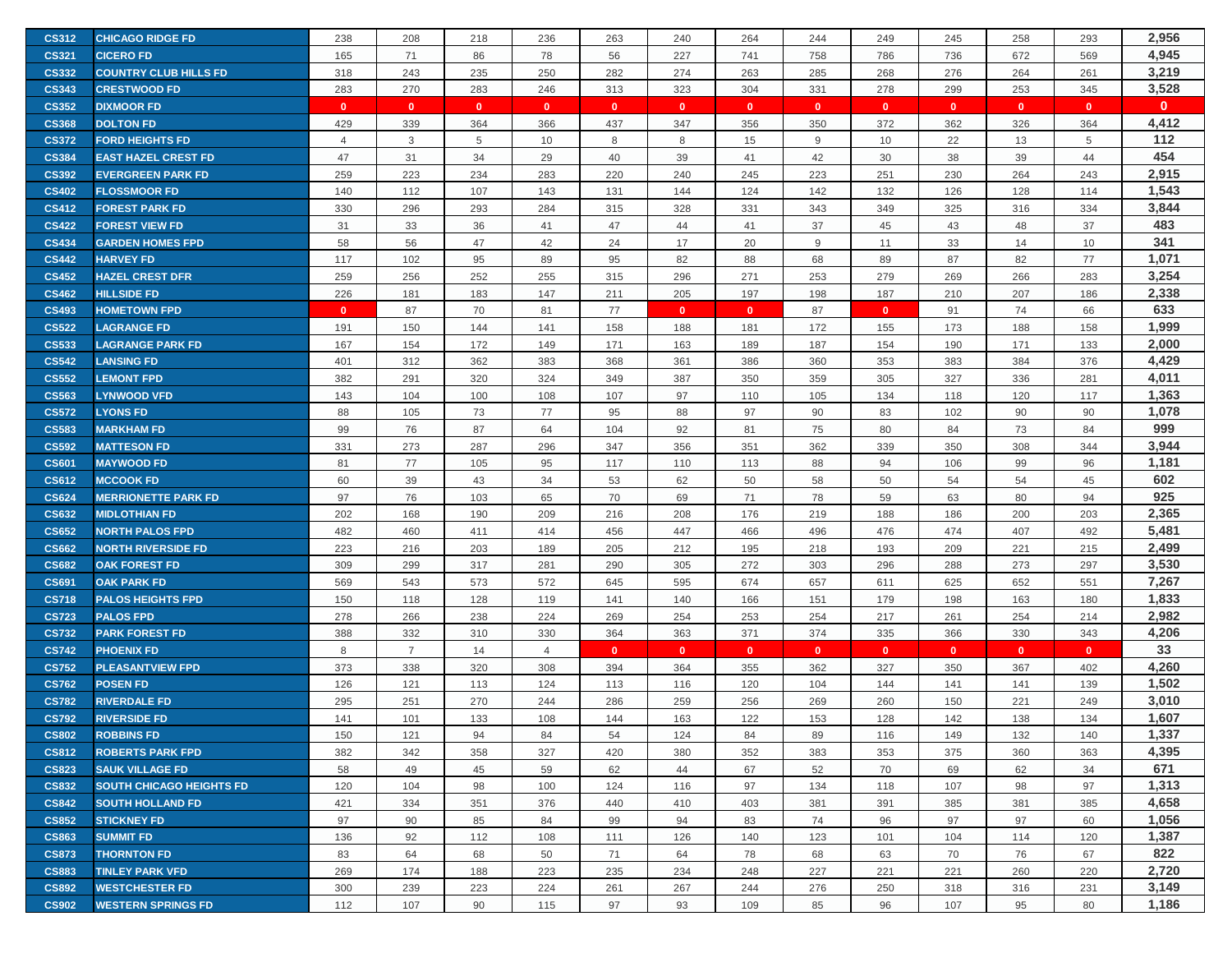| <b>CS312</b> | <b>CHICAGO RIDGE FD</b>         | 238            | 208            | 218          | 236            | 263          | 240          | 264          | 244          | 249          | 245          | 258          | 293          | 2,956        |
|--------------|---------------------------------|----------------|----------------|--------------|----------------|--------------|--------------|--------------|--------------|--------------|--------------|--------------|--------------|--------------|
| <b>CS321</b> | <b>CICERO FD</b>                | 165            | 71             | 86           | 78             | 56           | 227          | 741          | 758          | 786          | 736          | 672          | 569          | 4,945        |
| <b>CS332</b> | <b>COUNTRY CLUB HILLS FD</b>    | 318            | 243            | 235          | 250            | 282          | 274          | 263          | 285          | 268          | 276          | 264          | 261          | 3,219        |
| <b>CS343</b> | <b>CRESTWOOD FD</b>             | 283            | 270            | 283          | 246            | 313          | 323          | 304          | 331          | 278          | 299          | 253          | 345          | 3,528        |
| <b>CS352</b> | <b>DIXMOOR FD</b>               | $\mathbf{0}$   | $\mathbf{0}$   | $\mathbf{0}$ | $\mathbf{0}$   | $\mathbf{0}$ | $\mathbf{0}$ | $\mathbf{0}$ | $\mathbf{0}$ | $\mathbf{0}$ | $\mathbf{0}$ | $\mathbf{0}$ | $\mathbf{0}$ | $\mathbf{0}$ |
| <b>CS368</b> | <b>DOLTON FD</b>                | 429            | 339            | 364          | 366            | 437          | 347          | 356          | 350          | 372          | 362          | 326          | 364          | 4,412        |
| <b>CS372</b> | <b>FORD HEIGHTS FD</b>          | $\overline{4}$ | 3              | 5            | 10             | 8            | 8            | 15           | 9            | 10           | 22           | 13           | 5            | 112          |
| <b>CS384</b> | <b>EAST HAZEL CREST FD</b>      | 47             | 31             | 34           | 29             | 40           | 39           | 41           | 42           | 30           | 38           | 39           | 44           | 454          |
| <b>CS392</b> | <b>EVERGREEN PARK FD</b>        | 259            | 223            | 234          | 283            | 220          | 240          | 245          | 223          | 251          | 230          | 264          | 243          | 2,915        |
| <b>CS402</b> | <b>FLOSSMOOR FD</b>             | 140            | 112            | 107          | 143            | 131          | 144          | 124          | 142          | 132          | 126          | 128          | 114          | 1,543        |
| <b>CS412</b> | <b>FOREST PARK FD</b>           | 330            | 296            | 293          | 284            | 315          | 328          | 331          | 343          | 349          | 325          | 316          | 334          | 3,844        |
| <b>CS422</b> | <b>FOREST VIEW FD</b>           | 31             | 33             | 36           | 41             | 47           | 44           | 41           | 37           | 45           | 43           | 48           | 37           | 483          |
| <b>CS434</b> | <b>GARDEN HOMES FPD</b>         | 58             | 56             | 47           | 42             | 24           | 17           | 20           | 9            | 11           | 33           | 14           | 10           | 341          |
| <b>CS442</b> | <b>HARVEY FD</b>                | 117            | 102            | 95           | 89             | 95           | 82           | 88           | 68           | 89           | 87           | 82           | 77           | 1,071        |
| <b>CS452</b> | <b>HAZEL CREST DFR</b>          | 259            | 256            | 252          | 255            | 315          | 296          | 271          | 253          | 279          | 269          | 266          | 283          | 3,254        |
| <b>CS462</b> | <b>HILLSIDE FD</b>              | 226            | 181            | 183          | 147            | 211          | 205          | 197          | 198          | 187          | 210          | 207          | 186          | 2,338        |
| <b>CS493</b> | <b>HOMETOWN FPD</b>             | $\mathbf{0}$   | 87             | 70           | 81             | 77           | $\mathbf{0}$ | $\mathbf{0}$ | 87           | $\mathbf{0}$ | 91           | 74           | 66           | 633          |
| <b>CS522</b> | <b>LAGRANGE FD</b>              | 191            | 150            | 144          | 141            | 158          | 188          | 181          | 172          | 155          | 173          | 188          | 158          | 1,999        |
| <b>CS533</b> | <b>LAGRANGE PARK FD</b>         | 167            | 154            | 172          | 149            | 171          | 163          | 189          | 187          | 154          | 190          | 171          | 133          | 2,000        |
| <b>CS542</b> | <b>LANSING FD</b>               | 401            | 312            | 362          | 383            | 368          | 361          | 386          | 360          | 353          | 383          | 384          | 376          | 4,429        |
| <b>CS552</b> | <b>LEMONT FPD</b>               | 382            | 291            | 320          | 324            | 349          | 387          | 350          | 359          | 305          | 327          | 336          | 281          | 4,011        |
| <b>CS563</b> | <b>LYNWOOD VFD</b>              | 143            | 104            | 100          | 108            | 107          | 97           | 110          | 105          | 134          | 118          | 120          | 117          | 1,363        |
| <b>CS572</b> | <b>LYONS FD</b>                 | 88             | 105            | 73           | 77             | 95           | 88           | 97           | 90           | 83           | 102          | 90           | 90           | 1,078        |
| <b>CS583</b> | <b>MARKHAM FD</b>               | 99             | 76             | 87           | 64             | 104          | 92           | 81           | 75           | 80           | 84           | 73           | 84           | 999          |
| <b>CS592</b> | <b>MATTESON FD</b>              | 331            | 273            | 287          | 296            | 347          | 356          | 351          | 362          | 339          | 350          | 308          | 344          | 3,944        |
| <b>CS601</b> | <b>MAYWOOD FD</b>               | 81             | 77             | 105          | 95             | 117          | 110          | 113          | 88           | 94           | 106          | 99           | 96           | 1,181        |
| <b>CS612</b> | <b>MCCOOK FD</b>                | 60             | 39             | 43           | 34             | 53           | 62           | 50           | 58           | 50           | 54           | 54           | 45           | 602          |
| <b>CS624</b> | <b>MERRIONETTE PARK FD</b>      | 97             | 76             | 103          | 65             | 70           | 69           | 71           | 78           | 59           | 63           | 80           | 94           | 925          |
| <b>CS632</b> | <b>MIDLOTHIAN FD</b>            | 202            | 168            | 190          | 209            | 216          | 208          | 176          | 219          | 188          | 186          | 200          | 203          | 2,365        |
| <b>CS652</b> | <b>NORTH PALOS FPD</b>          | 482            | 460            | 411          | 414            | 456          | 447          | 466          | 496          | 476          | 474          | 407          | 492          | 5,481        |
| <b>CS662</b> | <b>NORTH RIVERSIDE FD</b>       | 223            | 216            | 203          | 189            | 205          | 212          | 195          | 218          | 193          | 209          | 221          | 215          | 2,499        |
| <b>CS682</b> | <b>OAK FOREST FD</b>            | 309            | 299            | 317          | 281            | 290          | 305          | 272          | 303          | 296          | 288          | 273          | 297          | 3,530        |
| <b>CS691</b> | <b>OAK PARK FD</b>              | 569            | 543            | 573          | 572            | 645          | 595          | 674          | 657          | 611          | 625          | 652          | 551          | 7,267        |
| <b>CS718</b> | <b>PALOS HEIGHTS FPD</b>        | 150            | 118            | 128          | 119            | 141          | 140          | 166          | 151          | 179          | 198          | 163          | 180          | 1,833        |
| <b>CS723</b> | <b>PALOS FPD</b>                | 278            | 266            | 238          | 224            | 269          | 254          | 253          | 254          | 217          | 261          | 254          | 214          | 2,982        |
| <b>CS732</b> | <b>PARK FOREST FD</b>           | 388            | 332            | 310          | 330            | 364          | 363          | 371          | 374          | 335          | 366          | 330          | 343          | 4,206        |
| <b>CS742</b> | <b>PHOENIX FD</b>               | 8              | $\overline{7}$ | 14           | $\overline{4}$ | $\mathbf{0}$ | $\mathbf{0}$ | $\mathbf{0}$ | $\mathbf{0}$ | $\mathbf{0}$ | $\mathbf{0}$ | $\mathbf{0}$ | $\mathbf{0}$ | 33           |
| <b>CS752</b> | <b>PLEASANTVIEW FPD</b>         | 373            | 338            | 320          | 308            | 394          | 364          | 355          | 362          | 327          | 350          | 367          | 402          | 4,260        |
| <b>CS762</b> | <b>POSEN FD</b>                 | 126            | 121            | 113          | 124            | 113          | 116          | 120          | 104          | 144          | 141          | 141          | 139          | 1,502        |
| <b>CS782</b> | <b>RIVERDALE FD</b>             | 295            | 251            | 270          | 244            | 286          | 259          | 256          | 269          | 260          | 150          | 221          | 249          | 3,010        |
| <b>CS792</b> | <b>RIVERSIDE FD</b>             | 141            | 101            | 133          | 108            | 144          | 163          | 122          | 153          | 128          | 142          | 138          | 134          | 1,607        |
| <b>CS802</b> | <b>ROBBINS FD</b>               | 150            | 121            | 94           | 84             | 54           | 124          | 84           | 89           | 116          | 149          | 132          | 140          | 1,337        |
| <b>CS812</b> | <b>ROBERTS PARK FPD</b>         | 382            | 342            | 358          | 327            | 420          | 380          | 352          | 383          | 353          | 375          | 360          | 363          | 4,395        |
| <b>CS823</b> | <b>SAUK VILLAGE FD</b>          | 58             | 49             | 45           | 59             | 62           | 44           | 67           | 52           | 70           | 69           | 62           | 34           | 671          |
| <b>CS832</b> | <b>SOUTH CHICAGO HEIGHTS FD</b> | 120            | 104            | 98           | 100            | 124          | 116          | 97           | 134          | 118          | 107          | 98           | 97           | 1,313        |
| <b>CS842</b> | <b>SOUTH HOLLAND FD</b>         | 421            | 334            | 351          | 376            | 440          | 410          | 403          | 381          | 391          | 385          | 381          | 385          | 4,658        |
| <b>CS852</b> | <b>STICKNEY FD</b>              | 97             | 90             | 85           | 84             | 99           | 94           | 83           | 74           | 96           | 97           | 97           | 60           | 1,056        |
| <b>CS863</b> | <b>SUMMIT FD</b>                | 136            | 92             | 112          | 108            | 111          | 126          | 140          | 123          | 101          | 104          | 114          | 120          | 1,387        |
| <b>CS873</b> | <b>THORNTON FD</b>              | 83             | 64             | 68           | 50             | 71           | 64           | 78           | 68           | 63           | 70           | 76           | 67           | 822          |
| <b>CS883</b> | <b>TINLEY PARK VFD</b>          | 269            | 174            | 188          | 223            | 235          | 234          | 248          | 227          | 221          | 221          | 260          | 220          | 2,720        |
| <b>CS892</b> | <b>WESTCHESTER FD</b>           | 300            | 239            | 223          | 224            | 261          | 267          | 244          | 276          | 250          | 318          | 316          | 231          | 3,149        |
| <b>CS902</b> | <b>WESTERN SPRINGS FD</b>       | 112            | 107            | 90           | 115            | 97           | 93           | 109          | 85           | 96           | 107          | 95           | 80           | 1,186        |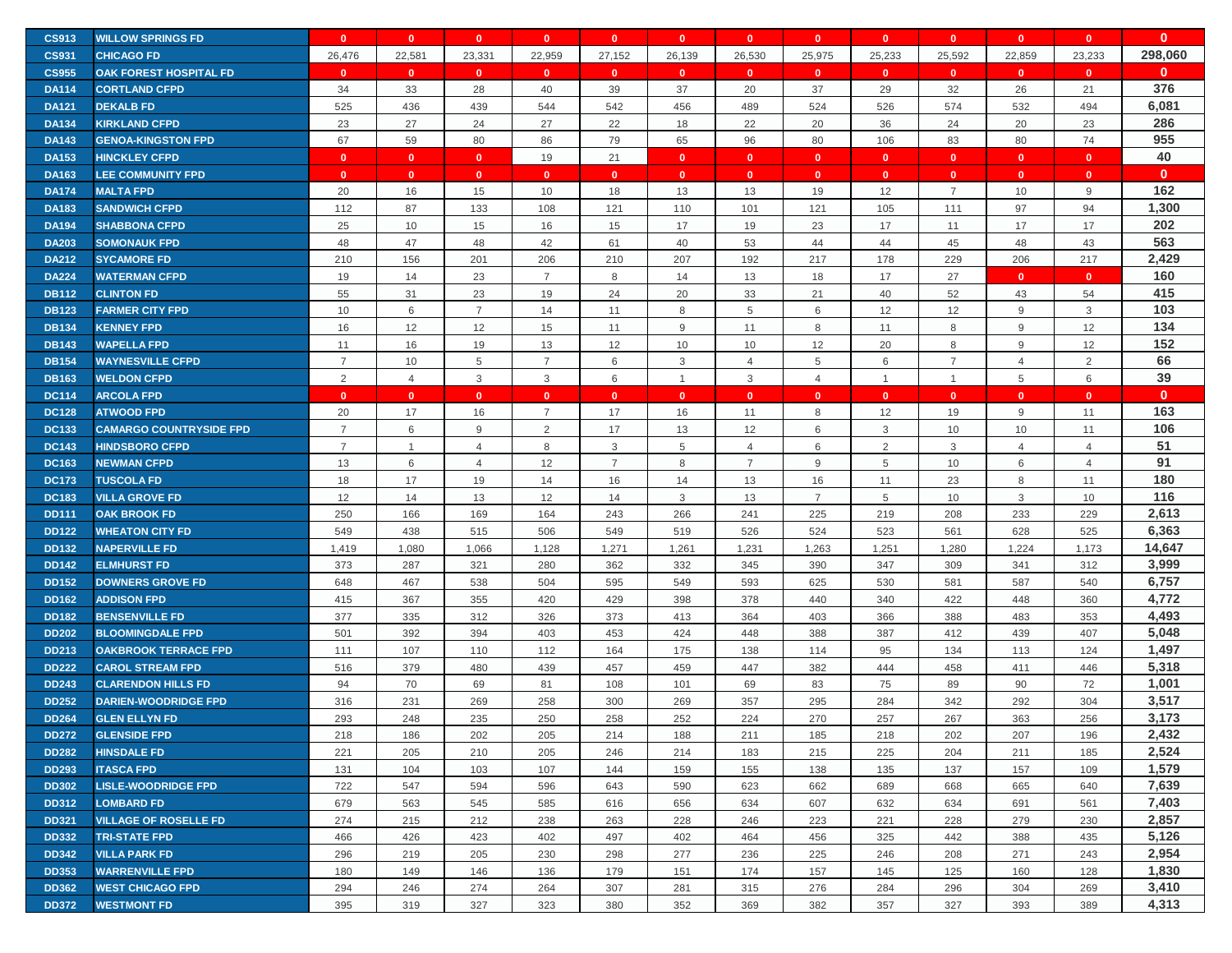| <b>CS913</b> | <b>WILLOW SPRINGS FD</b>       | $\mathbf{0}$   | $\mathbf{0}$   | $\mathbf{0}$            | $\mathbf{0}$   | $\mathbf{0}$   | $\mathbf{0}$   | $\mathbf{0}$   | $\mathbf{0}$   | $\mathbf{0}$   | $\mathbf{0}$   | $\mathbf{0}$   | $\mathbf{0}$   | $\mathbf{0}$ |
|--------------|--------------------------------|----------------|----------------|-------------------------|----------------|----------------|----------------|----------------|----------------|----------------|----------------|----------------|----------------|--------------|
| <b>CS931</b> | <b>CHICAGO FD</b>              | 26,476         | 22,581         | 23,331                  | 22,959         | 27,152         | 26,139         | 26,530         | 25,975         | 25,233         | 25,592         | 22,859         | 23,233         | 298,060      |
| <b>CS955</b> | <b>OAK FOREST HOSPITAL FD</b>  | $\mathbf{0}$   | $\mathbf{0}$   | $\overline{\mathbf{0}}$ | $\mathbf{0}$   | $\mathbf{0}$   | $\mathbf{0}$   | $\mathbf{0}$   | $\mathbf{0}$   | $\mathbf{0}$   | $\mathbf{0}$   | $\mathbf{0}$   | $\mathbf{0}$   | $\mathbf{0}$ |
| <b>DA114</b> | <b>CORTLAND CFPD</b>           | 34             | 33             | 28                      | 40             | 39             | 37             | 20             | 37             | 29             | 32             | 26             | 21             | 376          |
| <b>DA121</b> | <b>DEKALB FD</b>               | 525            | 436            | 439                     | 544            | 542            | 456            | 489            | 524            | 526            | 574            | 532            | 494            | 6,081        |
| <b>DA134</b> | <b>KIRKLAND CFPD</b>           | 23             | 27             | 24                      | 27             | 22             | 18             | 22             | 20             | 36             | 24             | 20             | 23             | 286          |
| <b>DA143</b> | <b>GENOA-KINGSTON FPD</b>      | 67             | 59             | 80                      | 86             | 79             | 65             | 96             | 80             | 106            | 83             | 80             | 74             | 955          |
| <b>DA153</b> | <b>HINCKLEY CFPD</b>           | $\mathbf{0}$   | $\mathbf{0}$   | $\mathbf{0}$            | 19             | 21             | $\mathbf{0}$   | $\mathbf{0}$   | $\mathbf{0}$   | $\mathbf{0}$   | $\mathbf{0}$   | $\mathbf{0}$   | $\mathbf{0}$   | 40           |
| <b>DA163</b> | <b>LEE COMMUNITY FPD</b>       | $\mathbf{0}$   | $\mathbf{0}$   | $\overline{\mathbf{0}}$ | $\mathbf{0}$   | $\mathbf{0}$   | $\mathbf{0}$   | $\mathbf{0}$   | $\mathbf{0}$   | $\mathbf{0}$   | $\mathbf{0}$   | $\mathbf{0}$   | $\mathbf{0}$   | $\mathbf{0}$ |
| <b>DA174</b> | <b>MALTA FPD</b>               | 20             | 16             | 15                      | 10             | 18             | 13             | 13             | 19             | 12             | $\overline{7}$ | 10             | 9              | 162          |
| <b>DA183</b> | <b>SANDWICH CFPD</b>           | 112            | 87             | 133                     | 108            | 121            | 110            | 101            | 121            | 105            | 111            | 97             | 94             | 1,300        |
| <b>DA194</b> | <b>SHABBONA CFPD</b>           | 25             | 10             | 15                      | 16             | 15             | 17             | 19             | 23             | 17             | 11             | 17             | 17             | 202          |
| <b>DA203</b> | <b>SOMONAUK FPD</b>            | 48             | 47             | 48                      | 42             | 61             | 40             | 53             | 44             | 44             | 45             | 48             | 43             | 563          |
| <b>DA212</b> | <b>SYCAMORE FD</b>             | 210            | 156            | 201                     | 206            | 210            | 207            | 192            | 217            | 178            | 229            | 206            | 217            | 2,429        |
| <b>DA224</b> | <b>WATERMAN CFPD</b>           | 19             | 14             | 23                      | $\overline{7}$ | 8              | 14             | 13             | 18             | 17             | 27             | $\mathbf{0}$   | $\mathbf{0}$   | 160          |
| <b>DB112</b> | <b>CLINTON FD</b>              | 55             | 31             | 23                      | 19             | 24             | 20             | 33             | 21             | 40             | 52             | 43             | 54             | 415          |
| <b>DB123</b> | <b>FARMER CITY FPD</b>         | 10             | 6              | $\overline{7}$          | 14             | 11             | 8              | 5              | 6              | 12             | 12             | 9              | 3              | 103          |
| <b>DB134</b> | <b>KENNEY FPD</b>              | 16             | 12             | 12                      | 15             | 11             | 9              | 11             | 8              | 11             | 8              | 9              | 12             | 134          |
| <b>DB143</b> | <b>WAPELLA FPD</b>             | 11             | 16             | 19                      | 13             | 12             | 10             | 10             | 12             | 20             | 8              | 9              | 12             | 152          |
| <b>DB154</b> | <b>WAYNESVILLE CFPD</b>        | $\overline{7}$ | 10             | $5\phantom{.0}$         | $\overline{7}$ | 6              | 3              | $\overline{4}$ | 5              | 6              | $\overline{7}$ | $\overline{4}$ | 2              | 66           |
| <b>DB163</b> | <b>WELDON CFPD</b>             | 2              | $\overline{4}$ | 3                       | 3              | 6              | $\overline{1}$ | 3              | $\overline{4}$ | $\overline{1}$ | $\overline{1}$ | 5              | 6              | 39           |
| <b>DC114</b> | <b>ARCOLA FPD</b>              | $\mathbf{0}$   | $\mathbf{0}$   | $\mathbf{0}$            | $\mathbf{0}$   | $\mathbf{0}$   | $\mathbf{0}$   | $\mathbf{0}$   | $\mathbf{0}$   | $\mathbf{0}$   | $\mathbf{0}$   | $\mathbf{0}$   | $\mathbf{0}$   | $\mathbf{0}$ |
| <b>DC128</b> | <b>ATWOOD FPD</b>              | 20             | 17             | 16                      | $\overline{7}$ | 17             | 16             | 11             | 8              | 12             | 19             | 9              | 11             | 163          |
| <b>DC133</b> | <b>CAMARGO COUNTRYSIDE FPD</b> | $\overline{7}$ | 6              | 9                       | 2              | 17             | 13             | 12             | 6              | $\mathbf{3}$   | 10             | 10             | 11             | 106          |
| <b>DC143</b> | <b>HINDSBORO CFPD</b>          | $\overline{7}$ | $\overline{1}$ | $\overline{4}$          | 8              | 3              | 5              | $\overline{4}$ | 6              | $\overline{2}$ | 3              | $\overline{4}$ | $\overline{4}$ | 51           |
| <b>DC163</b> | <b>NEWMAN CFPD</b>             | 13             | 6              | 4                       | 12             | $\overline{7}$ | 8              | $\overline{7}$ | $9\,$          | 5              | 10             | 6              | $\overline{4}$ | 91           |
| <b>DC173</b> | <b>TUSCOLA FD</b>              | 18             | 17             | 19                      | 14             | 16             | 14             | 13             | 16             | 11             | 23             | 8              | 11             | 180          |
| <b>DC183</b> | <b>VILLA GROVE FD</b>          | 12             | 14             | 13                      | 12             | 14             | 3              | 13             | $\overline{7}$ | 5              | 10             | 3              | 10             | 116          |
| <b>DD111</b> | <b>OAK BROOK FD</b>            | 250            | 166            | 169                     | 164            | 243            | 266            | 241            | 225            | 219            | 208            | 233            | 229            | 2,613        |
| <b>DD122</b> | <b>WHEATON CITY FD</b>         | 549            | 438            | 515                     | 506            | 549            | 519            | 526            | 524            | 523            | 561            | 628            | 525            | 6,363        |
| <b>DD132</b> | <b>NAPERVILLE FD</b>           | 1,419          | 1,080          | 1,066                   | 1,128          | 1,271          | 1,261          | 1,231          | 1,263          | 1,251          | 1,280          | 1,224          | 1,173          | 14,647       |
| <b>DD142</b> | <b>ELMHURST FD</b>             | 373            | 287            | 321                     | 280            | 362            | 332            | 345            | 390            | 347            | 309            | 341            | 312            | 3,999        |
| <b>DD152</b> | <b>DOWNERS GROVE FD</b>        | 648            | 467            | 538                     | 504            | 595            | 549            | 593            | 625            | 530            | 581            | 587            | 540            | 6,757        |
| <b>DD162</b> | <b>ADDISON FPD</b>             | 415            | 367            | 355                     | 420            | 429            | 398            | 378            | 440            | 340            | 422            | 448            | 360            | 4,772        |
| <b>DD182</b> | <b>BENSENVILLE FD</b>          | 377            | 335            | 312                     | 326            | 373            | 413            | 364            | 403            | 366            | 388            | 483            | 353            | 4,493        |
| <b>DD202</b> | <b>BLOOMINGDALE FPD</b>        | 501            | 392            | 394                     | 403            | 453            | 424            | 448            | 388            | 387            | 412            | 439            | 407            | 5,048        |
| <b>DD213</b> | <b>OAKBROOK TERRACE FPD</b>    | 111            | 107            | 110                     | 112            | 164            | 175            | 138            | 114            | 95             | 134            | 113            | 124            | 1,497        |
| <b>DD222</b> | <b>CAROL STREAM FPD</b>        | 516            | 379            | 480                     | 439            | 457            | 459            | 447            | 382            | 444            | 458            | 411            | 446            | 5,318        |
| <b>DD243</b> | <b>CLARENDON HILLS FD</b>      | 94             | 70             | 69                      | 81             | 108            | 101            | 69             | 83             | 75             | 89             | 90             | 72             | 1,001        |
| <b>DD252</b> | <b>DARIEN-WOODRIDGE FPD</b>    | 316            | 231            | 269                     | 258            | 300            | 269            | 357            | 295            | 284            | 342            | 292            | 304            | 3,517        |
| <b>DD264</b> | <b>GLEN ELLYN FD</b>           | 293            | 248            | 235                     | 250            | 258            | 252            | 224            | 270            | 257            | 267            | 363            | 256            | 3,173        |
| <b>DD272</b> | <b>GLENSIDE FPD</b>            | 218            | 186            | 202                     | 205            | 214            | 188            | 211            | 185            | 218            | 202            | 207            | 196            | 2,432        |
| <b>DD282</b> | <b>HINSDALE FD</b>             | 221            | 205            | 210                     | 205            | 246            | 214            | 183            | 215            | 225            | 204            | 211            | 185            | 2,524        |
| <b>DD293</b> | <b>ITASCA FPD</b>              | 131            | 104            | 103                     | 107            | 144            | 159            | 155            | 138            | 135            | 137            | 157            | 109            | 1,579        |
| <b>DD302</b> | <b>LISLE-WOODRIDGE FPD</b>     | 722            | 547            | 594                     | 596            | 643            | 590            | 623            | 662            | 689            | 668            | 665            | 640            | 7,639        |
| <b>DD312</b> | <b>LOMBARD FD</b>              | 679            | 563            | 545                     | 585            | 616            | 656            | 634            | 607            | 632            | 634            | 691            | 561            | 7,403        |
| <b>DD321</b> | <b>VILLAGE OF ROSELLE FD</b>   | 274            | 215            | 212                     | 238            | 263            | 228            | 246            | 223            | 221            | 228            | 279            | 230            | 2,857        |
| <b>DD332</b> | <b>TRI-STATE FPD</b>           | 466            | 426            | 423                     | 402            | 497            | 402            | 464            | 456            | 325            | 442            | 388            | 435            | 5,126        |
| <b>DD342</b> | <b>VILLA PARK FD</b>           | 296            | 219            | 205                     | 230            | 298            | 277            | 236            | 225            | 246            | 208            | 271            | 243            | 2,954        |
| <b>DD353</b> | <b>WARRENVILLE FPD</b>         | 180            | 149            | 146                     | 136            | 179            | 151            | 174            | 157            | 145            | 125            | 160            | 128            | 1,830        |
| <b>DD362</b> | <b>WEST CHICAGO FPD</b>        | 294            | 246            | 274                     | 264            | 307            | 281            | 315            | 276            | 284            | 296            | 304            | 269            | 3,410        |
| <b>DD372</b> | <b>WESTMONT FD</b>             | 395            | 319            | 327                     | 323            | 380            | 352            | 369            | 382            | 357            | 327            | 393            | 389            | 4,313        |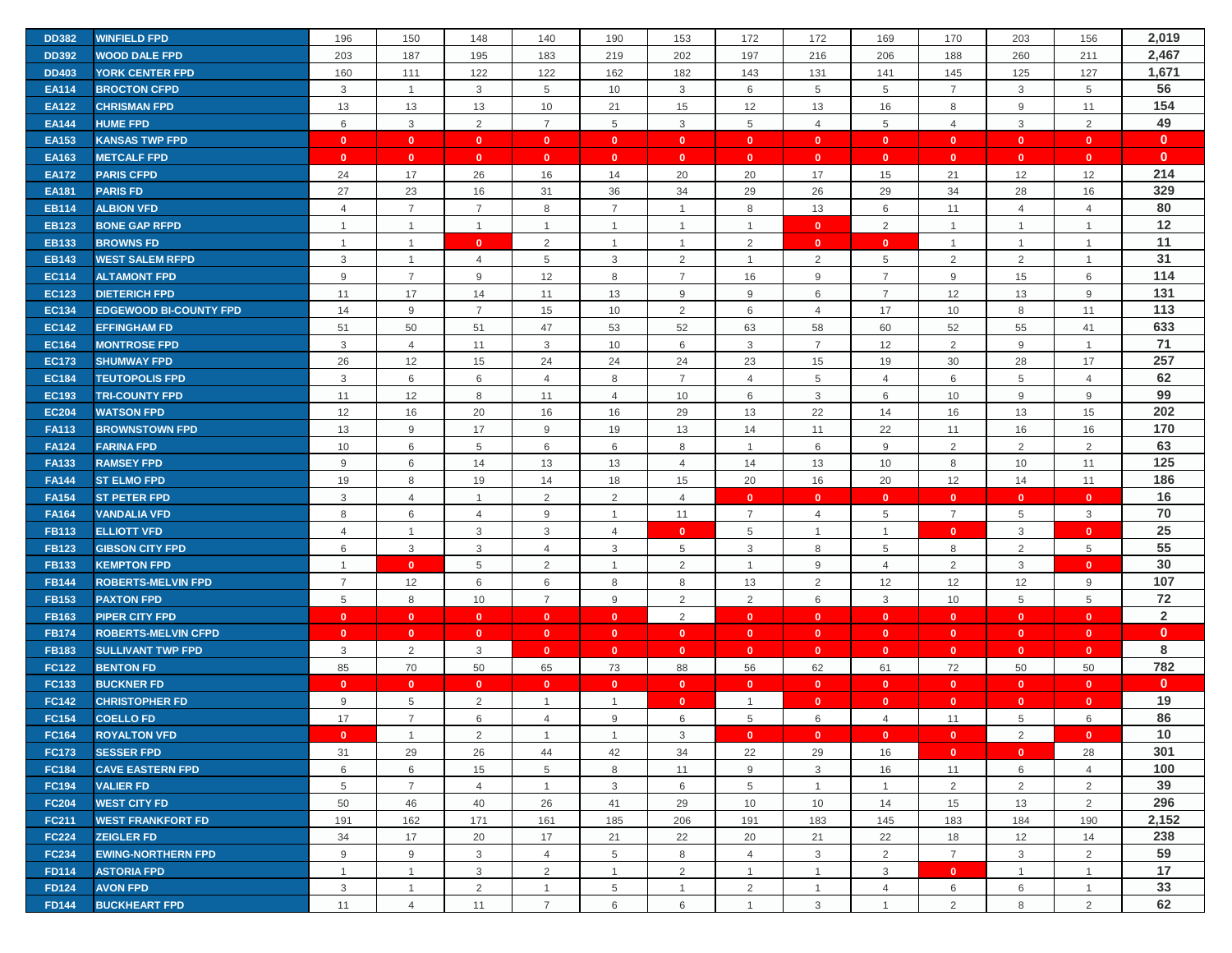| <b>DD382</b> | <b>WINFIELD FPD</b>           | 196            | 150            | 148            | 140             | 190            | 153            | 172            | 172            | 169            | 170            | 203            | 156            | 2,019          |
|--------------|-------------------------------|----------------|----------------|----------------|-----------------|----------------|----------------|----------------|----------------|----------------|----------------|----------------|----------------|----------------|
| <b>DD392</b> | <b>WOOD DALE FPD</b>          | 203            | 187            | 195            | 183             | 219            | 202            | 197            | 216            | 206            | 188            | 260            | 211            | 2,467          |
| <b>DD403</b> | <b>YORK CENTER FPD</b>        | 160            | 111            | 122            | 122             | 162            | 182            | 143            | 131            | 141            | 145            | 125            | 127            | 1,671          |
| <b>EA114</b> | <b>BROCTON CFPD</b>           | 3              | $\mathbf{1}$   | $\mathbf{3}$   | 5               | 10             | 3              | 6              | 5              | 5              | $\overline{7}$ | 3              | 5              | 56             |
| <b>EA122</b> | <b>CHRISMAN FPD</b>           | 13             | 13             | 13             | 10              | 21             | 15             | 12             | 13             | 16             | 8              | 9              | 11             | 154            |
| <b>EA144</b> | <b>HUME FPD</b>               | 6              | $\mathbf{3}$   | 2              | $\overline{7}$  | 5              | 3              | 5              | $\overline{4}$ | 5              | $\overline{4}$ | 3              | 2              | 49             |
| <b>EA153</b> | <b>KANSAS TWP FPD</b>         | $\mathbf{0}$   | $\mathbf{0}$   | $\mathbf{0}$   | $\mathbf{0}$    | $\mathbf{0}$   | $\mathbf{0}$   | $\mathbf{0}$   | $\mathbf{0}$   | $\mathbf{0}$   | $\mathbf{0}$   | $\mathbf{0}$   | $\mathbf{0}$   | $\mathbf{0}$   |
| <b>EA163</b> | <b>METCALF FPD</b>            | $\mathbf{0}$   | $\mathbf{0}$   | $\mathbf{0}$   | $\mathbf{0}$    | $\mathbf{0}$   | $\mathbf{0}$   | $\mathbf{0}$   | $\mathbf{0}$   | $\mathbf{0}$   | $\mathbf{0}$   | $\mathbf{0}$   | $\mathbf{0}$   | $\mathbf{0}$   |
| <b>EA172</b> | <b>PARIS CFPD</b>             | 24             | 17             | 26             | 16              | 14             | 20             | 20             | 17             | 15             | 21             | 12             | 12             | 214            |
| <b>EA181</b> | <b>PARIS FD</b>               | 27             | 23             | 16             | 31              | 36             | 34             | 29             | 26             | 29             | 34             | 28             | 16             | 329            |
| <b>EB114</b> | <b>ALBION VFD</b>             | $\overline{4}$ | $\overline{7}$ | $\overline{7}$ | 8               | $\overline{7}$ | $\overline{1}$ | 8              | 13             | $\,6\,$        | 11             | $\overline{4}$ | $\overline{4}$ | 80             |
| <b>EB123</b> | <b>BONE GAP RFPD</b>          | $\overline{1}$ | $\mathbf{1}$   | $\overline{1}$ | $\overline{1}$  | $\mathbf{1}$   | $\overline{1}$ | 1              | $\mathbf{0}$   | $\overline{2}$ | $\overline{1}$ | $\mathbf{1}$   | $\overline{1}$ | 12             |
| <b>EB133</b> | <b>BROWNS FD</b>              | $\overline{1}$ | $\mathbf{1}$   | $\mathbf{0}$   | 2               | $\mathbf{1}$   | $\overline{1}$ | $\overline{2}$ | $\mathbf{0}$   | $\mathbf{0}$   | $\overline{1}$ | $\mathbf{1}$   | $\overline{1}$ | 11             |
| <b>EB143</b> | <b>WEST SALEM RFPD</b>        | 3              | $\overline{1}$ | $\overline{4}$ | 5               | 3              | 2              | $\mathbf 1$    | 2              | 5              | 2              | $\overline{2}$ | $\overline{1}$ | 31             |
| <b>EC114</b> | <b>ALTAMONT FPD</b>           | 9              | $\overline{7}$ | 9              | 12              | 8              | $\overline{7}$ | 16             | 9              | $\overline{7}$ | 9              | 15             | 6              | 114            |
| <b>EC123</b> | <b>DIETERICH FPD</b>          | 11             | 17             | 14             | 11              | 13             | 9              | 9              | 6              | $\overline{7}$ | 12             | 13             | 9              | 131            |
| <b>EC134</b> | <b>EDGEWOOD BI-COUNTY FPD</b> | 14             | 9              | $\overline{7}$ | 15              | 10             | 2              | 6              | $\overline{4}$ | 17             | 10             | 8              | 11             | 113            |
| <b>EC142</b> | <b>EFFINGHAM FD</b>           | 51             | 50             | 51             | 47              | 53             | 52             | 63             | 58             | 60             | 52             | 55             | 41             | 633            |
| <b>EC164</b> | <b>MONTROSE FPD</b>           | 3              | $\overline{4}$ | 11             | 3               | 10             | 6              | 3              | $\overline{7}$ | 12             | $\overline{2}$ | 9              | $\overline{1}$ | 71             |
| <b>EC173</b> | <b>SHUMWAY FPD</b>            | 26             | 12             | 15             | 24              | 24             | 24             | 23             | 15             | 19             | 30             | 28             | 17             | 257            |
| <b>EC184</b> | <b>TEUTOPOLIS FPD</b>         | 3              | 6              | 6              | $\overline{4}$  | 8              | $\overline{7}$ | $\overline{4}$ | 5              | $\overline{4}$ | 6              | 5              | $\overline{4}$ | 62             |
| <b>EC193</b> | <b>TRI-COUNTY FPD</b>         | 11             | 12             | 8              | 11              | $\overline{4}$ | 10             | 6              | 3              | 6              | 10             | 9              | 9              | 99             |
| <b>EC204</b> | <b>WATSON FPD</b>             | 12             | 16             | 20             | 16              | 16             | 29             | 13             | 22             | 14             | 16             | 13             | 15             | 202            |
| <b>FA113</b> | <b>BROWNSTOWN FPD</b>         | 13             | 9              | 17             | 9               | 19             | 13             | 14             | 11             | 22             | 11             | 16             | 16             | 170            |
| <b>FA124</b> | <b>FARINA FPD</b>             | 10             | 6              | 5              | 6               | 6              | 8              | -1             | 6              | 9              | 2              | 2              | 2              | 63             |
| <b>FA133</b> | <b>RAMSEY FPD</b>             | 9              | 6              | 14             | 13              | 13             | $\overline{4}$ | 14             | 13             | 10             | 8              | 10             | 11             | 125            |
| <b>FA144</b> | <b>ST ELMO FPD</b>            | 19             | 8              | 19             | 14              | 18             | 15             | 20             | 16             | 20             | 12             | 14             | 11             | 186            |
| <b>FA154</b> | <b>ST PETER FPD</b>           | 3              | $\overline{4}$ | $\overline{1}$ | 2               | 2              | $\overline{4}$ | $\mathbf{0}$   | $\mathbf{0}$   | $\mathbf{0}$   | $\mathbf{0}$   | $\mathbf{0}$   | $\mathbf{0}$   | 16             |
| <b>FA164</b> | <b>VANDALIA VFD</b>           | 8              | 6              | $\overline{4}$ | 9               | $\mathbf{1}$   | 11             | $\overline{7}$ | 4              | $\,$ 5 $\,$    | $\overline{7}$ | 5              | 3              | 70             |
| <b>FB113</b> | <b>ELLIOTT VFD</b>            | $\overline{4}$ | $\mathbf{1}$   | 3              | 3               | 4              | $\mathbf{0}$   | 5              | $\mathbf{1}$   | $\mathbf{1}$   | $\mathbf{0}$   | 3              | $\mathbf{0}$   | 25             |
| <b>FB123</b> | <b>GIBSON CITY FPD</b>        | 6              | 3              | 3              | $\overline{4}$  | 3              | 5              | 3              | 8              | 5              | 8              | 2              | 5              | 55             |
| <b>FB133</b> | <b>KEMPTON FPD</b>            | $\overline{1}$ | $\mathbf{0}$   | 5              | 2               | $\overline{1}$ | $\overline{2}$ | $\overline{1}$ | 9              | $\overline{4}$ | 2              | 3              | $\mathbf{0}$   | 30             |
| <b>FB144</b> | <b>ROBERTS-MELVIN FPD</b>     | $\overline{7}$ | 12             | 6              | 6               | 8              | 8              | 13             | $\overline{2}$ | 12             | 12             | 12             | 9              | 107            |
| <b>FB153</b> | <b>PAXTON FPD</b>             | 5              | 8              | 10             | $\overline{7}$  | 9              | 2              | $\overline{2}$ | 6              | 3              | 10             | 5              | 5              | 72             |
| <b>FB163</b> | <b>PIPER CITY FPD</b>         | $\mathbf{0}$   | $\mathbf{0}$   | $\mathbf{0}$   | $\mathbf{0}$    | $\mathbf{0}$   | $\overline{2}$ | $\mathbf{0}$   | $\mathbf{0}$   | $\mathbf{0}$   | $\mathbf{0}$   | $\mathbf{0}$   | $\mathbf{0}$   | $\overline{2}$ |
| <b>FB174</b> | <b>ROBERTS-MELVIN CFPD</b>    | $\mathbf{0}$   | $\mathbf{0}$   | $\mathbf{0}$   | $\mathbf{0}$    | $\mathbf{0}$   | $\mathbf{0}$   | $\mathbf{0}$   | $\mathbf{0}$   | $\mathbf{0}$   | $\mathbf{0}$   | $\mathbf{0}$   | $\mathbf{0}$   | $\mathbf{0}$   |
| <b>FB183</b> | <b>SULLIVANT TWP FPD</b>      | 3              | 2              | 3              | $\mathbf{0}$    | $\mathbf{0}$   | $\mathbf{0}$   | $\mathbf{0}$   | $\mathbf{0}$   | $\mathbf{0}$   | $\mathbf{0}$   | $\mathbf{0}$   | $\mathbf{0}$   | 8              |
| <b>FC122</b> | <b>BENTON FD</b>              | 85             | 70             | 50             | 65              | 73             | 88             | 56             | 62             | 61             | 72             | 50             | 50             | 782            |
| FC133        | <b>BUCKNER FD</b>             | $\mathbf{0}$   | $\mathbf{0}$   | $\mathbf{0}$   | $\mathbf{0}$    | $\mathbf{0}$   | $\mathbf{0}$   | $\mathbf{0}$   | $\mathbf{0}$   | $\mathbf{0}$   | $\mathbf{0}$   | $\mathbf{0}$   | $\mathbf{0}$   | $\mathbf{0}$   |
| <b>FC142</b> | <b>CHRISTOPHER FD</b>         | 9              | 5              | $\overline{2}$ | 1               |                | $\mathbf{0}$   |                | $\mathbf{0}$   | $\mathbf{0}$   | $\mathbf{0}$   | $\mathbf{0}$   | $\mathbf{0}$   | 19             |
| <b>FC154</b> | <b>COELLO FD</b>              | 17             | $\overline{7}$ | 6              | 4               | 9              | 6              | 5              | 6              | $\overline{4}$ | 11             | 5              | 6              | 86             |
| <b>FC164</b> | <b>ROYALTON VFD</b>           | $\mathbf{0}$   | $\mathbf{1}$   | 2              | $\overline{1}$  | $\mathbf{1}$   | 3              | $\overline{0}$ | $\mathbf{0}$   | $\mathbf{0}$   | $\mathbf{0}$   | 2              | $\mathbf{0}$   | 10             |
| <b>FC173</b> | <b>SESSER FPD</b>             | 31             | 29             | 26             | 44              | 42             | 34             | 22             | 29             | 16             | $\bullet$      | $\mathbf{0}$   | 28             | 301            |
| <b>FC184</b> | <b>CAVE EASTERN FPD</b>       | 6              | 6              | 15             | $5\phantom{.0}$ | 8              | 11             | 9              | 3              | 16             | 11             | 6              | 4              | 100            |
| <b>FC194</b> | <b>VALIER FD</b>              | 5              | $\overline{7}$ | $\overline{4}$ | $\mathbf{1}$    | 3              | 6              | 5              | $\mathbf{1}$   | $\overline{1}$ | 2              | $\overline{2}$ | $\overline{2}$ | 39             |
| <b>FC204</b> | <b>WEST CITY FD</b>           | 50             | 46             | 40             | 26              | 41             | 29             | 10             | 10             | 14             | 15             | 13             | 2              | 296            |
| <b>FC211</b> | <b>WEST FRANKFORT FD</b>      | 191            | 162            | 171            | 161             | 185            | 206            | 191            | 183            | 145            | 183            | 184            | 190            | 2,152          |
| <b>FC224</b> | <b>ZEIGLER FD</b>             | 34             | 17             | 20             | 17              | 21             | 22             | 20             | 21             | 22             | 18             | 12             | 14             | 238            |
| <b>FC234</b> | <b>EWING-NORTHERN FPD</b>     | 9              | $9\,$          | $\mathbf{3}$   | $\overline{4}$  | 5              | 8              | $\overline{4}$ | 3              | $\overline{2}$ | $\overline{7}$ | 3              | 2              | 59             |
| <b>FD114</b> | <b>ASTORIA FPD</b>            | $\mathbf{1}$   | $\mathbf{1}$   | $\mathbf{3}$   | 2               | $\mathbf{1}$   | $\overline{2}$ | $\overline{1}$ | $\mathbf{1}$   | 3              | $\mathbf{0}$   | $\mathbf{1}$   | $\mathbf{1}$   | 17             |
| <b>FD124</b> | <b>AVON FPD</b>               | 3              | $\mathbf{1}$   | $\overline{2}$ | $\mathbf{1}$    | 5              | $\overline{1}$ | $\overline{2}$ | $\mathbf{1}$   | $\overline{4}$ | 6              | 6              | $\overline{1}$ | 33             |
| <b>FD144</b> | <b>BUCKHEART FPD</b>          | 11             | $\overline{4}$ | 11             | $\overline{7}$  | 6              | 6              | $\overline{1}$ | 3              | $\mathbf{1}$   | 2              | 8              | $\overline{2}$ | 62             |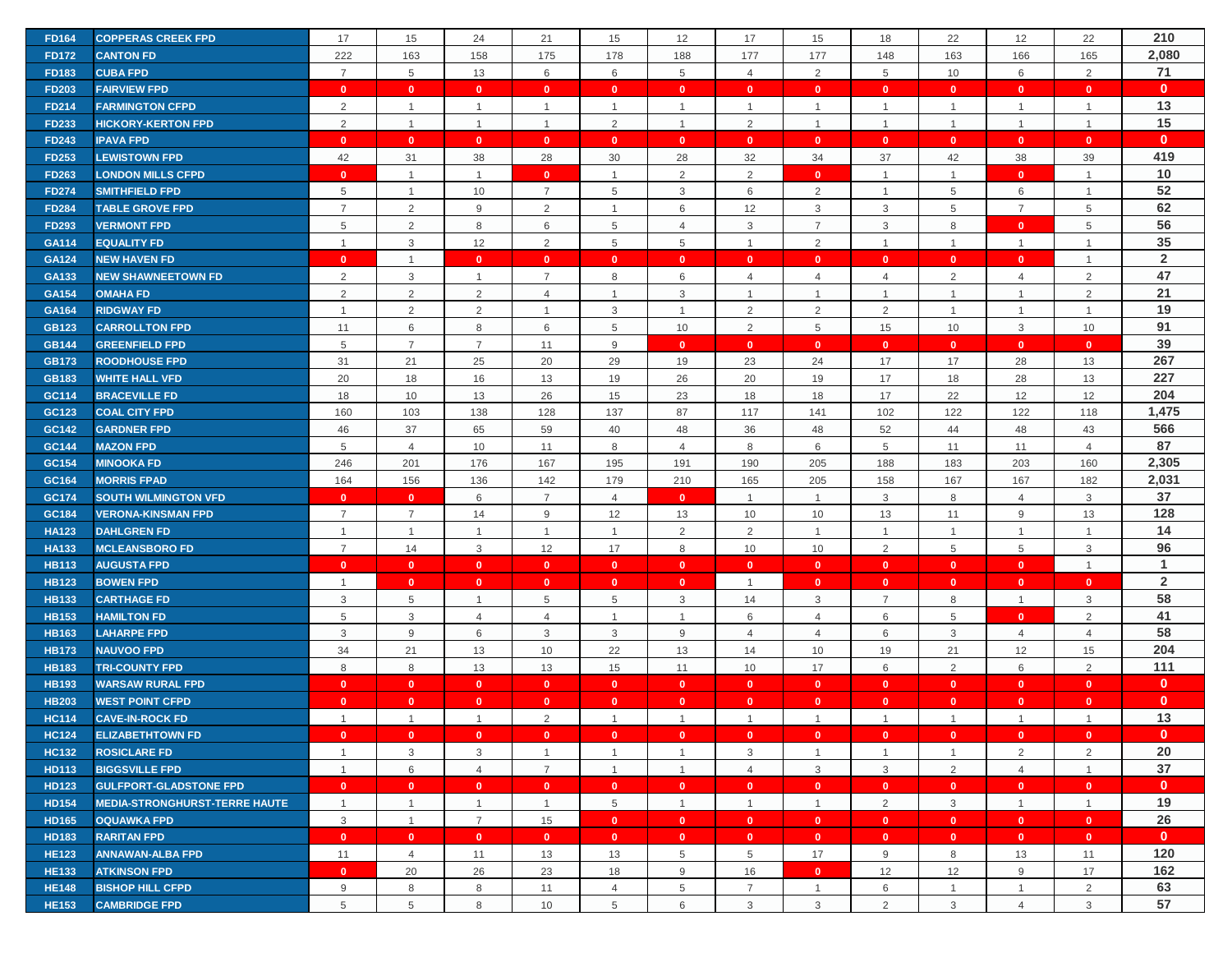| <b>FD164</b> | <b>COPPERAS CREEK FPD</b>            | 17             | 15                   | 24                      | 21             | 15                   | 12             | 17                      | 15             | 18                   | 22             | 12             | 22                   | 210            |
|--------------|--------------------------------------|----------------|----------------------|-------------------------|----------------|----------------------|----------------|-------------------------|----------------|----------------------|----------------|----------------|----------------------|----------------|
| <b>FD172</b> | <b>CANTON FD</b>                     | 222            | 163                  | 158                     | 175            | 178                  | 188            | 177                     | 177            | 148                  | 163            | 166            | 165                  | 2,080          |
| <b>FD183</b> | <b>CUBA FPD</b>                      | $\overline{7}$ | 5                    | 13                      | 6              | 6                    | $\overline{5}$ | $\overline{4}$          | $\overline{2}$ | 5                    | 10             | 6              | $\overline{2}$       | 71             |
| <b>FD203</b> | <b>FAIRVIEW FPD</b>                  | $\mathbf{0}$   | $\mathbf{0}$         | $\overline{\mathbf{0}}$ | $\mathbf{0}$   | $\mathbf{0}$         | $\mathbf{0}$   | $\overline{\mathbf{0}}$ | $\mathbf{0}$   | $\mathbf{0}$         | $\mathbf{0}$   | $\mathbf{0}$   | $\mathbf{0}$         | $\mathbf{0}$   |
| <b>FD214</b> | <b>FARMINGTON CFPD</b>               | 2              | $\mathbf{1}$         | $\overline{1}$          | $\mathbf{1}$   | $\mathbf{1}$         | $\overline{1}$ | $\overline{1}$          | $\mathbf{1}$   | $\overline{1}$       | $\overline{1}$ | $\mathbf{1}$   | $\mathbf{1}$         | 13             |
| <b>FD233</b> | <b>HICKORY-KERTON FPD</b>            | 2              | $\mathbf{1}$         | $\overline{1}$          | $\mathbf{1}$   | $\overline{2}$       | $\overline{1}$ | $\overline{2}$          | $\mathbf{1}$   | $\mathbf{1}$         | $\overline{1}$ | $\overline{1}$ | $\mathbf{1}$         | 15             |
| <b>FD243</b> | <b>IPAVA FPD</b>                     | $\Omega$       | $\mathbf{0}$         |                         | $\mathbf{0}$   | $\mathbf{0}$         | $\mathbf{0}$   | $\mathbf{0}$            | $\mathbf{0}$   | $\mathbf{0}$         | $\mathbf{0}$   | $\mathbf{0}$   | $\mathbf{0}$         | $\mathbf{0}$   |
|              |                                      |                |                      | $\mathbf{0}$            |                |                      |                |                         |                |                      |                |                |                      | 419            |
| <b>FD253</b> | <b>LEWISTOWN FPD</b>                 | 42             | 31<br>$\overline{1}$ | 38                      | 28             | 30<br>$\overline{1}$ | 28             | 32                      | 34             | 37<br>$\overline{1}$ | 42             | 38             | 39<br>$\overline{1}$ | 10             |
| <b>FD263</b> | <b>LONDON MILLS CFPD</b>             | $\mathbf{0}$   |                      | $\mathbf{1}$            | $\mathbf{0}$   |                      | $\overline{2}$ | $\overline{2}$          | $\mathbf{0}$   |                      | $\overline{1}$ | $\mathbf{0}$   |                      | 52             |
| <b>FD274</b> | <b>SMITHFIELD FPD</b>                | 5              | $\mathbf{1}$         | 10                      | $\overline{7}$ | $\,$ 5 $\,$          | $\mathbf{3}$   | 6                       | $\overline{2}$ | $\mathbf{1}$         | $\overline{5}$ | 6              | $\mathbf{1}$         |                |
| <b>FD284</b> | <b>TABLE GROVE FPD</b>               | $\overline{7}$ | $\overline{2}$       | 9                       | 2              | $\mathbf{1}$         | 6              | 12                      | 3              | 3                    | 5              | $\overline{7}$ | 5                    | 62             |
| <b>FD293</b> | <b>VERMONT FPD</b>                   | 5              | $\overline{2}$       | 8                       | 6              | $\,$ 5 $\,$          | $\overline{4}$ | 3                       | $\overline{7}$ | 3                    | 8              | $\mathbf{0}$   | 5                    | 56             |
| GA114        | <b>EQUALITY FD</b>                   | $\overline{1}$ | $\mathbf{3}$         | 12                      | 2              | 5                    | 5              | $\overline{1}$          | 2              | $\mathbf{1}$         | $\overline{1}$ | $\mathbf{1}$   | $\overline{1}$       | 35             |
| <b>GA124</b> | <b>NEW HAVEN FD</b>                  | $\mathbf{0}$   | $\overline{1}$       | $\mathbf{0}$            | $\mathbf{0}$   | $\mathbf{0}$         | $\mathbf{0}$   | $\mathbf{0}$            | $\mathbf{0}$   | $\mathbf{0}$         | $\mathbf{0}$   | $\mathbf{0}$   | $\overline{1}$       | $\overline{2}$ |
| GA133        | <b>NEW SHAWNEETOWN FD</b>            | $\overline{2}$ | $\mathbf{3}$         | $\overline{1}$          | $\overline{7}$ | 8                    | 6              | $\overline{4}$          | $\overline{4}$ | $\overline{4}$       | $\overline{2}$ | $\overline{4}$ | $\overline{2}$       | 47             |
| <b>GA154</b> | <b>OMAHA FD</b>                      | 2              | 2                    | $\overline{2}$          | $\overline{4}$ | $\mathbf{1}$         | 3              | $\overline{1}$          | $\mathbf{1}$   | $\mathbf{1}$         | $\overline{1}$ | $\mathbf{1}$   | $\overline{2}$       | 21             |
| GA164        | <b>RIDGWAY FD</b>                    | -1             | $\overline{2}$       | $\overline{2}$          | -1             | 3                    | $\overline{1}$ | $\overline{2}$          | $\overline{2}$ | $\overline{2}$       | $\overline{1}$ | $\mathbf{1}$   | $\mathbf{1}$         | 19             |
| <b>GB123</b> | <b>CARROLLTON FPD</b>                | 11             | $6\phantom{1}6$      | 8                       | 6              | 5                    | 10             | 2                       | 5              | 15                   | 10             | 3              | 10                   | 91             |
| <b>GB144</b> | <b>GREENFIELD FPD</b>                | 5              | $\overline{7}$       | $\overline{7}$          | 11             | 9                    | $\mathbf{0}$   | $\mathbf{0}$            | $\mathbf{0}$   | $\mathbf{0}$         | $\mathbf{0}$   | $\mathbf{0}$   | $\mathbf{0}$         | 39             |
| <b>GB173</b> | <b>ROODHOUSE FPD</b>                 | 31             | 21                   | 25                      | 20             | 29                   | 19             | 23                      | 24             | 17                   | 17             | 28             | 13                   | 267            |
| <b>GB183</b> | <b>WHITE HALL VFD</b>                | 20             | 18                   | 16                      | 13             | 19                   | 26             | 20                      | 19             | 17                   | 18             | 28             | 13                   | 227            |
| GC114        | <b>BRACEVILLE FD</b>                 | 18             | 10                   | 13                      | 26             | 15                   | 23             | 18                      | 18             | 17                   | 22             | 12             | 12                   | 204            |
| GC123        | <b>COAL CITY FPD</b>                 | 160            | 103                  | 138                     | 128            | 137                  | 87             | 117                     | 141            | 102                  | 122            | 122            | 118                  | 1,475          |
| GC142        | <b>GARDNER FPD</b>                   | 46             | 37                   | 65                      | 59             | 40                   | 48             | 36                      | 48             | 52                   | 44             | 48             | 43                   | 566            |
| GC144        | <b>MAZON FPD</b>                     | 5              | $\overline{4}$       | 10                      | 11             | 8                    | $\overline{4}$ | 8                       | 6              | 5                    | 11             | 11             | $\overline{4}$       | 87             |
| GC154        | <b>MINOOKA FD</b>                    | 246            | 201                  | 176                     | 167            | 195                  | 191            | 190                     | 205            | 188                  | 183            | 203            | 160                  | 2,305          |
| GC164        | <b>MORRIS FPAD</b>                   | 164            | 156                  | 136                     | 142            | 179                  | 210            | 165                     | 205            | 158                  | 167            | 167            | 182                  | 2,031          |
| GC174        | <b>SOUTH WILMINGTON VFD</b>          | $\mathbf{0}$   | $\mathbf{0}$         | 6                       | $\overline{7}$ | $\overline{4}$       | $\mathbf{0}$   | $\overline{1}$          | 1              | 3                    | 8              | 4              | 3                    | 37             |
| GC184        | <b>VERONA-KINSMAN FPD</b>            | $\overline{7}$ | $\overline{7}$       | 14                      | 9              | 12                   | 13             | 10                      | 10             | 13                   | 11             | 9              | 13                   | 128            |
| <b>HA123</b> | <b>DAHLGREN FD</b>                   | $\overline{1}$ | $\mathbf{1}$         | $\overline{1}$          | $\mathbf{1}$   | $\mathbf{1}$         | 2              | 2                       | $\mathbf{1}$   | $\overline{1}$       | $\overline{1}$ | $\mathbf{1}$   | $\mathbf{1}$         | 14             |
| <b>HA133</b> | <b>MCLEANSBORO FD</b>                | $\overline{7}$ | 14                   | $\mathbf{3}$            | 12             | 17                   | 8              | 10                      | 10             | 2                    | $\overline{5}$ | 5              | 3                    | 96             |
| <b>HB113</b> | <b>AUGUSTA FPD</b>                   | $\mathbf{0}$   | $\mathbf{0}$         | $\mathbf{0}$            | $\mathbf{0}$   | $\mathbf{0}$         | $\mathbf{0}$   | $\overline{\mathbf{0}}$ | $\mathbf{0}$   | $\mathbf{0}$         | $\mathbf{0}$   | $\mathbf{0}$   | $\mathbf{1}$         | $\mathbf{1}$   |
| <b>HB123</b> | <b>BOWEN FPD</b>                     | $\overline{1}$ | $\mathbf{0}$         | $\mathbf{0}$            | $\bullet$      | $\mathbf{0}$         | $\mathbf{0}$   | $\overline{1}$          | $\mathbf{0}$   | $\mathbf{0}$         | $\mathbf{0}$   | $\mathbf{0}$   | $\mathbf{0}$         | $\overline{2}$ |
| <b>HB133</b> | <b>CARTHAGE FD</b>                   | 3              | 5                    | -1                      | 5              | 5                    | 3              | 14                      | 3              | $\overline{7}$       | 8              | $\mathbf{1}$   | 3                    | 58             |
| <b>HB153</b> | <b>HAMILTON FD</b>                   | 5              | 3                    | 4                       | 4              | $\mathbf{1}$         | $\overline{1}$ | 6                       | 4              | 6                    | 5              | $\mathbf{0}$   | 2                    | 41             |
| <b>HB163</b> | <b>LAHARPE FPD</b>                   | 3              | 9                    | 6                       | 3              | 3                    | 9              | $\overline{4}$          | $\overline{4}$ | 6                    | 3              | $\overline{4}$ | $\overline{4}$       | 58             |
| <b>HB173</b> | <b>NAUVOO FPD</b>                    | 34             | 21                   | 13                      | 10             | 22                   | 13             | 14                      | 10             | 19                   | 21             | 12             | 15                   | 204            |
| <b>HB183</b> | <b>TRI-COUNTY FPD</b>                | 8              | $\,8\,$              | 13                      | 13             | 15                   | 11             | 10                      | 17             | 6                    | 2              | 6              | 2                    | 111            |
| <b>HB193</b> | <b>WARSAW RURAL FPD</b>              | $\mathbf{0}$   | $\mathbf{0}$         | $\bullet$               | $\overline{0}$ | $\mathbf{0}$         | $\mathbf{0}$   | $\mathbf{0}$            | $\mathbf{0}$   | $\mathbf{0}$         | $\mathbf{0}$   | $\mathbf{0}$   | $\mathbf{0}$         | $\mathbf{0}$   |
| <b>HB203</b> | <b>WEST POINT CFPD</b>               | $\mathbf{0}$   | $\mathbf{0}$         | $\mathbf{0}$            | $\mathbf{0}$   | $\mathbf{0}$         | $\mathbf{0}$   | $\mathbf{0}$            | $\mathbf{0}$   | $\mathbf{0}$         | $\mathbf{0}$   | $\mathbf{0}$   | $\mathbf{0}$         | $\mathbf{0}$   |
| <b>HC114</b> | <b>CAVE-IN-ROCK FD</b>               | $\overline{1}$ | $\overline{1}$       | $\overline{1}$          | 2              | $\mathbf{1}$         | $\overline{1}$ | $\overline{1}$          | $\mathbf{1}$   | $\overline{1}$       | $\overline{1}$ | $\mathbf{1}$   | $\overline{1}$       | 13             |
| <b>HC124</b> | <b>ELIZABETHTOWN FD</b>              | $\mathbf{0}$   | $\mathbf{0}$         | $\overline{0}$          | $\overline{0}$ | $\mathbf{0}$         | $\mathbf{0}$   | $\mathbf{0}$            | $\mathbf{0}$   | $\mathbf{0}$         | $\bullet$      | $\mathbf{0}$   | $\overline{0}$       | $\mathbf{0}$   |
| <b>HC132</b> | <b>ROSICLARE FD</b>                  | $\overline{1}$ | $\mathbf{3}$         | $\mathbf{3}$            | $\overline{1}$ | $\mathbf{1}$         | $\mathbf{1}$   | $\mathbf{3}$            | $\mathbf{1}$   | $\mathbf{1}$         | $\mathbf{1}$   | $\overline{2}$ | 2                    | 20             |
| <b>HD113</b> | <b>BIGGSVILLE FPD</b>                | $\overline{1}$ | 6                    | $\overline{4}$          | $\overline{7}$ | $\mathbf{1}$         | $\overline{1}$ | $\overline{4}$          | 3              | $\mathbf{3}$         | 2              | $\overline{4}$ | $\mathbf{1}$         | 37             |
| <b>HD123</b> | <b>GULFPORT-GLADSTONE FPD</b>        | $\mathbf{0}$   | $\mathbf{0}$         | $\bullet$               | $\bullet$      | $\mathbf{0}$         | $\mathbf{0}$   | $\mathbf{0}$            | $\mathbf{0}$   | $\mathbf{0}$         | $\mathbf{0}$   | $\mathbf{0}$   | $\mathbf{0}$         | $\mathbf{0}$   |
| <b>HD154</b> | <b>MEDIA-STRONGHURST-TERRE HAUTE</b> | $\mathbf{1}$   | $\mathbf{1}$         | $\mathbf{1}$            | $\mathbf{1}$   | 5                    | $\overline{1}$ | $\overline{1}$          | $\mathbf{1}$   | $\overline{2}$       | 3              | $\mathbf{1}$   | $\overline{1}$       | 19             |
| <b>HD165</b> | <b>OQUAWKA FPD</b>                   | 3              | $\mathbf{1}$         | $\overline{7}$          | 15             | $\mathbf{0}$         | $\mathbf{0}$   | $\mathbf{0}$            | $\mathbf{0}$   | $\mathbf{0}$         | $\mathbf{0}$   | $\mathbf{0}$   | $\mathbf{0}$         | 26             |
| <b>HD183</b> | <b>RARITAN FPD</b>                   | $\mathbf{0}$   | $\mathbf{0}$         | $\mathbf{0}$            | $\mathbf{0}$   | $\mathbf{0}$         | $\mathbf{0}$   | $\mathbf{0}$            | $\mathbf{0}$   | $\mathbf{0}$         | $\mathbf{0}$   | $\mathbf{0}$   | $\mathbf{0}$         | $\mathbf{0}$   |
| <b>HE123</b> | <b>ANNAWAN-ALBA FPD</b>              | 11             | $\overline{4}$       | 11                      | 13             | 13                   | 5              | 5                       | 17             | 9                    | 8              | 13             | 11                   | 120            |
| <b>HE133</b> | <b>ATKINSON FPD</b>                  | $\mathbf{0}$   | 20                   | 26                      | 23             | 18                   | 9              | 16                      | $\mathbf{0}$   | 12                   | 12             | 9              | 17                   | 162            |
| <b>HE148</b> | <b>BISHOP HILL CFPD</b>              | 9              | 8                    | 8                       | 11             | $\overline{4}$       | 5              | $\overline{7}$          | $\mathbf{1}$   | 6                    | $\overline{1}$ | $\mathbf{1}$   | 2                    | 63             |
| <b>HE153</b> | <b>CAMBRIDGE FPD</b>                 | 5              | 5                    | 8                       | 10             | 5                    | 6              | $\mathbf{3}$            | 3              | 2                    | 3              | $\overline{4}$ | 3                    | 57             |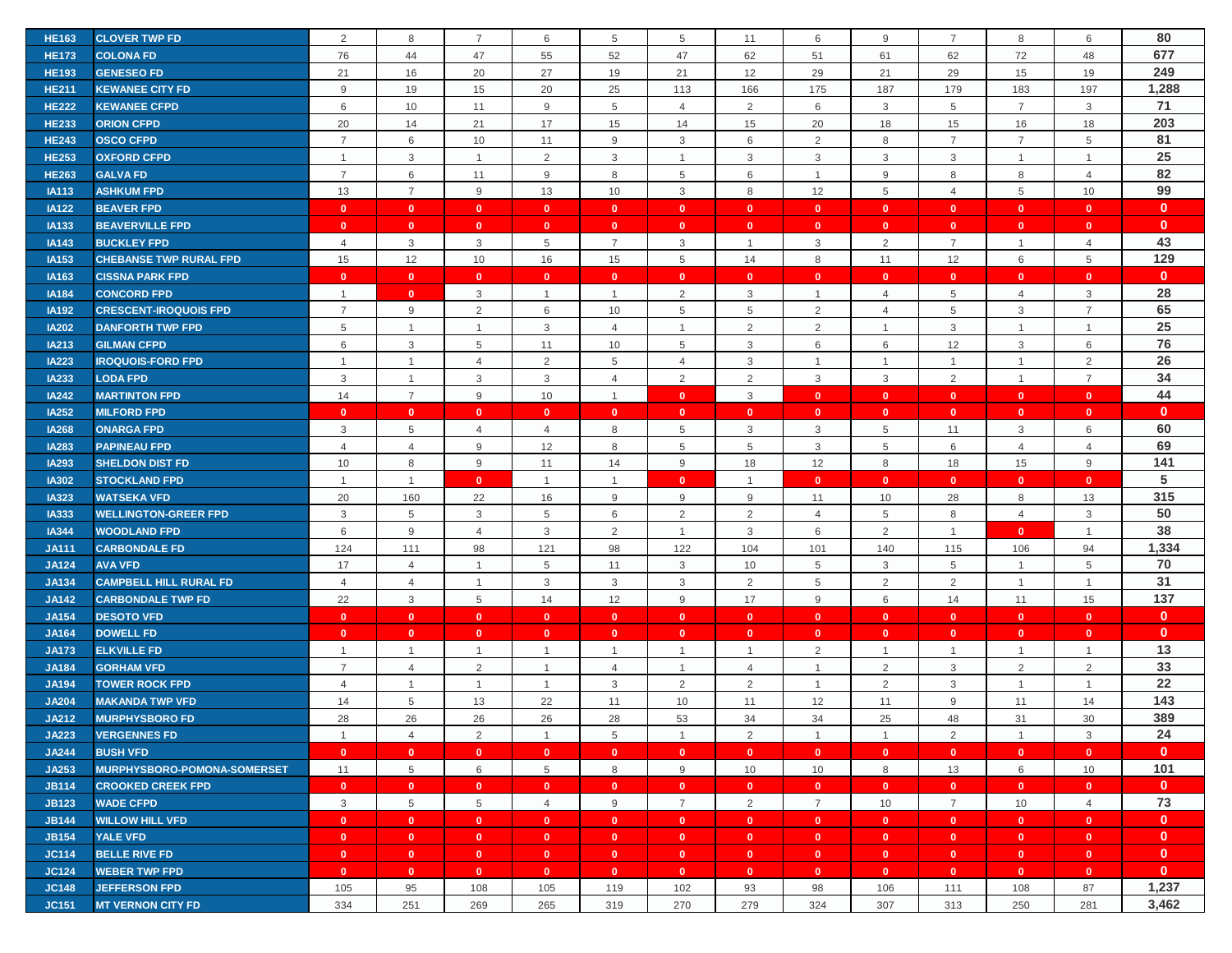| <b>HE163</b> | <b>CLOVER TWP FD</b>          | 2              | 8                       | $\overline{7}$          | 6              | 5              | 5              | 11             | 6                         | 9               | 7              | 8              | 6              | 80           |
|--------------|-------------------------------|----------------|-------------------------|-------------------------|----------------|----------------|----------------|----------------|---------------------------|-----------------|----------------|----------------|----------------|--------------|
| <b>HE173</b> | <b>COLONA FD</b>              | 76             | 44                      | 47                      | 55             | 52             | 47             | 62             | 51                        | 61              | 62             | 72             | 48             | 677          |
| <b>HE193</b> | <b>GENESEO FD</b>             | 21             | 16                      | 20                      | 27             | 19             | 21             | 12             | 29                        | 21              | 29             | 15             | 19             | 249          |
| <b>HE211</b> | <b>KEWANEE CITY FD</b>        | 9              | 19                      | 15                      | 20             | 25             | 113            | 166            | 175                       | 187             | 179            | 183            | 197            | 1,288        |
| <b>HE222</b> | <b>KEWANEE CFPD</b>           | 6              | 10                      | 11                      | 9              | 5              | $\overline{4}$ | $\overline{2}$ | 6                         | $\mathbf{3}$    | 5              | $\overline{7}$ | 3              | 71           |
| <b>HE233</b> | <b>ORION CFPD</b>             | 20             | 14                      | 21                      | 17             | 15             | 14             | 15             | 20                        | 18              | 15             | 16             | 18             | 203          |
| <b>HE243</b> | <b>OSCO CFPD</b>              | $\overline{7}$ | 6                       | 10                      | 11             | 9              | $\mathbf{3}$   | 6              | $\sqrt{2}$                | 8               | $\overline{7}$ | $\overline{7}$ | 5              | 81           |
| <b>HE253</b> | <b>OXFORD CFPD</b>            | $\overline{1}$ | 3                       | $\overline{1}$          | 2              | 3              | $\overline{1}$ | 3              | 3                         | 3               | 3              | $\mathbf{1}$   | $\mathbf{1}$   | 25           |
| <b>HE263</b> | <b>GALVA FD</b>               | $\overline{7}$ | 6                       | 11                      | 9              | 8              | 5              | 6              | $\mathbf{1}$              | 9               | 8              | 8              | $\overline{4}$ | 82           |
| <b>IA113</b> | <b>ASHKUM FPD</b>             | 13             | $\overline{7}$          | 9                       | 13             | 10             | $\mathbf{3}$   | 8              | 12                        | $\overline{5}$  | $\overline{4}$ | 5              | 10             | 99           |
| <b>IA122</b> | <b>BEAVER FPD</b>             | $\mathbf{0}$   | $\mathbf{0}$            | $\mathbf{0}$            | $\mathbf{0}$   | $\mathbf{0}$   | $\bullet$      | $\mathbf{0}$   | $\mathbf{0}$              | $\mathbf{0}$    | $\mathbf{0}$   | $\mathbf{0}$   | $\mathbf{0}$   | $\mathbf{0}$ |
| <b>IA133</b> | <b>BEAVERVILLE FPD</b>        | $\mathbf{0}$   | $\bullet$               | $\mathbf{0}$            | $\mathbf{0}$   | $\mathbf{0}$   | $\mathbf{0}$   | $\mathbf{0}$   | $\mathbf{0}$              | $\mathbf{0}$    | $\mathbf{0}$   | $\mathbf{0}$   | $\mathbf{0}$   | $\mathbf{0}$ |
| IA143        | <b>BUCKLEY FPD</b>            | $\overline{4}$ | 3                       | 3                       | 5              | $\overline{7}$ | 3              | $\overline{1}$ | 3                         | $\overline{2}$  | $\overline{7}$ | $\mathbf{1}$   | $\overline{4}$ | 43           |
| IA153        | <b>CHEBANSE TWP RURAL FPD</b> | 15             | 12                      | 10                      | 16             | 15             | 5              | 14             | 8                         | 11              | 12             | 6              | 5              | 129          |
| IA163        | <b>CISSNA PARK FPD</b>        | $\mathbf{0}$   | $\mathbf{0}$            | $\mathbf{0}$            | $\mathbf{0}$   | $\mathbf{0}$   | $\mathbf{0}$   | $\mathbf{0}$   | $\mathbf{0}$              | $\mathbf{0}$    | $\mathbf{0}$   | $\mathbf{0}$   | $\mathbf{0}$   | $\mathbf{0}$ |
| <b>IA184</b> | <b>CONCORD FPD</b>            | $\overline{1}$ | $\overline{\mathbf{0}}$ | 3                       | $\overline{1}$ | $\overline{1}$ | $\overline{2}$ | 3              | $\mathbf{1}$              | $\overline{4}$  | 5              | $\overline{4}$ | 3              | 28           |
| <b>IA192</b> | <b>CRESCENT-IROQUOIS FPD</b>  | $\overline{7}$ | 9                       | $\overline{2}$          | 6              | 10             | 5              | 5              | $\overline{2}$            | $\overline{4}$  | 5              | 3              | $\overline{7}$ | 65           |
| <b>IA202</b> | <b>DANFORTH TWP FPD</b>       | $\,$ 5 $\,$    | $\mathbf{1}$            | $\overline{1}$          | 3              | $\overline{4}$ | -1             | $\overline{2}$ | $\overline{2}$            | $\mathbf{1}$    | $\mathbf{3}$   | $\mathbf{1}$   | $\mathbf{1}$   | 25           |
| IA213        | <b>GILMAN CFPD</b>            | 6              | 3                       | 5                       | 11             | 10             | 5              | 3              | 6                         | 6               | 12             | 3              | 6              | 76           |
| <b>IA223</b> | <b>IROQUOIS-FORD FPD</b>      | $\overline{1}$ | $\mathbf{1}$            | $\overline{4}$          | 2              | 5              | $\overline{4}$ | 3              | $\mathbf{1}$              | $\overline{1}$  | $\overline{1}$ | $\mathbf{1}$   | 2              | 26           |
| <b>IA233</b> | <b>LODA FPD</b>               | $\mathbf{3}$   | $\mathbf{1}$            | 3                       | 3              | $\overline{4}$ | $\overline{2}$ | $\overline{2}$ | $\mathbf{3}$              | $\mathbf{3}$    | $\overline{2}$ | $\mathbf{1}$   | $\overline{7}$ | 34           |
| <b>IA242</b> | <b>MARTINTON FPD</b>          | 14             | $\overline{7}$          | 9                       | 10             | $\overline{1}$ | $\mathbf{0}$   | 3              | $\mathbf{0}$              | $\mathbf{0}$    | $\mathbf{0}$   | $\mathbf{0}$   | $\mathbf{0}$   | 44           |
| <b>IA252</b> | <b>MILFORD FPD</b>            | $\mathbf{0}$   | $\mathbf{0}$            | $\mathbf{0}$            | $\mathbf{0}$   | $\mathbf{0}$   | $\mathbf{0}$   | $\mathbf{0}$   | $\mathbf{0}$              | $\mathbf{0}$    | $\mathbf{0}$   | $\mathbf{0}$   | $\mathbf{0}$   | $\mathbf{0}$ |
| <b>IA268</b> | <b>ONARGA FPD</b>             | 3              | 5                       | $\overline{4}$          | $\overline{4}$ | 8              | 5              | 3              | $\ensuremath{\mathsf{3}}$ | $5\phantom{.0}$ | 11             | 3              | 6              | 60           |
| <b>IA283</b> | <b>PAPINEAU FPD</b>           | $\overline{4}$ | 4                       | 9                       | 12             | 8              | 5              | 5              | $\mathbf{3}$              | 5               | 6              | $\overline{4}$ | 4              | 69           |
| <b>IA293</b> | <b>SHELDON DIST FD</b>        | 10             | 8                       | 9                       | 11             | 14             | 9              | 18             | 12                        | 8               | 18             | 15             | 9              | 141          |
| <b>IA302</b> | <b>STOCKLAND FPD</b>          | $\overline{1}$ | $\mathbf{1}$            | $\mathbf{0}$            | $\overline{1}$ | $\overline{1}$ | $\mathbf{0}$   | $\overline{1}$ | $\mathbf{0}$              | $\mathbf{0}$    | $\mathbf{0}$   | $\mathbf{0}$   | $\mathbf{0}$   | 5            |
| <b>IA323</b> | <b>WATSEKA VFD</b>            | 20             | 160                     | 22                      | 16             | 9              | 9              | 9              | 11                        | 10              | 28             | 8              | 13             | 315          |
| <b>IA333</b> | <b>WELLINGTON-GREER FPD</b>   | 3              | 5                       | 3                       | 5              | 6              | $\overline{2}$ | 2              | $\overline{4}$            | 5               | 8              | $\overline{4}$ | 3              | 50           |
| <b>IA344</b> | <b>WOODLAND FPD</b>           | 6              | $9\,$                   | $\overline{4}$          | 3              | 2              | $\overline{1}$ | 3              | 6                         | 2               | $\overline{1}$ | $\mathbf{0}$   | $\mathbf{1}$   | 38           |
| <b>JA111</b> | <b>CARBONDALE FD</b>          | 124            | 111                     | 98                      | 121            | 98             | 122            | 104            | 101                       | 140             | 115            | 106            | 94             | 1,334        |
| <b>JA124</b> | <b>AVA VFD</b>                | 17             | $\overline{4}$          | $\overline{1}$          | 5              | 11             | 3              | 10             | 5                         | 3               | 5              | $\mathbf{1}$   | 5              | 70           |
| <b>JA134</b> | <b>CAMPBELL HILL RURAL FD</b> | $\overline{4}$ | $\overline{4}$          | $\overline{1}$          | 3              | 3              | 3              | $\overline{2}$ | $\,$ 5 $\,$               | $\overline{2}$  | $\overline{2}$ | $\overline{1}$ | $\mathbf{1}$   | 31           |
| <b>JA142</b> | <b>CARBONDALE TWP FD</b>      | 22             | 3                       | 5                       | 14             | 12             | 9              | 17             | 9                         | 6               | 14             | 11             | 15             | 137          |
| <b>JA154</b> | <b>DESOTO VFD</b>             | $\mathbf{0}$   | $\mathbf{0}$            | $\bullet$               | $\mathbf{0}$   | $\mathbf{0}$   | $\mathbf{0}$   | $\mathbf{0}$   | $\mathbf{0}$              | $\mathbf{0}$    | $\bullet$      | $\mathbf{0}$   | $\mathbf{0}$   | $\mathbf{0}$ |
| <b>JA164</b> | <b>DOWELL FD</b>              | $\mathbf{0}$   | $\mathbf{0}$            | $\mathbf{0}$            | $\mathbf{0}$   | $\mathbf{0}$   | $\mathbf{0}$   | $\mathbf{0}$   | $\mathbf{0}$              | $\mathbf{0}$    | $\mathbf{0}$   | $\mathbf{0}$   | $\mathbf{0}$   | $\mathbf 0$  |
| <b>JA173</b> | <b>ELKVILLE FD</b>            | $\overline{1}$ | $\mathbf{1}$            | $\mathbf{1}$            | $\mathbf{1}$   | $\overline{1}$ | $\overline{1}$ | $\overline{1}$ | $\overline{2}$            | $\mathbf{1}$    | $\overline{1}$ | $\mathbf{1}$   | $\mathbf{1}$   | 13           |
| <b>JA184</b> | <b>GORHAM VFD</b>             | $\overline{7}$ | $\overline{4}$          | $\overline{2}$          | $\mathbf{1}$   | $\overline{4}$ | $\overline{1}$ | $\overline{4}$ | $\overline{1}$            | 2               | $\mathbf{3}$   | $\overline{2}$ | 2              | 33           |
| <b>JA194</b> | <b>TOWER ROCK FPD</b>         | $\overline{4}$ | $\mathbf{1}$            | $\overline{1}$          | $\overline{1}$ | 3              | $\overline{2}$ | $\overline{2}$ | $\mathbf{1}$              | 2               | $\mathbf{3}$   | $\mathbf{1}$   | $\mathbf{1}$   | 22           |
| <b>JA204</b> | <b>MAKANDA TWP VFD</b>        | 14             | 5                       | 13                      | 22             | 11             | 10             | 11             | 12                        | 11              | 9              | 11             | 14             | 143          |
| <b>JA212</b> | <b>MURPHYSBORO FD</b>         | 28             | 26                      | 26                      | 26             | 28             | 53             | 34             | 34                        | 25              | 48             | 31             | 30             | 389          |
| <b>JA223</b> | <b>VERGENNES FD</b>           | $\overline{1}$ | $\overline{4}$          | 2                       | $\overline{1}$ | 5              | $\overline{1}$ | 2              | $\mathbf{1}$              | $\overline{1}$  | 2              | $\overline{1}$ | 3              | 24           |
| <b>JA244</b> | <b>BUSH VFD</b>               | $\mathbf{0}$   | $\overline{0}$          | $\bullet$               | $\mathbf{0}$   | $\mathbf{0}$   | $\mathbf{0}$   | $\mathbf{0}$   | $\mathbf{0}$              | $\mathbf{0}$    | $\bullet$      | $\bullet$      | $\mathbf{0}$   | $\mathbf{0}$ |
| JA253        | MURPHYSBORO-POMONA-SOMERSET   | 11             | 5                       | 6                       | 5              | 8              | 9              | 10             | 10                        | 8               | 13             | 6              | 10             | 101          |
| <b>JB114</b> | <b>CROOKED CREEK FPD</b>      | $\mathbf{0}$   | $\bullet$               | $\mathbf{0}$            | $\mathbf{0}$   | $\mathbf{0}$   | $\mathbf{0}$   | $\mathbf{0}$   | $\mathbf{0}$              | $\mathbf{0}$    | $\mathbf{0}$   | $\mathbf{0}$   | $\mathbf{0}$   | $\mathbf{0}$ |
| <b>JB123</b> | <b>WADE CFPD</b>              | $\mathbf{3}$   | $5\phantom{.0}$         | 5                       | $\overline{4}$ | 9              | $\overline{7}$ | $\overline{2}$ | $\overline{7}$            | 10              | $\overline{7}$ | 10             | $\overline{4}$ | 73           |
| <b>JB144</b> | <b>WILLOW HILL VFD</b>        | $\mathbf{0}$   | $\mathbf{0}$            | $\mathbf{0}$            | $\mathbf{0}$   | $\mathbf{0}$   | $\mathbf{0}$   | $\mathbf{0}$   | $\bullet$                 | $\mathbf{0}$    | $\mathbf{0}$   | $\mathbf{0}$   | $\mathbf{0}$   | $\mathbf{0}$ |
| <b>JB154</b> | <b>YALE VFD</b>               | $\mathbf{0}$   | $\bullet$               | $\bullet$               | $\mathbf{0}$   | $\mathbf{0}$   | $\mathbf{0}$   | $\mathbf{0}$   | $\bullet$                 | $\mathbf{0}$    | $\mathbf{0}$   | $\bullet$      | $\mathbf{0}$   | $\mathbf{0}$ |
| <b>JC114</b> | <b>BELLE RIVE FD</b>          | $\mathbf{0}$   | $\bullet$               | $\overline{\mathbf{0}}$ | $\mathbf{0}$   | $\mathbf{0}$   | $\bullet$      | $\mathbf{0}$   | $\mathbf{0}$              | $\mathbf{0}$    | $\bullet$      | $\mathbf{0}$   | $\mathbf{0}$   | $\mathbf{0}$ |
| <b>JC124</b> | <b>WEBER TWP FPD</b>          | $\mathbf{0}$   | $\mathbf{0}$            | $\overline{\mathbf{0}}$ | $\mathbf{0}$   | $\mathbf{0}$   | $\mathbf{0}$   | $\mathbf{0}$   | $\mathbf{0}$              | $\mathbf{0}$    | $\bullet$      | $\mathbf{0}$   | $\mathbf{0}$   | $\mathbf{0}$ |
| <b>JC148</b> | <b>JEFFERSON FPD</b>          | 105            | 95                      | 108                     | 105            | 119            | 102            | 93             | 98                        | 106             | 111            | 108            | 87             | 1,237        |
| <b>JC151</b> | <b>MT VERNON CITY FD</b>      | 334            | 251                     | 269                     | 265            | 319            | 270            | 279            | 324                       | 307             | 313            | 250            | 281            | 3,462        |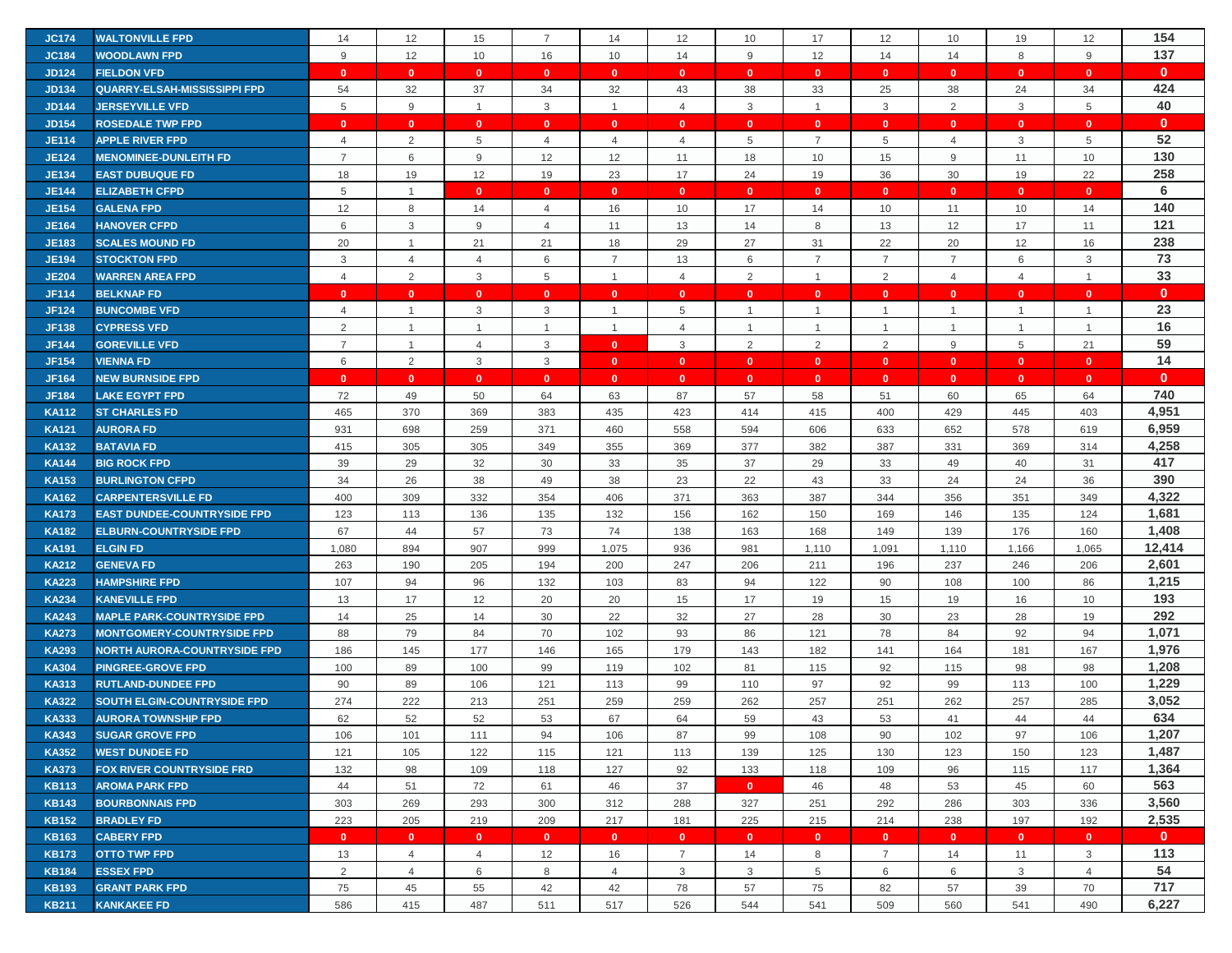| <b>JC174</b> | <b>WALTONVILLE FPD</b>              | 14              | 12             | 15             | $\overline{7}$  | 14                   | 12                             | 10             | 17             | 12                             | 10             | 19             | 12              | 154          |
|--------------|-------------------------------------|-----------------|----------------|----------------|-----------------|----------------------|--------------------------------|----------------|----------------|--------------------------------|----------------|----------------|-----------------|--------------|
| <b>JC184</b> | <b>WOODLAWN FPD</b>                 | 9               | 12             | 10             | 16              | 10                   | 14                             | 9              | 12             | 14                             | 14             | 8              | 9               | 137          |
| <b>JD124</b> | <b>FIELDON VFD</b>                  | $\mathbf{0}$    | $\mathbf{0}$   | $\mathbf{0}$   | $\mathbf{0}$    | $\mathbf{0}$         | $\mathbf{0}$                   | $\mathbf{0}$   | $\mathbf{0}$   | $\mathbf{0}$                   | $\mathbf{0}$   | $\mathbf{0}$   | $\mathbf{0}$    | $\mathbf{0}$ |
| <b>JD134</b> | <b>QUARRY-ELSAH-MISSISSIPPI FPD</b> | 54              | 32             | 37             | 34              | 32                   | 43                             | 38             | 33             | 25                             | 38             | 24             | 34              | 424          |
|              | <b>JERSEYVILLE VFD</b>              | 5               | 9              | $\mathbf{1}$   | 3               | $\overline{1}$       | $\overline{4}$                 | 3              | $\mathbf{1}$   | 3                              | 2              | 3              | 5               | 40           |
| <b>JD144</b> |                                     |                 |                |                |                 |                      |                                |                |                |                                |                |                |                 | $\mathbf{0}$ |
| <b>JD154</b> | <b>ROSEDALE TWP FPD</b>             | $\mathbf{0}$    | $\mathbf{0}$   | $\mathbf{0}$   | $\mathbf{0}$    | $\mathbf{0}$         | $\mathbf{0}$                   | $\mathbf{0}$   | $\mathbf{0}$   | $\mathbf{0}$                   | $\mathbf{0}$   | $\mathbf{0}$   | $\mathbf{0}$    |              |
| <b>JE114</b> | <b>APPLE RIVER FPD</b>              | 4               | $\overline{2}$ | 5              | $\overline{4}$  | $\overline{4}$       | 4                              | 5              | $\overline{7}$ | 5                              | 4              | 3              | $5\phantom{.0}$ | 52           |
| <b>JE124</b> | <b>MENOMINEE-DUNLEITH FD</b>        | $\overline{7}$  | 6              | 9              | 12              | 12                   | 11                             | 18             | 10             | 15                             | 9              | 11             | 10              | 130          |
| <b>JE134</b> | <b>EAST DUBUQUE FD</b>              | 18              | 19             | 12             | 19              | 23                   | 17                             | 24             | 19             | 36                             | 30             | 19             | 22              | 258          |
| <b>JE144</b> | <b>ELIZABETH CFPD</b>               | $5\phantom{.0}$ | $\overline{1}$ | $\mathbf{0}$   | $\mathbf{0}$    | $\mathbf{0}$         | $\mathbf{0}$                   | $\mathbf{0}$   | $\mathbf{0}$   | $\mathbf{0}$                   | $\mathbf{0}$   | $\mathbf{0}$   | $\mathbf{0}$    | 6            |
| <b>JE154</b> | <b>GALENA FPD</b>                   | 12              | 8              | 14             | 4               | 16                   | 10                             | 17             | 14             | 10                             | 11             | 10             | 14              | 140          |
| <b>JE164</b> | <b>HANOVER CFPD</b>                 | 6               | 3              | 9              | $\overline{4}$  | 11                   | 13                             | 14             | 8              | 13                             | 12             | 17             | 11              | 121          |
| <b>JE183</b> | <b>SCALES MOUND FD</b>              | 20              | $\overline{1}$ | 21             | 21              | 18                   | 29                             | 27             | 31             | 22                             | 20             | 12             | 16              | 238          |
| <b>JE194</b> | <b>STOCKTON FPD</b>                 | 3               | 4              | 4              | 6               | $\overline{7}$       | 13                             | 6              | $\overline{7}$ | $\overline{7}$                 | $\overline{7}$ | 6              | 3               | 73           |
| <b>JE204</b> | <b>WARREN AREA FPD</b>              | $\overline{4}$  | 2              | 3              | $5\overline{)}$ | $\overline{1}$       | $\overline{4}$                 | 2              | $\mathbf{1}$   | 2                              | $\overline{4}$ | $\overline{4}$ | $\overline{1}$  | 33           |
| <b>JF114</b> | <b>BELKNAP FD</b>                   | $\mathbf{0}$    | $\mathbf{0}$   | $\mathbf{0}$   | $\mathbf{0}$    | $\mathbf{0}$         | $\mathbf{0}$                   | $\mathbf{0}$   | $\mathbf{0}$   | $\mathbf{0}$                   | $\mathbf{0}$   | $\mathbf{0}$   | $\mathbf{0}$    | $\mathbf{0}$ |
| <b>JF124</b> | <b>BUNCOMBE VFD</b>                 | 4               | $\mathbf{1}$   | 3              | 3               | $\overline{1}$       | 5                              |                | $\overline{1}$ | $\overline{1}$                 | -1             |                | $\overline{1}$  | 23           |
| <b>JF138</b> | <b>CYPRESS VFD</b>                  | 2               | $\mathbf{1}$   | $\mathbf{1}$   | $\mathbf{1}$    | $\overline{1}$       | $\overline{4}$                 | $\overline{1}$ | $\mathbf{1}$   | $\overline{1}$                 | $\mathbf{1}$   | $\mathbf{1}$   | $\overline{1}$  | 16           |
| <b>JF144</b> | <b>GOREVILLE VFD</b>                | $\overline{7}$  | $\mathbf{1}$   | $\overline{4}$ | 3               | $\mathbf{0}$         | 3                              | 2              | 2              | 2                              | 9              | 5              | 21              | 59           |
| <b>JF154</b> | <b>VIENNA FD</b>                    | 6               | $\overline{2}$ | $\mathbf{3}$   | 3               | $\bullet$            | $\mathbf{0}$                   | $\mathbf{0}$   | $\mathbf{0}$   | $\bullet$                      | $\mathbf{0}$   | $\mathbf{0}$   | $\mathbf{0}$    | 14           |
| <b>JF164</b> | <b>NEW BURNSIDE FPD</b>             | $\mathbf{0}$    | $\mathbf{0}$   | $\mathbf{0}$   | $\mathbf{0}$    | $\mathbf{0}$         | $\mathbf{0}$                   | $\mathbf{0}$   | $\mathbf{0}$   | $\mathbf{0}$                   | $\mathbf{0}$   | $\mathbf{0}$   | $\mathbf{0}$    | $\mathbf{0}$ |
| <b>JF184</b> | <b>LAKE EGYPT FPD</b>               | 72              | 49             | 50             | 64              | 63                   | 87                             | 57             | 58             | 51                             | 60             | 65             | 64              | 740          |
| <b>KA112</b> | <b>ST CHARLES FD</b>                | 465             | 370            | 369            | 383             | 435                  | 423                            | 414            | 415            | 400                            | 429            | 445            | 403             | 4,951        |
| <b>KA121</b> | <b>AURORA FD</b>                    | 931             | 698            | 259            | 371             | 460                  | 558                            | 594            | 606            | 633                            | 652            | 578            | 619             | 6,959        |
| <b>KA132</b> | <b>BATAVIA FD</b>                   | 415             | 305            | 305            | 349             | 355                  | 369                            | 377            | 382            | 387                            | 331            | 369            | 314             | 4,258        |
| <b>KA144</b> | <b>BIG ROCK FPD</b>                 | 39              | 29             | 32             | 30              | 33                   | 35                             | 37             | 29             | 33                             | 49             | 40             | 31              | 417          |
| <b>KA153</b> | <b>BURLINGTON CFPD</b>              | 34              | 26             | 38             | 49              | 38                   | 23                             | 22             | 43             | 33                             | 24             | 24             | 36              | 390          |
| <b>KA162</b> | <b>CARPENTERSVILLE FD</b>           | 400             | 309            | 332            | 354             | 406                  | 371                            | 363            | 387            | 344                            | 356            | 351            | 349             | 4,322        |
| <b>KA173</b> | <b>EAST DUNDEE-COUNTRYSIDE FPD</b>  | 123             | 113            | 136            | 135             | 132                  | 156                            | 162            | 150            | 169                            | 146            | 135            | 124             | 1,681        |
| <b>KA182</b> | <b>ELBURN-COUNTRYSIDE FPD</b>       | 67              | 44             | 57             | 73              | 74                   | 138                            | 163            | 168            | 149                            | 139            | 176            | 160             | 1,408        |
| <b>KA191</b> | <b>ELGIN FD</b>                     | 1,080           | 894            | 907            | 999             | 1,075                | 936                            | 981            | 1,110          | 1,091                          | 1,110          | 1,166          | 1,065           | 12,414       |
| <b>KA212</b> | <b>GENEVA FD</b>                    | 263             | 190            | 205            | 194             | 200                  | 247                            | 206            | 211            | 196                            | 237            | 246            | 206             | 2,601        |
| <b>KA223</b> | <b>HAMPSHIRE FPD</b>                | 107             | 94             | 96             | 132             | 103                  | 83                             | 94             | 122            | 90                             | 108            | 100            | 86              | 1,215        |
| <b>KA234</b> | <b>KANEVILLE FPD</b>                | 13              | 17             | 12             | 20              | 20                   | 15                             | 17             | 19             | 15                             | 19             | 16             | 10              | 193          |
| <b>KA243</b> | <b>MAPLE PARK-COUNTRYSIDE FPD</b>   | 14              | 25             | 14             | 30              | 22                   | 32                             | 27             | 28             | 30                             | 23             | 28             | 19              | 292          |
| <b>KA273</b> | <b>MONTGOMERY-COUNTRYSIDE FPD</b>   | 88              | 79             | 84             | 70              | 102                  | 93                             | 86             | 121            | 78                             | 84             | 92             | 94              | 1,071        |
| <b>KA293</b> | <b>NORTH AURORA-COUNTRYSIDE FPD</b> | 186             | 145            | 177            | 146             | 165                  | 179                            | 143            | 182            | 141                            | 164            | 181            | 167             | 1,976        |
| <b>KA304</b> | <b>PINGREE-GROVE FPD</b>            | 100             | 89             | 100            | 99              | 119                  | 102                            | 81             | 115            | 92                             | 115            | 98             | 98              | 1,208        |
| <b>KA313</b> | <b>RUTLAND-DUNDEE FPD</b>           | 90              | 89             | 106            | 121             | 113                  | 99                             | 110            | 97             | 92                             | 99             | 113            | 100             | 1,229        |
| <b>KA322</b> | <b>SOUTH ELGIN-COUNTRYSIDE FPD</b>  | 274             | 222            | 213            | 251             | 259                  | 259                            | 262            | 257            | 251                            | 262            | 257            | 285             | 3,052        |
| <b>KA333</b> | <b>AURORA TOWNSHIP FPD</b>          | 62              | 52             | 52             | 53              | 67                   | 64                             | 59             | 43             | 53                             | 41             | 44             | 44              | 634          |
| <b>KA343</b> | <b>SUGAR GROVE FPD</b>              | 106             | 101            | 111            | 94              | 106                  | 87                             | 99             | 108            | 90                             | 102            | 97             | 106             | 1,207        |
| <b>KA352</b> | <b>WEST DUNDEE FD</b>               | 121             | 105            | 122            | 115             | 121                  | 113                            | 139            | 125            | 130                            | 123            | 150            | 123             | 1,487        |
| <b>KA373</b> | <b>FOX RIVER COUNTRYSIDE FRD</b>    | 132             | 98             | 109            | 118             | 127                  | 92                             | 133            | 118            | 109                            | 96             | 115            | 117             | 1,364        |
| <b>KB113</b> | <b>AROMA PARK FPD</b>               | 44              | 51             | 72             | 61              | 46                   | 37                             | $\mathbf{0}$   | 46             | 48                             | 53             | 45             | 60              | 563          |
| <b>KB143</b> | <b>BOURBONNAIS FPD</b>              | 303             | 269            | 293            | 300             | 312                  | 288                            | 327            | 251            | 292                            | 286            | 303            | 336             | 3,560        |
| <b>KB152</b> | <b>BRADLEY FD</b>                   | 223             | 205            | 219            | 209             | 217                  | 181                            | 225            | 215            | 214                            | 238            | 197            | 192             | 2,535        |
|              |                                     |                 |                | $\mathbf{0}$   |                 |                      |                                | $\mathbf{0}$   |                |                                |                | $\mathbf{0}$   | $\mathbf{0}$    | $\mathbf{0}$ |
| <b>KB163</b> | <b>CABERY FPD</b>                   | $\mathbf{0}$    | $\mathbf{0}$   |                | $\mathbf{0}$    | $\bullet$            | $\mathbf{0}$                   |                | $\mathbf{0}$   | $\mathbf{0}$<br>$\overline{7}$ | $\mathbf{0}$   |                |                 | 113          |
| <b>KB173</b> | <b>OTTO TWP FPD</b>                 | 13<br>2         | $\overline{4}$ | $\overline{4}$ | 12              | 16<br>$\overline{4}$ | $\overline{7}$<br>$\mathbf{3}$ | 14             | 8<br>5         | 6                              | 14             | 11             | 3               | 54           |
| <b>KB184</b> | <b>ESSEX FPD</b>                    |                 | $\overline{4}$ | 6              | 8               |                      |                                | 3              |                |                                | 6              | 3              | $\overline{4}$  | 717          |
| <b>KB193</b> | <b>GRANT PARK FPD</b>               | 75              | 45             | 55             | 42              | 42                   | 78                             | 57             | 75             | 82                             | 57             | 39             | 70              | 6,227        |
| <b>KB211</b> | <b>KANKAKEE FD</b>                  | 586             | 415            | 487            | 511             | 517                  | 526                            | 544            | 541            | 509                            | 560            | 541            | 490             |              |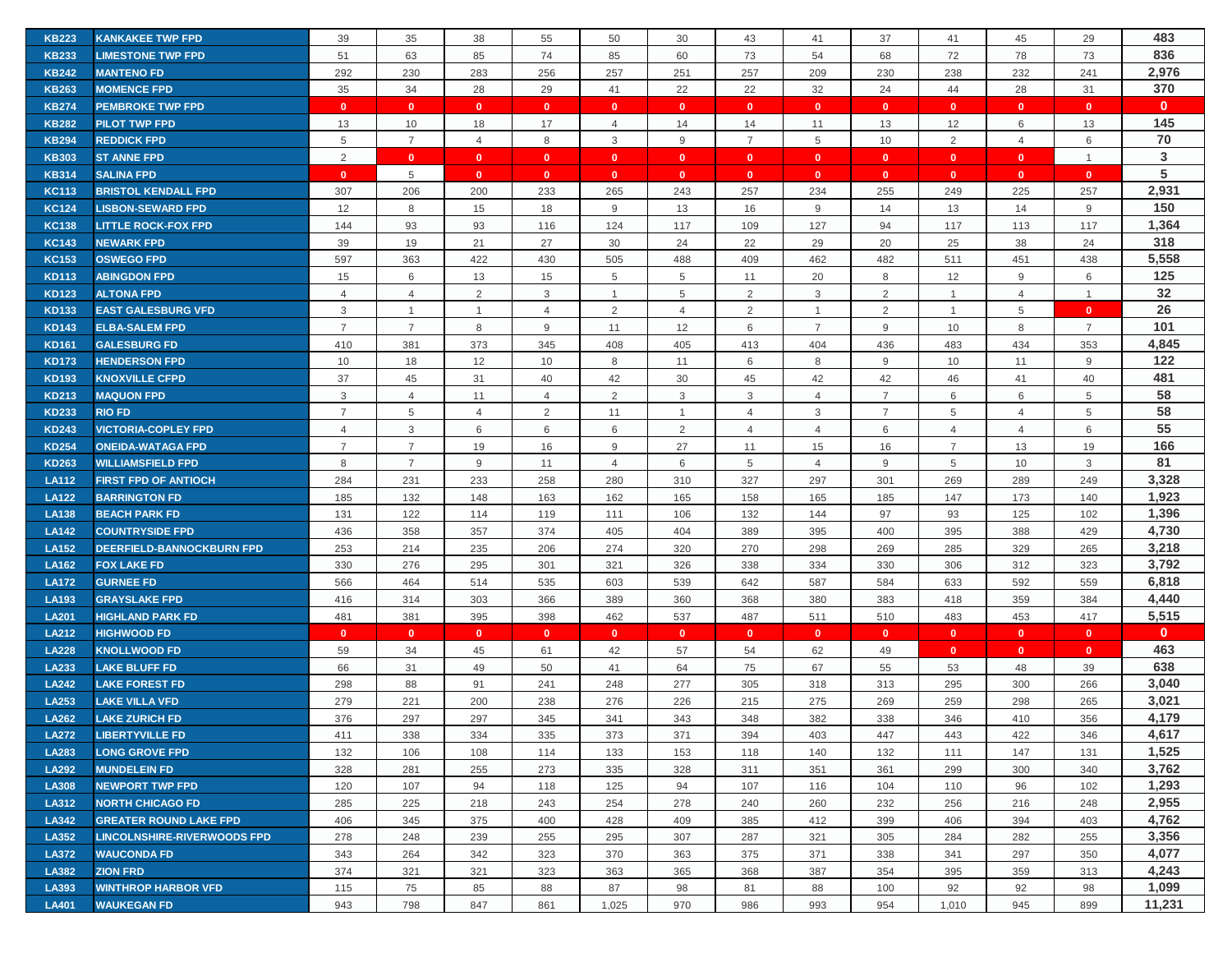| <b>KB223</b> | <b>KANKAKEE TWP FPD</b>            | 39             | 35             | 38             | 55             | 50             | 30             | 43             | 41             | 37             | 41             | 45             | 29             | 483          |
|--------------|------------------------------------|----------------|----------------|----------------|----------------|----------------|----------------|----------------|----------------|----------------|----------------|----------------|----------------|--------------|
| <b>KB233</b> | <b>LIMESTONE TWP FPD</b>           | 51             | 63             | 85             | 74             | 85             | 60             | 73             | 54             | 68             | 72             | 78             | 73             | 836          |
| <b>KB242</b> | <b>MANTENO FD</b>                  | 292            | 230            | 283            | 256            | 257            | 251            | 257            | 209            | 230            | 238            | 232            | 241            | 2,976        |
| <b>KB263</b> | <b>MOMENCE FPD</b>                 | 35             | 34             | 28             | 29             | 41             | 22             | 22             | 32             | 24             | 44             | 28             | 31             | 370          |
| <b>KB274</b> | <b>PEMBROKE TWP FPD</b>            | $\mathbf{0}$   | $\mathbf{0}$   | $\mathbf{0}$   | $\mathbf{0}$   | $\mathbf{0}$   | $\mathbf{0}$   | $\mathbf{0}$   | $\mathbf{0}$   | $\mathbf{0}$   | $\mathbf{0}$   | $\mathbf{0}$   | $\mathbf{0}$   | $\mathbf{0}$ |
| <b>KB282</b> | <b>PILOT TWP FPD</b>               | 13             | 10             | 18             | 17             | $\overline{4}$ | 14             | 14             | 11             | 13             | 12             | 6              | 13             | 145          |
| <b>KB294</b> | <b>REDDICK FPD</b>                 | 5              | $\overline{7}$ | $\overline{4}$ | 8              | 3              | 9              | $\overline{7}$ | 5              | 10             | 2              | $\overline{4}$ | 6              | 70           |
| <b>KB303</b> | <b>ST ANNE FPD</b>                 | 2              | $\mathbf{0}$   | $\overline{0}$ | $\mathbf{0}$   | $\mathbf{0}$   | $\mathbf{0}$   | $\mathbf{0}$   | $\mathbf{0}$   | $\mathbf{0}$   | $\overline{0}$ | $\mathbf{0}$   | $\mathbf{1}$   | 3            |
| <b>KB314</b> | <b>SALINA FPD</b>                  | $\mathbf{0}$   | 5              | $\mathbf{0}$   | $\mathbf{0}$   | $\mathbf{0}$   | $\mathbf{0}$   | $\mathbf{0}$   | $\mathbf{0}$   | $\mathbf{0}$   | $\bullet$      | $\mathbf{0}$   | $\mathbf{0}$   | ${\bf 5}$    |
| <b>KC113</b> | <b>BRISTOL KENDALL FPD</b>         | 307            | 206            | 200            | 233            | 265            | 243            | 257            | 234            | 255            | 249            | 225            | 257            | 2,931        |
| <b>KC124</b> | <b>LISBON-SEWARD FPD</b>           | 12             | 8              | 15             | 18             | 9              | 13             | 16             | 9              | 14             | 13             | 14             | 9              | 150          |
| <b>KC138</b> | <b>LITTLE ROCK-FOX FPD</b>         | 144            | 93             | 93             | 116            | 124            | 117            | 109            | 127            | 94             | 117            | 113            | 117            | 1,364        |
| <b>KC143</b> | <b>NEWARK FPD</b>                  | 39             | 19             | 21             | 27             | 30             | 24             | 22             | 29             | 20             | 25             | 38             | 24             | 318          |
| <b>KC153</b> | <b>OSWEGO FPD</b>                  | 597            | 363            | 422            | 430            | 505            | 488            | 409            | 462            | 482            | 511            | 451            | 438            | 5,558        |
| <b>KD113</b> | <b>ABINGDON FPD</b>                | 15             | 6              | 13             | 15             | 5              | 5              | 11             | 20             | 8              | 12             | 9              | 6              | 125          |
| <b>KD123</b> | <b>ALTONA FPD</b>                  | 4              | $\overline{4}$ | $\overline{2}$ | 3              | $\mathbf{1}$   | 5              | $\overline{2}$ | 3              | 2              | $\overline{1}$ | 4              | $\overline{1}$ | 32           |
| <b>KD133</b> | <b>EAST GALESBURG VFD</b>          | 3              | $\mathbf{1}$   | $\mathbf{1}$   | 4              | 2              | $\overline{4}$ | 2              | $\mathbf{1}$   | 2              | $\overline{1}$ | 5              | $\mathbf{0}$   | 26           |
| <b>KD143</b> | <b>ELBA-SALEM FPD</b>              | $\overline{7}$ | $\overline{7}$ | 8              | 9              | 11             | 12             | 6              | $\overline{7}$ | 9              | 10             | 8              | $\overline{7}$ | 101          |
| <b>KD161</b> | <b>GALESBURG FD</b>                | 410            | 381            | 373            | 345            | 408            | 405            | 413            | 404            | 436            | 483            | 434            | 353            | 4,845        |
| <b>KD173</b> | <b>HENDERSON FPD</b>               | 10             | 18             | 12             | 10             | 8              | 11             | 6              | 8              | 9              | 10             | 11             | 9              | 122          |
| <b>KD193</b> | <b>KNOXVILLE CFPD</b>              | 37             | 45             | 31             | 40             | 42             | 30             | 45             | 42             | 42             | 46             | 41             | 40             | 481          |
| <b>KD213</b> | <b>MAQUON FPD</b>                  | 3              | $\overline{4}$ | 11             | $\overline{4}$ | 2              | $\mathbf{3}$   | 3              | $\overline{4}$ | $\overline{7}$ | 6              | 6              | 5              | 58           |
| <b>KD233</b> | <b>RIO FD</b>                      | $\overline{7}$ | 5              | 4              | 2              | 11             | -1             | $\overline{4}$ | 3              | $\overline{7}$ | 5              | $\overline{4}$ | 5              | 58           |
| <b>KD243</b> | <b>VICTORIA-COPLEY FPD</b>         | $\overline{4}$ | 3              | 6              | 6              | 6              | 2              | 4              | $\overline{4}$ | 6              | 4              | $\overline{4}$ | 6              | 55           |
| <b>KD254</b> | <b>ONEIDA-WATAGA FPD</b>           | $\overline{7}$ | $\overline{7}$ | 19             | 16             | 9              | 27             | 11             | 15             | 16             | $\overline{7}$ | 13             | 19             | 166          |
| <b>KD263</b> | <b>WILLIAMSFIELD FPD</b>           | 8              | $\overline{7}$ | 9              | 11             | $\overline{4}$ | 6              | 5              | $\overline{4}$ | 9              | 5              | 10             | 3              | 81           |
| <b>LA112</b> | <b>FIRST FPD OF ANTIOCH</b>        | 284            | 231            | 233            | 258            | 280            | 310            | 327            | 297            | 301            | 269            | 289            | 249            | 3,328        |
| <b>LA122</b> | <b>BARRINGTON FD</b>               | 185            | 132            | 148            | 163            | 162            | 165            | 158            | 165            | 185            | 147            | 173            | 140            | 1,923        |
| <b>LA138</b> | <b>BEACH PARK FD</b>               | 131            | 122            | 114            | 119            | 111            | 106            | 132            | 144            | 97             | 93             | 125            | 102            | 1,396        |
| <b>LA142</b> | <b>COUNTRYSIDE FPD</b>             | 436            | 358            | 357            | 374            | 405            | 404            | 389            | 395            | 400            | 395            | 388            | 429            | 4,730        |
| <b>LA152</b> | <b>DEERFIELD-BANNOCKBURN FPD</b>   | 253            | 214            | 235            | 206            | 274            | 320            | 270            | 298            | 269            | 285            | 329            | 265            | 3,218        |
| <b>LA162</b> | <b>FOX LAKE FD</b>                 | 330            | 276            | 295            | 301            | 321            | 326            | 338            | 334            | 330            | 306            | 312            | 323            | 3,792        |
| <b>LA172</b> | <b>GURNEE FD</b>                   | 566            | 464            | 514            | 535            | 603            | 539            | 642            | 587            | 584            | 633            | 592            | 559            | 6,818        |
| <b>LA193</b> | <b>GRAYSLAKE FPD</b>               | 416            | 314            | 303            | 366            | 389            | 360            | 368            | 380            | 383            | 418            | 359            | 384            | 4,440        |
| <b>LA201</b> | <b>HIGHLAND PARK FD</b>            | 481            | 381            | 395            | 398            | 462            | 537            | 487            | 511            | 510            | 483            | 453            | 417            | 5,515        |
| <b>LA212</b> | <b>HIGHWOOD FD</b>                 | $\mathbf{0}$   | $\mathbf{0}$   | $\mathbf{0}$   | $\mathbf{0}$   | $\mathbf{0}$   | $\mathbf{0}$   | $\mathbf{0}$   | $\mathbf{0}$   | $\mathbf{0}$   | $\mathbf{0}$   | $\mathbf{0}$   | $\mathbf{0}$   | $\mathbf{0}$ |
| <b>LA228</b> | <b>KNOLLWOOD FD</b>                | 59             | 34             | 45             | 61             | 42             | 57             | 54             | 62             | 49             | $\mathbf{0}$   | $\mathbf{0}$   | $\mathbf{0}$   | 463          |
| LA233        | <b>LAKE BLUFF FD</b>               | 66             | 31             | 49             | 50             | 41             | 64             | 75             | 67             | 55             | 53             | 48             | 39             | 638          |
| <b>LA242</b> | <b>LAKE FOREST FD</b>              | 298            | 88             | 91             | 241            | 248            | 277            | 305            | 318            | 313            | 295            | 300            | 266            | 3,040        |
| LA253        | <b>LAKE VILLA VFD</b>              | 279            | 221            | 200            | 238            | 276            | 226            | 215            | 275            | 269            | 259            | 298            | 265            | 3,021        |
| LA262        | <b>LAKE ZURICH FD</b>              | 376            | 297            | 297            | 345            | 341            | 343            | 348            | 382            | 338            | 346            | 410            | 356            | 4,179        |
| <b>LA272</b> | <b>LIBERTYVILLE FD</b>             | 411            | 338            | 334            | 335            | 373            | 371            | 394            | 403            | 447            | 443            | 422            | 346            | 4,617        |
| <b>LA283</b> | <b>LONG GROVE FPD</b>              | 132            | 106            | 108            | 114            | 133            | 153            | 118            | 140            | 132            | 111            | 147            | 131            | 1,525        |
| <b>LA292</b> | <b>MUNDELEIN FD</b>                | 328            | 281            | 255            | 273            | 335            | 328            | 311            | 351            | 361            | 299            | 300            | 340            | 3,762        |
| <b>LA308</b> | <b>NEWPORT TWP FPD</b>             | 120            | 107            | 94             | 118            | 125            | 94             | 107            | 116            | 104            | 110            | 96             | 102            | 1,293        |
| LA312        | <b>NORTH CHICAGO FD</b>            | 285            | 225            | 218            | 243            | 254            | 278            | 240            | 260            | 232            | 256            | 216            | 248            | 2,955        |
| LA342        | <b>GREATER ROUND LAKE FPD</b>      | 406            | 345            | 375            | 400            | 428            | 409            | 385            | 412            | 399            | 406            | 394            | 403            | 4,762        |
| LA352        | <b>LINCOLNSHIRE-RIVERWOODS FPD</b> | 278            | 248            | 239            | 255            | 295            | 307            | 287            | 321            | 305            | 284            | 282            | 255            | 3,356        |
| <b>LA372</b> | <b>WAUCONDA FD</b>                 | 343            | 264            | 342            | 323            | 370            | 363            | 375            | 371            | 338            | 341            | 297            | 350            | 4,077        |
| LA382        | <b>ZION FRD</b>                    | 374            | 321            | 321            | 323            | 363            | 365            | 368            | 387            | 354            | 395            | 359            | 313            | 4,243        |
| LA393        | <b>WINTHROP HARBOR VFD</b>         | 115            | 75             | 85             | 88             | 87             | 98             | 81             | 88             | 100            | 92             | 92             | 98             | 1,099        |
| <b>LA401</b> | <b>WAUKEGAN FD</b>                 | 943            | 798            | 847            | 861            | 1,025          | 970            | 986            | 993            | 954            | 1,010          | 945            | 899            | 11,231       |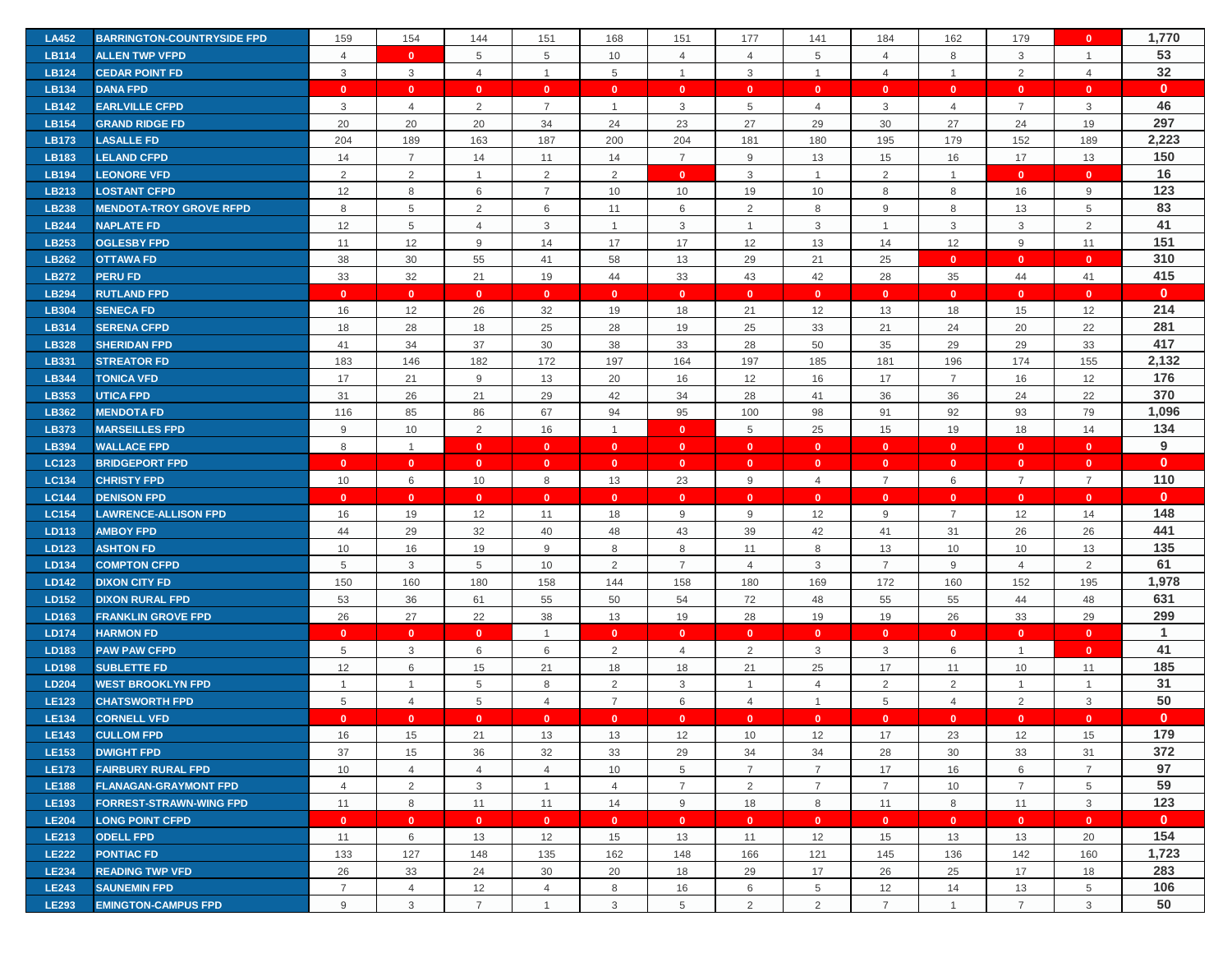| <b>LA452</b>                 | <b>BARRINGTON-COUNTRYSIDE FPD</b>                 | 159                 | 154                 | 144                     | 151                              | 168            | 151            | 177                 | 141                 | 184                  | 162                  | 179                  | $\mathbf{0}$   | 1,770        |
|------------------------------|---------------------------------------------------|---------------------|---------------------|-------------------------|----------------------------------|----------------|----------------|---------------------|---------------------|----------------------|----------------------|----------------------|----------------|--------------|
| <b>LB114</b>                 | <b>ALLEN TWP VFPD</b>                             | $\overline{4}$      | $\mathbf{0}$        | 5                       | 5                                | 10             | $\overline{4}$ | $\overline{4}$      | 5                   | $\overline{4}$       | 8                    | 3                    | $\mathbf{1}$   | 53           |
| <b>LB124</b>                 | <b>CEDAR POINT FD</b>                             | 3                   | $\mathbf{3}$        | $\overline{4}$          | $\mathbf{1}$                     | 5              | $\overline{1}$ | 3                   | $\mathbf{1}$        | $\overline{4}$       | $\mathbf{1}$         | 2                    | $\overline{4}$ | 32           |
| LB134                        | <b>DANA FPD</b>                                   | $\mathbf{0}$        | $\mathbf{0}$        | $\mathbf{0}$            | $\mathbf{0}$                     | $\mathbf{0}$   | $\overline{0}$ | $\mathbf{0}$        | $\mathbf{0}$        | $\mathbf{0}$         | $\mathbf{0}$         | $\mathbf{0}$         | $\mathbf{0}$   | $\mathbf{0}$ |
| <b>LB142</b>                 | <b>EARLVILLE CFPD</b>                             | 3                   | $\overline{4}$      | $\overline{2}$          | $\overline{7}$                   | $\mathbf{1}$   | 3              | 5                   | $\overline{4}$      | 3                    | $\overline{4}$       | $\overline{7}$       | 3              | 46           |
| <b>LB154</b>                 | <b>GRAND RIDGE FD</b>                             | 20                  | 20                  | 20                      | 34                               | 24             | 23             | 27                  | 29                  | 30                   | 27                   | 24                   | 19             | 297          |
| LB173                        | <b>LASALLE FD</b>                                 | 204                 | 189                 | 163                     | 187                              | 200            | 204            | 181                 | 180                 | 195                  | 179                  | 152                  | 189            | 2,223        |
| LB183                        | <b>LELAND CFPD</b>                                | 14                  | $\overline{7}$      | 14                      | 11                               | 14             | $\overline{7}$ | 9                   | 13                  | 15                   | 16                   | 17                   | 13             | 150          |
| <b>LB194</b>                 | <b>LEONORE VFD</b>                                | $\overline{2}$      | $\overline{2}$      | $\overline{1}$          | 2                                | 2              | $\bullet$      | 3                   | $\mathbf{1}$        | $\overline{2}$       | $\overline{1}$       | $\mathbf{0}$         | $\mathbf{0}$   | 16           |
| LB213                        | <b>LOSTANT CFPD</b>                               | 12                  | 8                   | 6                       | $\overline{7}$                   | 10             | 10             | 19                  | 10                  | 8                    | 8                    | 16                   | $9\,$          | 123          |
| <b>LB238</b>                 | <b>MENDOTA-TROY GROVE RFPD</b>                    | 8                   | $\overline{5}$      | $\overline{2}$          | 6                                | 11             | 6              | $\overline{2}$      | 8                   | $9\,$                | 8                    | 13                   | 5              | 83           |
| <b>LB244</b>                 | <b>NAPLATE FD</b>                                 | 12                  | $\overline{5}$      | $\overline{4}$          | 3                                | $\mathbf{1}$   | 3              | $\overline{1}$      | 3                   | $\mathbf{1}$         | 3                    | 3                    | $\overline{2}$ | 41           |
| LB253                        | <b>OGLESBY FPD</b>                                | 11                  | 12                  | 9                       | 14                               | 17             | 17             | 12                  | 13                  | 14                   | 12                   | 9                    | 11             | 151          |
| <b>LB262</b>                 | <b>OTTAWA FD</b>                                  | 38                  | 30                  | 55                      | 41                               | 58             | 13             | 29                  | 21                  | 25                   | $\overline{0}$       | $\mathbf{0}$         | $\mathbf{0}$   | 310          |
| <b>LB272</b>                 | <b>PERU FD</b>                                    | 33                  | 32                  | 21                      | 19                               | 44             | 33             | 43                  | 42                  | 28                   | 35                   | 44                   | 41             | 415          |
| <b>LB294</b>                 | <b>RUTLAND FPD</b>                                | $\mathbf{0}$        | $\mathbf{0}$        | $\overline{\mathbf{0}}$ | $\mathbf{0}$                     | $\mathbf{0}$   | $\mathbf{0}$   | $\mathbf{0}$        | $\mathbf{0}$        | $\mathbf{0}$         | $\mathbf{0}$         | $\mathbf{0}$         | $\mathbf{0}$   | $\mathbf{0}$ |
| <b>LB304</b>                 | <b>SENECA FD</b>                                  | 16                  | 12                  | 26                      | 32                               | 19             | 18             | 21                  | 12                  | 13                   | 18                   | 15                   | 12             | 214          |
| <b>LB314</b>                 | <b>SERENA CFPD</b>                                | 18                  | 28                  | 18                      | 25                               | 28             | 19             | 25                  | 33                  | 21                   | 24                   | 20                   | 22             | 281          |
| <b>LB328</b>                 | <b>SHERIDAN FPD</b>                               | 41                  | 34                  | 37                      | 30                               | 38             | 33             | 28                  | 50                  | 35                   | 29                   | 29                   | 33             | 417          |
| <b>LB331</b>                 | <b>STREATOR FD</b>                                | 183                 | 146                 | 182                     | 172                              | 197            | 164            | 197                 | 185                 | 181                  | 196                  | 174                  | 155            | 2,132        |
| <b>LB344</b>                 | <b>TONICA VFD</b>                                 | 17                  | 21                  | 9                       | 13                               | 20             | 16             | 12                  | 16                  | 17                   | $\overline{7}$       | 16                   | 12             | 176          |
| LB353                        | <b>UTICA FPD</b>                                  | 31                  | 26                  | 21                      | 29                               | 42             | 34             | 28                  | 41                  | 36                   | 36                   | 24                   | 22             | 370          |
| <b>LB362</b>                 | <b>MENDOTA FD</b>                                 | 116                 | 85                  | 86                      | 67                               | 94             | 95             | 100                 | 98                  | 91                   | 92                   | 93                   | 79             | 1,096        |
| LB373                        | <b>MARSEILLES FPD</b>                             | 9                   | 10                  | 2                       | 16                               | $\overline{1}$ | $\mathbf{0}$   | 5                   | 25                  | 15                   | 19                   | 18                   | 14             | 134          |
| <b>LB394</b>                 | <b>WALLACE FPD</b>                                | $\,8\,$             | $\overline{1}$      | $\mathbf{0}$            | $\mathbf{0}$                     | $\mathbf{0}$   | $\mathbf{0}$   | $\mathbf{0}$        | $\mathbf{0}$        | $\mathbf{0}$         | $\mathbf{0}$         | $\mathbf{0}$         | $\mathbf{0}$   | 9            |
| <b>LC123</b>                 | <b>BRIDGEPORT FPD</b>                             | $\mathbf{0}$        | $\mathbf{0}$        | $\overline{\mathbf{0}}$ | $\mathbf{0}$                     | $\mathbf{0}$   | $\mathbf{0}$   | $\mathbf{0}$        | $\mathbf{0}$        | $\mathbf{0}$         | $\mathbf{0}$         | $\mathbf{0}$         | $\mathbf{0}$   | $\mathbf{0}$ |
|                              |                                                   |                     |                     |                         |                                  |                |                |                     |                     |                      |                      |                      |                |              |
| <b>LC134</b>                 | <b>CHRISTY FPD</b>                                | 10                  | 6                   | 10                      | 8                                | 13             | 23             | 9                   | $\overline{4}$      | $\overline{7}$       | 6                    | $\overline{7}$       | $\overline{7}$ | 110          |
| <b>LC144</b>                 | <b>DENISON FPD</b>                                | $\mathbf{0}$        | $\mathbf{0}$        | $\mathbf{0}$            | $\mathbf{0}$                     | $\mathbf{0}$   | $\mathbf{0}$   | $\mathbf{0}$        | $\mathbf{0}$        | $\mathbf{0}$         | $\mathbf{0}$         | $\mathbf{0}$         | $\mathbf{0}$   | $\mathbf{0}$ |
| <b>LC154</b>                 | <b>LAWRENCE-ALLISON FPD</b>                       | 16                  | 19                  | 12                      | 11                               | 18             | 9              | 9                   | 12                  | 9                    | $\overline{7}$       | 12                   | 14             | 148          |
| LD113                        | <b>AMBOY FPD</b>                                  | 44                  | 29                  | 32                      | 40                               | 48             | 43             | 39                  | 42                  | 41                   | 31                   | 26                   | 26             | 441          |
| LD123                        | <b>ASHTON FD</b>                                  | 10                  | 16                  | 19                      | 9                                | 8              | 8              | 11                  | 8                   | 13                   | 10                   | 10                   | 13             | 135          |
| LD134                        | <b>COMPTON CFPD</b>                               | $\,$ 5 $\,$         | 3                   | 5                       | 10                               | 2              | $\overline{7}$ | 4                   | 3                   | $\overline{7}$       | 9                    | 4                    | 2              | 61           |
| LD142                        | <b>DIXON CITY FD</b>                              | 150                 | 160                 | 180                     | 158                              | 144            | 158            | 180                 | 169                 | 172                  | 160                  | 152                  | 195            | 1,978        |
| LD152                        | <b>DIXON RURAL FPD</b>                            | 53                  | 36                  | 61                      | 55                               | 50             | 54             | 72                  | 48                  | 55                   | 55                   | 44                   | 48             | 631          |
| LD163                        | <b>FRANKLIN GROVE FPD</b>                         | 26                  | 27                  | 22                      | 38                               | 13             | 19             | 28                  | 19                  | 19                   | 26                   | 33                   | 29             | 299          |
| <b>LD174</b>                 | <b>HARMON FD</b>                                  | $\mathbf{0}$        | $\mathbf{0}$        | $\mathbf{0}$            | $\overline{1}$                   | $\mathbf{0}$   | $\mathbf{0}$   | $\mathbf{0}$        | $\mathbf{0}$        | $\mathbf{0}$         | $\bullet$            | $\mathbf{0}$         | $\mathbf{0}$   | $\mathbf{1}$ |
| LD183                        | <b>PAW PAW CFPD</b>                               | 5                   | $\mathbf{3}$        | 6                       | 6                                | 2              | $\overline{4}$ | $\overline{2}$      | 3                   | 3                    | 6                    | $\mathbf{1}$         | $\mathbf{0}$   | 41           |
| <b>LD198</b>                 | <b>SUBLETTE FD</b>                                | 12                  | 6                   | 15                      | 21                               | 18             | 18             | 21                  | 25                  | 17                   | 11                   | 10                   | 11             | 185          |
| <b>LD204</b>                 | <b>WEST BROOKLYN FPD</b>                          |                     | $\mathbf{1}$        | 5                       | 8                                | $\overline{2}$ | 3              | -1                  | 4                   | $\overline{2}$       | 2                    | $\mathbf{1}$         | $\overline{1}$ | 31           |
| <b>LE123</b>                 | <b>CHATSWORTH FPD</b>                             | 5                   | $\overline{4}$      | 5                       | $\overline{4}$                   | $\overline{7}$ | 6              | $\overline{4}$      | $\mathbf{1}$        | $\overline{5}$       | $\overline{4}$       | 2                    | 3              | 50           |
| <b>LE134</b>                 | <b>CORNELL VFD</b>                                | $\mathbf{0}$        | $\mathbf{0}$        | $\mathbf{0}$            | $\mathbf{0}$                     | $\mathbf{0}$   | $\mathbf{0}$   | $\mathbf{0}$        | $\mathbf{0}$        | $\mathbf{0}$         | $\mathbf{0}$         | $\mathbf{0}$         | $\mathbf{0}$   | $\mathbf{0}$ |
| <b>LE143</b>                 | <b>CULLOM FPD</b>                                 | 16                  | 15                  | 21                      | 13                               | 13             | 12             | 10                  | 12                  | 17                   | 23                   | 12                   | 15             | 179          |
| LE153                        | <b>DWIGHT FPD</b>                                 | 37                  | 15                  | 36                      | 32                               | 33             | 29             | 34                  | 34                  | 28                   | 30                   | 33                   | 31             | 372          |
| <b>LE173</b>                 | <b>FAIRBURY RURAL FPD</b>                         | 10                  | $\overline{4}$      | $\overline{4}$          | $\overline{4}$                   | 10             | 5              | $\overline{7}$      | $\overline{7}$      | 17                   | 16                   | 6                    | $\overline{7}$ | 97           |
| <b>LE188</b>                 | <b>FLANAGAN-GRAYMONT FPD</b>                      | $\overline{4}$      | $\overline{2}$      | 3                       | $\mathbf{1}$                     | $\overline{4}$ | $\overline{7}$ | $\overline{2}$      | $\overline{7}$      | $\overline{7}$       | 10                   | $\overline{7}$       | 5              | 59           |
| <b>LE193</b>                 | <b>FORREST-STRAWN-WING FPD</b>                    | 11                  | 8                   | 11                      | 11                               | 14             | 9              | 18                  | 8                   | 11                   | 8                    | 11                   | 3              | 123          |
| <b>LE204</b>                 | <b>LONG POINT CFPD</b>                            | $\mathbf{0}$        | $\mathbf{0}$        | $\mathbf{0}$            | $\bullet$                        | $\mathbf{0}$   | $\mathbf{0}$   | $\mathbf{0}$        | $\mathbf{0}$        | $\mathbf{0}$         | $\bullet$            | $\bullet$            | $\mathbf{0}$   | $\mathbf{0}$ |
| <b>LE213</b>                 | <b>ODELL FPD</b>                                  | 11                  | 6                   | 13                      | 12                               | 15             | 13             | 11                  | 12                  | 15                   | 13                   | 13                   | 20             | 154          |
| <b>LE222</b>                 | <b>PONTIAC FD</b>                                 | 133                 | 127                 | 148                     | 135                              | 162            | 148            | 166                 | 121                 | 145                  | 136                  | 142                  | 160            | 1,723        |
| <b>LE234</b>                 | <b>READING TWP VFD</b>                            | 26                  | 33                  | 24                      | 30                               | 20             | 18             | 29                  | 17                  | 26                   | 25                   | 17                   | 18             | 283          |
| <b>LE243</b><br><b>LE293</b> | <b>SAUNEMIN FPD</b><br><b>EMINGTON-CAMPUS FPD</b> | $\overline{7}$<br>9 | $\overline{4}$<br>3 | 12<br>$\overline{7}$    | $\overline{4}$<br>$\overline{1}$ | 8<br>3         | 16<br>5        | 6<br>$\overline{2}$ | $\overline{5}$<br>2 | 12<br>$\overline{7}$ | 14<br>$\overline{1}$ | 13<br>$\overline{7}$ | 5<br>3         | 106<br>50    |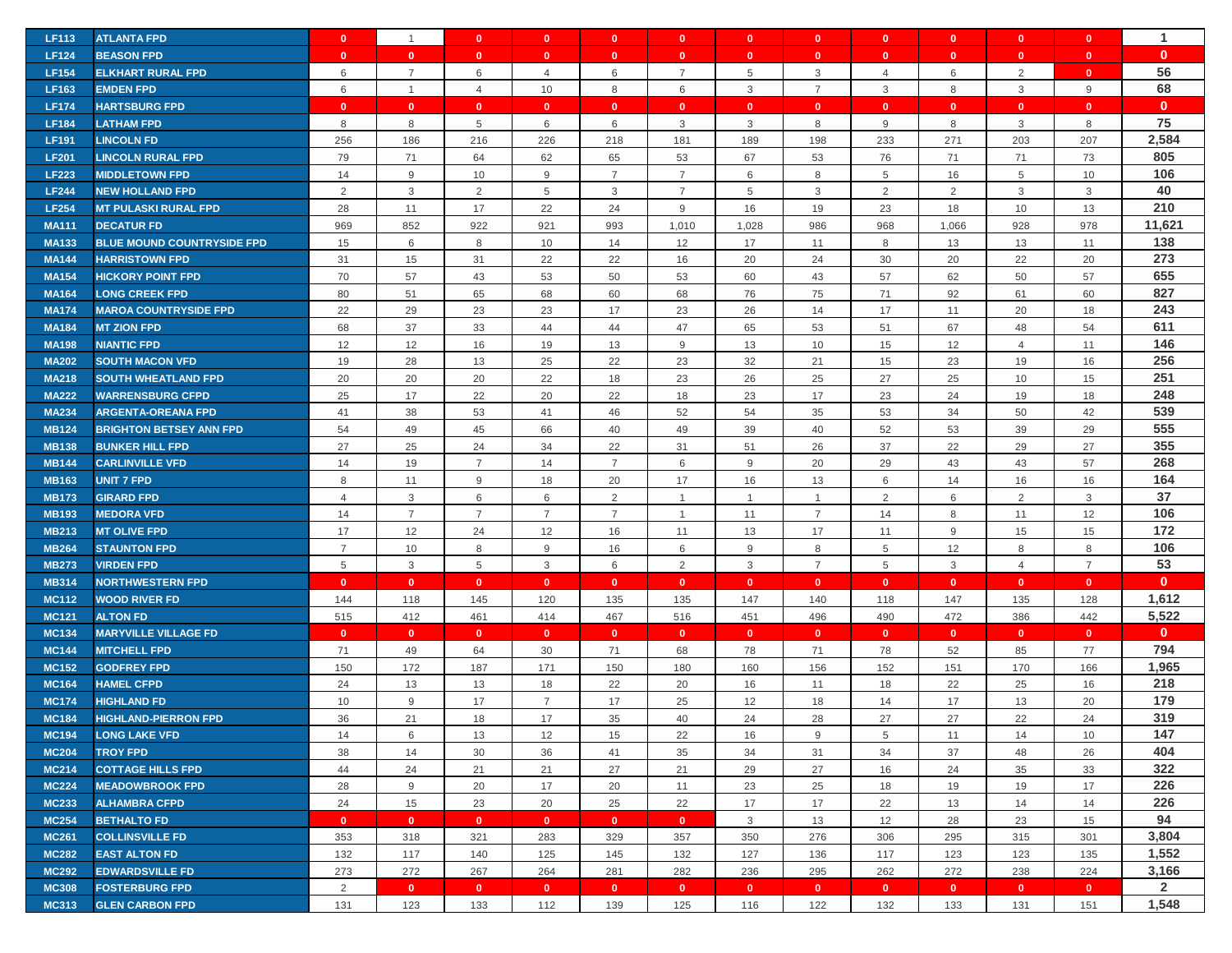| <b>LF113</b> | <b>ATLANTA FPD</b>                | $\mathbf{0}$   | $\mathbf{1}$   | $\mathbf{0}$   | $\mathbf{0}$   | $\mathbf{0}$   | $\mathbf{0}$   | $\mathbf{0}$   | $\mathbf{0}$   | $\mathbf{0}$   | $\mathbf{0}$   | $\mathbf{0}$   | $\mathbf{0}$   | $\mathbf 1$  |
|--------------|-----------------------------------|----------------|----------------|----------------|----------------|----------------|----------------|----------------|----------------|----------------|----------------|----------------|----------------|--------------|
| <b>LF124</b> | <b>BEASON FPD</b>                 | $\mathbf{0}$   | $\mathbf{0}$   | $\mathbf{0}$   | $\mathbf{0}$   | $\mathbf{0}$   | $\mathbf{0}$   | $\mathbf{0}$   | $\mathbf{0}$   | $\mathbf{0}$   | $\mathbf{0}$   | $\mathbf{0}$   | $\mathbf{0}$   | $\mathbf{0}$ |
| <b>LF154</b> | <b>ELKHART RURAL FPD</b>          | 6              | $\overline{7}$ | 6              | 4              | 6              | $\overline{7}$ | 5              | 3              | $\overline{4}$ | 6              | 2              | $\mathbf{0}$   | 56           |
| <b>LF163</b> | <b>EMDEN FPD</b>                  | 6              | $\mathbf{1}$   | $\overline{4}$ | 10             | 8              | 6              | 3              | $\overline{7}$ | $\mathbf{3}$   | 8              | 3              | $9\,$          | 68           |
| <b>LF174</b> | <b>HARTSBURG FPD</b>              | $\mathbf{0}$   | $\mathbf{0}$   | $\mathbf{0}$   | $\mathbf{0}$   | $\mathbf{0}$   | $\mathbf{0}$   | $\mathbf{0}$   | $\mathbf{0}$   | $\mathbf{0}$   | $\mathbf{0}$   | $\mathbf{0}$   | $\mathbf{0}$   | $\mathbf{0}$ |
| <b>LF184</b> | <b>LATHAM FPD</b>                 | 8              | 8              | 5              | 6              | 6              | 3              | 3              | 8              | $9\,$          | 8              | 3              | 8              | 75           |
| <b>LF191</b> | <b>LINCOLN FD</b>                 | 256            | 186            | 216            | 226            | 218            | 181            | 189            | 198            | 233            | 271            | 203            | 207            | 2,584        |
| <b>LF201</b> | <b>LINCOLN RURAL FPD</b>          | 79             | 71             | 64             | 62             | 65             | 53             | 67             | 53             | 76             | 71             | 71             | 73             | 805          |
| <b>LF223</b> | <b>MIDDLETOWN FPD</b>             | 14             | 9              | 10             | 9              | $\overline{7}$ | $\overline{7}$ | 6              | 8              | 5              | 16             | 5              | 10             | 106          |
| <b>LF244</b> | <b>NEW HOLLAND FPD</b>            | $\overline{2}$ | $\mathbf{3}$   | $\overline{2}$ | 5              | 3              | $\overline{7}$ | 5              | 3              | $\overline{2}$ | $\overline{2}$ | 3              | 3              | 40           |
| <b>LF254</b> | <b>MT PULASKI RURAL FPD</b>       | 28             | 11             | 17             | 22             | 24             | 9              | 16             | 19             | 23             | 18             | 10             | 13             | 210          |
| <b>MA111</b> | <b>DECATUR FD</b>                 | 969            | 852            | 922            | 921            | 993            | 1,010          | 1,028          | 986            | 968            | 1,066          | 928            | 978            | 11,621       |
| <b>MA133</b> | <b>BLUE MOUND COUNTRYSIDE FPD</b> | 15             | 6              | 8              | 10             | 14             | 12             | 17             | 11             | 8              | 13             | 13             | 11             | 138          |
| <b>MA144</b> | <b>HARRISTOWN FPD</b>             | 31             | 15             | 31             | 22             | 22             | 16             | 20             | 24             | 30             | 20             | 22             | 20             | 273          |
| <b>MA154</b> | <b>HICKORY POINT FPD</b>          | 70             | 57             | 43             | 53             | 50             | 53             | 60             | 43             | 57             | 62             | 50             | 57             | 655          |
| <b>MA164</b> | <b>LONG CREEK FPD</b>             | 80             | 51             | 65             | 68             | 60             | 68             | 76             | 75             | 71             | 92             | 61             | 60             | 827          |
| <b>MA174</b> | <b>MAROA COUNTRYSIDE FPD</b>      | 22             | 29             | 23             | 23             | 17             | 23             | 26             | 14             | 17             | 11             | 20             | 18             | 243          |
| <b>MA184</b> | <b>MT ZION FPD</b>                | 68             | 37             | 33             | 44             | 44             | 47             | 65             | 53             | 51             | 67             | 48             | 54             | 611          |
| <b>MA198</b> | <b>NIANTIC FPD</b>                | 12             | 12             | 16             | 19             | 13             | 9              | 13             | 10             | 15             | 12             | $\overline{4}$ | 11             | 146          |
| <b>MA202</b> | <b>SOUTH MACON VFD</b>            | 19             | 28             | 13             | 25             | 22             | 23             | 32             | 21             | 15             | 23             | 19             | 16             | 256          |
| <b>MA218</b> | <b>SOUTH WHEATLAND FPD</b>        | 20             | 20             | 20             | 22             | 18             | 23             | 26             | 25             | 27             | 25             | 10             | 15             | 251          |
| <b>MA222</b> | <b>WARRENSBURG CFPD</b>           | 25             | 17             | 22             | 20             | 22             | 18             | 23             | 17             | 23             | 24             | 19             | 18             | 248          |
| <b>MA234</b> | <b>ARGENTA-OREANA FPD</b>         | 41             | 38             | 53             | 41             | 46             | 52             | 54             | 35             | 53             | 34             | 50             | 42             | 539          |
| <b>MB124</b> | <b>BRIGHTON BETSEY ANN FPD</b>    | 54             | 49             | 45             | 66             | 40             | 49             | 39             | 40             | 52             | 53             | 39             | 29             | 555          |
| <b>MB138</b> | <b>BUNKER HILL FPD</b>            | 27             | 25             | 24             | 34             | 22             | 31             | 51             | 26             | 37             | 22             | 29             | 27             | 355          |
| <b>MB144</b> | <b>CARLINVILLE VFD</b>            | 14             | 19             | $\overline{7}$ | 14             | $\overline{7}$ | 6              | 9              | 20             | 29             | 43             | 43             | 57             | 268          |
| <b>MB163</b> | <b>UNIT 7 FPD</b>                 | 8              | 11             | 9              | 18             | 20             | 17             | 16             | 13             | 6              | 14             | 16             | 16             | 164          |
| <b>MB173</b> | <b>GIRARD FPD</b>                 | $\overline{4}$ | 3              | 6              | 6              | 2              | $\overline{1}$ | $\overline{1}$ | $\mathbf{1}$   | 2              | 6              | 2              | 3              | 37           |
| <b>MB193</b> | <b>MEDORA VFD</b>                 | 14             | $\overline{7}$ | $\overline{7}$ | $\overline{7}$ | $\overline{7}$ | $\overline{1}$ | 11             | $\overline{7}$ | 14             | 8              | 11             | 12             | 106          |
| <b>MB213</b> | <b>MT OLIVE FPD</b>               | 17             | 12             | 24             | 12             | 16             | 11             | 13             | 17             | 11             | 9              | 15             | 15             | 172          |
| <b>MB264</b> | <b>STAUNTON FPD</b>               | $\overline{7}$ | 10             | 8              | 9              | 16             | 6              | 9              | 8              | $\,$ 5 $\,$    | 12             | 8              | 8              | 106          |
| <b>MB273</b> | <b>VIRDEN FPD</b>                 | 5              | $\mathbf{3}$   | $\overline{5}$ | 3              | 6              | 2              | 3              | $\overline{7}$ | $\overline{5}$ | $\mathbf{3}$   | $\overline{4}$ | $\overline{7}$ | 53           |
| <b>MB314</b> | <b>NORTHWESTERN FPD</b>           | $\mathbf{0}$   | $\mathbf{0}$   | $\mathbf{0}$   | $\mathbf{0}$   | $\mathbf{0}$   | $\mathbf{0}$   | $\mathbf{0}$   | $\mathbf{0}$   | $\mathbf{0}$   | $\overline{0}$ | $\mathbf{0}$   | $\mathbf{0}$   | $\mathbf{0}$ |
| <b>MC112</b> | <b>WOOD RIVER FD</b>              | 144            | 118            | 145            | 120            | 135            | 135            | 147            | 140            | 118            | 147            | 135            | 128            | 1,612        |
| <b>MC121</b> | <b>ALTON FD</b>                   | 515            | 412            | 461            | 414            | 467            | 516            | 451            | 496            | 490            | 472            | 386            | 442            | 5,522        |
| <b>MC134</b> | <b>MARYVILLE VILLAGE FD</b>       | $\mathbf{0}$   | $\mathbf{0}$   | $\mathbf{0}$   | $\mathbf{0}$   | $\mathbf{0}$   | $\mathbf{0}$   | $\mathbf{0}$   | $\mathbf{0}$   | $\mathbf{0}$   | $\overline{0}$ | $\mathbf{0}$   | $\mathbf{0}$   | $\mathbf{0}$ |
| <b>MC144</b> | <b>MITCHELL FPD</b>               | 71             | 49             | 64             | 30             | 71             | 68             | 78             | 71             | 78             | 52             | 85             | 77             | 794          |
| <b>MC152</b> | <b>GODFREY FPD</b>                | 150            | 172            | 187            | 171            | 150            | 180            | 160            | 156            | 152            | 151            | 170            | 166            | 1,965        |
| <b>MC164</b> | <b>HAMEL CFPD</b>                 | 24             | 13             | 13             | 18             | 22             | 20             | 16             | 11             | 18             | 22             | 25             | 16             | 218          |
| <b>MC174</b> | <b>HIGHLAND FD</b>                | 10             | 9              | 17             | $\overline{7}$ | 17             | 25             | 12             | 18             | 14             | 17             | 13             | 20             | 179          |
| <b>MC184</b> | <b>HIGHLAND-PIERRON FPD</b>       | 36             | 21             | 18             | 17             | 35             | 40             | 24             | 28             | 27             | 27             | 22             | 24             | 319          |
| <b>MC194</b> | <b>LONG LAKE VFD</b>              | 14             | 6              | 13             | 12             | 15             | 22             | 16             | 9              | 5              | 11             | 14             | 10             | 147          |
| <b>MC204</b> | <b>TROY FPD</b>                   | 38             | 14             | 30             | 36             | 41             | 35             | 34             | 31             | 34             | 37             | 48             | 26             | 404          |
| <b>MC214</b> | <b>COTTAGE HILLS FPD</b>          | 44             | 24             | 21             | 21             | 27             | 21             | 29             | 27             | 16             | 24             | 35             | 33             | 322          |
| <b>MC224</b> | <b>MEADOWBROOK FPD</b>            | 28             | 9              | 20             | 17             | 20             | 11             | 23             | 25             | 18             | 19             | 19             | 17             | 226          |
| <b>MC233</b> | <b>ALHAMBRA CFPD</b>              | 24             | 15             | 23             | 20             | 25             | 22             | 17             | 17             | 22             | 13             | 14             | 14             | 226          |
| <b>MC254</b> | <b>BETHALTO FD</b>                | $\mathbf{0}$   | $\mathbf{0}$   | $\bullet$      | $\mathbf{0}$   | $\mathbf{0}$   | $\mathbf{0}$   | 3              | 13             | 12             | 28             | 23             | 15             | 94           |
| <b>MC261</b> | <b>COLLINSVILLE FD</b>            | 353            | 318            | 321            | 283            | 329            | 357            | 350            | 276            | 306            | 295            | 315            | 301            | 3,804        |
| <b>MC282</b> | <b>EAST ALTON FD</b>              | 132            | 117            | 140            | 125            | 145            | 132            | 127            | 136            | 117            | 123            | 123            | 135            | 1,552        |
| <b>MC292</b> | <b>EDWARDSVILLE FD</b>            | 273            | 272            | 267            | 264            | 281            | 282            | 236            | 295            | 262            | 272            | 238            | 224            | 3,166        |
| <b>MC308</b> | <b>FOSTERBURG FPD</b>             | $\overline{2}$ | $\mathbf{0}$   | $\bullet$      | $\mathbf{0}$   | $\mathbf{0}$   | $\mathbf{0}$   | $\mathbf{0}$   | $\mathbf{0}$   | $\bullet$      | $\mathbf{0}$   | $\mathbf{0}$   | $\mathbf{0}$   | $\mathbf{2}$ |
| <b>MC313</b> | <b>GLEN CARBON FPD</b>            | 131            | 123            | 133            | 112            | 139            | 125            | 116            | 122            | 132            | 133            | 131            | 151            | 1,548        |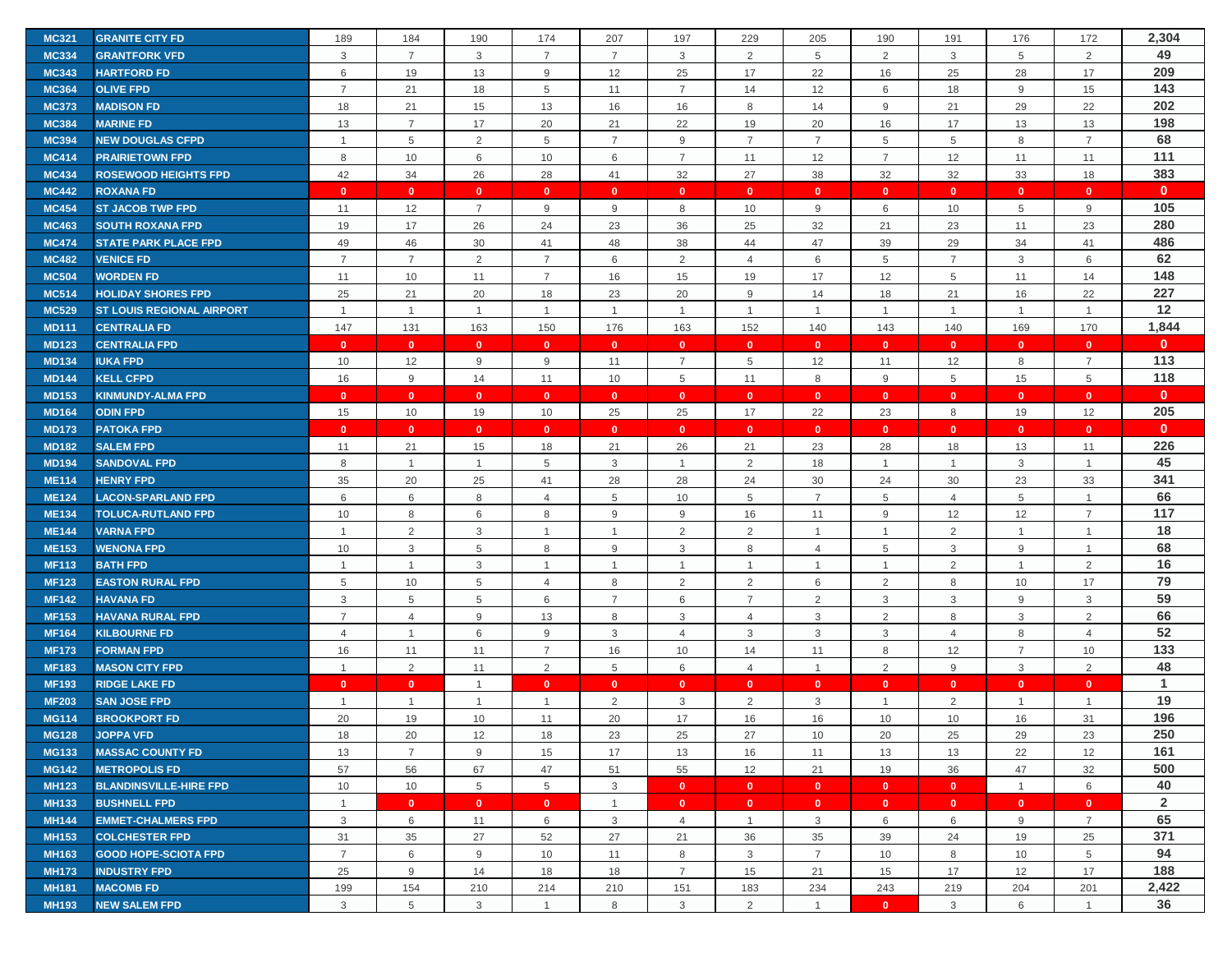| <b>MC321</b> | <b>GRANITE CITY FD</b>           | 189            | 184            | 190            | 174            | 207            | 197            | 229                     | 205                       | 190            | 191                     | 176            | 172            | 2,304          |
|--------------|----------------------------------|----------------|----------------|----------------|----------------|----------------|----------------|-------------------------|---------------------------|----------------|-------------------------|----------------|----------------|----------------|
| <b>MC334</b> | <b>GRANTFORK VFD</b>             | 3              | $\overline{7}$ | $\mathbf{3}$   | $\overline{7}$ | $\overline{7}$ | 3              | 2                       | $\,$ 5 $\,$               | 2              | 3                       | 5              | 2              | 49             |
| <b>MC343</b> | <b>HARTFORD FD</b>               | 6              | 19             | 13             | 9              | 12             | 25             | 17                      | 22                        | 16             | 25                      | 28             | 17             | 209            |
| <b>MC364</b> | <b>OLIVE FPD</b>                 | $\overline{7}$ | 21             | 18             | 5              | 11             | $\overline{7}$ | 14                      | 12                        | 6              | 18                      | 9              | 15             | 143            |
| <b>MC373</b> | <b>MADISON FD</b>                | 18             | 21             | 15             | 13             | 16             | 16             | 8                       | 14                        | $9\,$          | 21                      | 29             | 22             | 202            |
| <b>MC384</b> | <b>MARINE FD</b>                 | 13             | $\overline{7}$ | 17             | 20             | 21             | 22             | 19                      | 20                        | 16             | 17                      | 13             | 13             | 198            |
| <b>MC394</b> | <b>NEW DOUGLAS CFPD</b>          | $\overline{1}$ | 5              | $\overline{2}$ | 5              | $\overline{7}$ | 9              | $\overline{7}$          | $\overline{7}$            | 5              | 5                       | 8              | $\overline{7}$ | 68             |
| <b>MC414</b> | <b>PRAIRIETOWN FPD</b>           | 8              | 10             | 6              | 10             | 6              | $\overline{7}$ | 11                      | 12                        | $\overline{7}$ | 12                      | 11             | 11             | 111            |
| <b>MC434</b> | <b>ROSEWOOD HEIGHTS FPD</b>      | 42             | 34             | 26             | 28             | 41             | 32             | 27                      | 38                        | 32             | 32                      | 33             | 18             | 383            |
| <b>MC442</b> | <b>ROXANA FD</b>                 | $\mathbf{0}$   | $\mathbf{0}$   | $\mathbf{0}$   | $\mathbf{0}$   | $\mathbf{0}$   | $\mathbf{0}$   | $\mathbf{0}$            | $\mathbf{0}$              | $\mathbf{0}$   | $\overline{\mathbf{0}}$ | $\mathbf{0}$   | $\mathbf{0}$   | $\mathbf{0}$   |
| <b>MC454</b> | <b>ST JACOB TWP FPD</b>          | 11             | 12             | $\overline{7}$ | 9              | 9              | 8              | 10                      | 9                         | 6              | 10                      | 5              | $9\,$          | 105            |
| <b>MC463</b> | <b>SOUTH ROXANA FPD</b>          | 19             | 17             | 26             | 24             | 23             | 36             | 25                      | 32                        | 21             | 23                      | 11             | 23             | 280            |
| <b>MC474</b> | <b>STATE PARK PLACE FPD</b>      | 49             | 46             | 30             | 41             | 48             | 38             | 44                      | 47                        | 39             | 29                      | 34             | 41             | 486            |
| <b>MC482</b> | <b>VENICE FD</b>                 | $\overline{7}$ | $\overline{7}$ | 2              | $\overline{7}$ | 6              | 2              | $\overline{4}$          | 6                         | 5              | $\overline{7}$          | 3              | 6              | 62             |
| <b>MC504</b> | <b>WORDEN FD</b>                 | 11             | 10             | 11             | $\overline{7}$ | 16             | 15             | 19                      | 17                        | 12             | 5                       | 11             | 14             | 148            |
| <b>MC514</b> | <b>HOLIDAY SHORES FPD</b>        | 25             | 21             | 20             | 18             | 23             | 20             | 9                       | 14                        | 18             | 21                      | 16             | 22             | 227            |
| <b>MC529</b> | <b>ST LOUIS REGIONAL AIRPORT</b> | $\overline{1}$ | $\mathbf{1}$   | $\overline{1}$ | $\mathbf{1}$   | $\mathbf{1}$   | $\overline{1}$ | $\overline{1}$          | $\mathbf{1}$              | $\overline{1}$ | $\mathbf{1}$            | $\mathbf{1}$   | $\mathbf{1}$   | 12             |
| <b>MD111</b> | <b>CENTRALIA FD</b>              | 147            | 131            | 163            | 150            | 176            | 163            | 152                     | 140                       | 143            | 140                     | 169            | 170            | 1,844          |
| <b>MD123</b> | <b>CENTRALIA FPD</b>             | $\mathbf{0}$   | $\mathbf{0}$   | $\mathbf{0}$   | $\mathbf{0}$   | $\mathbf{0}$   | $\mathbf{0}$   | $\mathbf{0}$            | $\mathbf{0}$              | $\mathbf{0}$   | $\mathbf{0}$            | $\mathbf{0}$   | $\mathbf{0}$   | $\mathbf{0}$   |
| <b>MD134</b> | <b>IUKA FPD</b>                  | 10             | 12             | 9              | 9              | 11             | $\overline{7}$ | 5                       | 12                        | 11             | 12                      | 8              | $\overline{7}$ | 113            |
| <b>MD144</b> | <b>KELL CFPD</b>                 | 16             | 9              | 14             | 11             | 10             | 5              | 11                      | 8                         | 9              | 5                       | 15             | 5              | 118            |
| <b>MD153</b> | <b>KINMUNDY-ALMA FPD</b>         | $\mathbf{0}$   | $\mathbf{0}$   | $\mathbf{0}$   | $\mathbf{0}$   | $\mathbf{0}$   | $\mathbf{0}$   | $\mathbf{0}$            | $\mathbf{0}$              | $\mathbf{0}$   | $\mathbf{0}$            | $\mathbf{0}$   | $\mathbf{0}$   | $\mathbf{0}$   |
| <b>MD164</b> | <b>ODIN FPD</b>                  | 15             | 10             | 19             | 10             | 25             | 25             | 17                      | 22                        | 23             | 8                       | 19             | 12             | 205            |
| <b>MD173</b> | <b>PATOKA FPD</b>                | $\Omega$       | $\mathbf{0}$   | $\mathbf{0}$   | $\mathbf{0}$   | $\mathbf{0}$   | $\mathbf{0}$   | $\mathbf{0}$            | $\mathbf{0}$              | $\mathbf{0}$   | $\mathbf{0}$            | $\mathbf{0}$   | $\mathbf{0}$   | $\mathbf{0}$   |
| <b>MD182</b> | <b>SALEM FPD</b>                 | 11             | 21             | 15             | 18             | 21             | 26             | 21                      | 23                        | 28             | 18                      | 13             | 11             | 226            |
| <b>MD194</b> | <b>SANDOVAL FPD</b>              | 8              | $\mathbf{1}$   | $\overline{1}$ | 5              | 3              | $\overline{1}$ | $\overline{2}$          | 18                        | $\mathbf{1}$   | $\overline{1}$          | 3              | $\mathbf{1}$   | 45             |
| <b>ME114</b> | <b>HENRY FPD</b>                 | 35             | 20             | 25             | 41             | 28             | 28             | 24                      | 30                        | 24             | 30                      | 23             | 33             | 341            |
| <b>ME124</b> | <b>LACON-SPARLAND FPD</b>        | 6              | 6              | 8              | 4              | 5              | 10             | 5                       | $\overline{7}$            | 5              | $\overline{4}$          | 5              | $\overline{1}$ | 66             |
| <b>ME134</b> | <b>TOLUCA-RUTLAND FPD</b>        | 10             | 8              | 6              | 8              | 9              | 9              | 16                      | 11                        | $9\,$          | 12                      | 12             | $\overline{7}$ | 117            |
| <b>ME144</b> | <b>VARNA FPD</b>                 | $\overline{1}$ | $\overline{2}$ | 3              | $\mathbf 1$    | $\mathbf{1}$   | $\overline{2}$ | 2                       | $\mathbf{1}$              | $\overline{1}$ | 2                       | $\mathbf{1}$   | $\mathbf{1}$   | 18             |
| <b>ME153</b> | <b>WENONA FPD</b>                | 10             | 3              | 5              | 8              | 9              | 3              | 8                       | 4                         | 5              | 3                       | 9              | $\mathbf{1}$   | 68             |
| <b>MF113</b> | <b>BATH FPD</b>                  | $\overline{1}$ | $\mathbf{1}$   | $\mathbf{3}$   | $\mathbf{1}$   | $\mathbf{1}$   | $\overline{1}$ | $\overline{1}$          | $\mathbf{1}$              | $\mathbf{1}$   | 2                       | $\mathbf{1}$   | 2              | 16             |
| <b>MF123</b> | <b>EASTON RURAL FPD</b>          | 5              | 10             | 5              | $\overline{4}$ | 8              | 2              | $\overline{2}$          | 6                         | $\overline{2}$ | 8                       | 10             | 17             | 79             |
| <b>MF142</b> | <b>HAVANA FD</b>                 | 3              | 5              | 5              | 6              | $\overline{7}$ | 6              | $\overline{7}$          | $\overline{2}$            | 3              | 3                       | 9              | 3              | 59             |
| <b>MF153</b> | <b>HAVANA RURAL FPD</b>          | $\overline{7}$ | $\overline{4}$ | 9              | 13             | 8              | 3              | $\overline{4}$          | $\ensuremath{\mathsf{3}}$ | $\overline{2}$ | 8                       | 3              | 2              | 66             |
| <b>MF164</b> | <b>KILBOURNE FD</b>              | $\overline{4}$ | $\mathbf{1}$   | 6              | 9              | 3              | $\overline{4}$ | 3                       | 3                         | 3              | $\overline{4}$          | 8              | $\overline{4}$ | 52             |
| <b>MF173</b> | <b>FORMAN FPD</b>                | 16             | 11             | 11             | $\overline{7}$ | 16             | 10             | 14                      | 11                        | 8              | 12                      | $\overline{7}$ | 10             | 133            |
| <b>MF183</b> | <b>MASON CITY FPD</b>            | $\overline{1}$ | 2              | 11             | 2              | 5              | 6              | 4                       | $\mathbf{1}$              | $\overline{2}$ | 9                       | 3              | $\overline{2}$ | 48             |
| <b>MF193</b> | <b>RIDGE LAKE FD</b>             | $\mathbf{0}$   | $\mathbf{0}$   | $\overline{1}$ | $\mathbf{0}$   | $\mathbf{0}$   | $\mathbf{0}$   | $\mathbf{0}$            | $\mathbf{0}$              | $\mathbf{0}$   | $\mathbf{0}$            | $\mathbf{0}$   | $\mathbf{0}$   | $\mathbf{1}$   |
| <b>MF203</b> | <b>SAN JOSE FPD</b>              | $\overline{1}$ | $\mathbf{1}$   | $\mathbf{1}$   | $\mathbf 1$    | 2              | 3              | $\overline{2}$          | 3                         | $\mathbf{1}$   | $\overline{2}$          | $\mathbf{1}$   | $\mathbf{1}$   | 19             |
| <b>MG114</b> | <b>BROOKPORT FD</b>              | 20             | 19             | 10             | 11             | 20             | 17             | 16                      | 16                        | 10             | 10                      | 16             | 31             | 196            |
| <b>MG128</b> | <b>JOPPA VFD</b>                 | 18             | 20             | 12             | 18             | 23             | 25             | 27                      | 10                        | 20             | 25                      | 29             | 23             | 250            |
| <b>MG133</b> | <b>MASSAC COUNTY FD</b>          | 13             | $\overline{7}$ | 9              | 15             | 17             | 13             | 16                      | 11                        | 13             | 13                      | 22             | 12             | 161            |
| <b>MG142</b> | <b>METROPOLIS FD</b>             | 57             | 56             | 67             | 47             | 51             | 55             | 12                      | 21                        | 19             | 36                      | 47             | 32             | 500            |
| <b>MH123</b> | <b>BLANDINSVILLE-HIRE FPD</b>    | 10             | 10             | 5              | 5              | 3              | $\mathbf{0}$   | $\overline{\mathbf{0}}$ | $\mathbf{0}$              | $\bullet$      | $\overline{0}$          | $\mathbf{1}$   | 6              | 40             |
| <b>MH133</b> | <b>BUSHNELL FPD</b>              | $\mathbf{1}$   | $\mathbf{0}$   | $\mathbf{0}$   | $\mathbf{0}$   | $\mathbf{1}$   | $\mathbf{0}$   | $\mathbf{0}$            | $\mathbf{0}$              | $\mathbf{0}$   | $\bullet$               | $\mathbf{0}$   | $\mathbf{0}$   | $\overline{2}$ |
| <b>MH144</b> | <b>EMMET-CHALMERS FPD</b>        | 3              | 6              | 11             | 6              | 3              | $\overline{4}$ | -1                      | 3                         | 6              | 6                       | 9              | $\overline{7}$ | 65             |
| <b>MH153</b> | <b>COLCHESTER FPD</b>            | 31             | 35             | 27             | 52             | 27             | 21             | 36                      | 35                        | 39             | 24                      | 19             | 25             | 371            |
| <b>MH163</b> | <b>GOOD HOPE-SCIOTA FPD</b>      | $\overline{7}$ | 6              | 9              | 10             | 11             | 8              | 3                       | $\overline{7}$            | 10             | 8                       | 10             | 5              | 94             |
| <b>MH173</b> | <b>INDUSTRY FPD</b>              | 25             | 9              | 14             | 18             | 18             | $\overline{7}$ | 15                      | 21                        | 15             | 17                      | 12             | 17             | 188            |
| <b>MH181</b> | <b>MACOMB FD</b>                 | 199            | 154            | 210            | 214            | 210            | 151            | 183                     | 234                       | 243            | 219                     | 204            | 201            | 2,422          |
| <b>MH193</b> | <b>NEW SALEM FPD</b>             | 3              | 5              | 3              | $\mathbf{1}$   | 8              | 3              | 2                       | $\overline{1}$            | $\mathbf{0}$   | 3                       | 6              | $\overline{1}$ | 36             |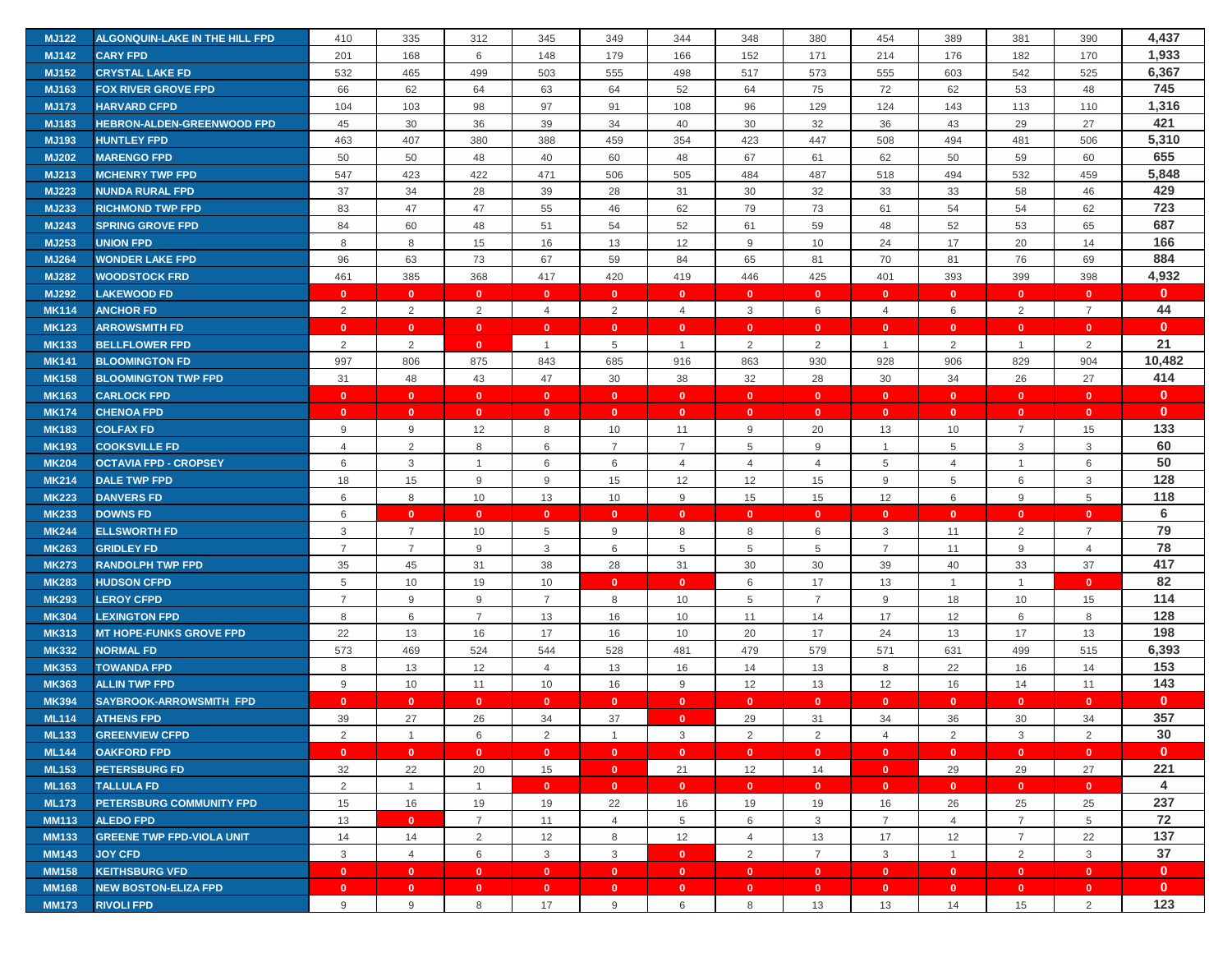| <b>MJ122</b> | ALGONQUIN-LAKE IN THE HILL FPD    | 410            | 335            | 312                     | 345            | 349            | 344            | 348            | 380            | 454            | 389            | 381            | 390            | 4,437        |
|--------------|-----------------------------------|----------------|----------------|-------------------------|----------------|----------------|----------------|----------------|----------------|----------------|----------------|----------------|----------------|--------------|
| <b>MJ142</b> | <b>CARY FPD</b>                   | 201            | 168            | 6                       | 148            | 179            | 166            | 152            | 171            | 214            | 176            | 182            | 170            | 1,933        |
| <b>MJ152</b> | <b>CRYSTAL LAKE FD</b>            | 532            | 465            | 499                     | 503            | 555            | 498            | 517            | 573            | 555            | 603            | 542            | 525            | 6,367        |
| MJ163        | <b>FOX RIVER GROVE FPD</b>        | 66             | 62             | 64                      | 63             | 64             | 52             | 64             | 75             | 72             | 62             | 53             | 48             | 745          |
| <b>MJ173</b> | <b>HARVARD CFPD</b>               | 104            | 103            | 98                      | 97             | 91             | 108            | 96             | 129            | 124            | 143            | 113            | 110            | 1,316        |
| <b>MJ183</b> | <b>HEBRON-ALDEN-GREENWOOD FPD</b> | 45             | 30             | 36                      | 39             | 34             | 40             | 30             | 32             | 36             | 43             | 29             | 27             | 421          |
| MJ193        | <b>HUNTLEY FPD</b>                | 463            | 407            | 380                     | 388            | 459            | 354            | 423            | 447            | 508            | 494            | 481            | 506            | 5,310        |
| <b>MJ202</b> | <b>MARENGO FPD</b>                | 50             | 50             | 48                      | 40             | 60             | 48             | 67             | 61             | 62             | 50             | 59             | 60             | 655          |
| <b>MJ213</b> | <b>MCHENRY TWP FPD</b>            | 547            | 423            | 422                     | 471            | 506            | 505            | 484            | 487            | 518            | 494            | 532            | 459            | 5,848        |
| <b>MJ223</b> | <b>NUNDA RURAL FPD</b>            | 37             | 34             | 28                      | 39             | 28             | 31             | 30             | 32             | 33             | 33             | 58             | 46             | 429          |
| MJ233        | <b>RICHMOND TWP FPD</b>           | 83             | 47             | 47                      | 55             | 46             | 62             | 79             | 73             | 61             | 54             | 54             | 62             | 723          |
| <b>MJ243</b> | <b>SPRING GROVE FPD</b>           | 84             | 60             | 48                      | 51             | 54             | 52             | 61             | 59             | 48             | 52             | 53             | 65             | 687          |
| MJ253        | <b>UNION FPD</b>                  | 8              | 8              | 15                      | 16             | 13             | 12             | 9              | 10             | 24             | 17             | 20             | 14             | 166          |
| <b>MJ264</b> | <b>WONDER LAKE FPD</b>            | 96             | 63             | 73                      | 67             | 59             | 84             | 65             | 81             | 70             | 81             | 76             | 69             | 884          |
| <b>MJ282</b> | <b>WOODSTOCK FRD</b>              | 461            | 385            | 368                     | 417            | 420            | 419            | 446            | 425            | 401            | 393            | 399            | 398            | 4,932        |
| <b>MJ292</b> | <b>LAKEWOOD FD</b>                | $\mathbf{0}$   | $\mathbf{0}$   | $\mathbf{0}$            | $\mathbf{0}$   | $\mathbf{0}$   | $\mathbf{0}$   | $\mathbf{0}$   | $\mathbf{0}$   | $\mathbf{0}$   | $\mathbf{0}$   | $\mathbf{0}$   | $\mathbf{0}$   | $\mathbf{0}$ |
| <b>MK114</b> | <b>ANCHOR FD</b>                  | 2              | 2              | 2                       | $\overline{4}$ | 2              | $\overline{4}$ | 3              | 6              | $\overline{4}$ | 6              | 2              | $\overline{7}$ | 44           |
| <b>MK123</b> | <b>ARROWSMITH FD</b>              | $\mathbf{0}$   | $\mathbf{0}$   | $\overline{\mathbf{0}}$ | $\mathbf{0}$   | $\mathbf{0}$   | $\mathbf{0}$   | $\mathbf{0}$   | $\mathbf{0}$   | $\mathbf{0}$   | $\mathbf{0}$   | $\mathbf{0}$   | $\mathbf{0}$   | $\mathbf{0}$ |
| <b>MK133</b> | <b>BELLFLOWER FPD</b>             | 2              | 2              | $\mathbf{0}$            | $\overline{1}$ | 5              | $\overline{1}$ | 2              | $\overline{2}$ | $\overline{1}$ | 2              | $\mathbf{1}$   | 2              | 21           |
| <b>MK141</b> | <b>BLOOMINGTON FD</b>             | 997            | 806            | 875                     | 843            | 685            | 916            | 863            | 930            | 928            | 906            | 829            | 904            | 10,482       |
| <b>MK158</b> | <b>BLOOMINGTON TWP FPD</b>        | 31             | 48             | 43                      | 47             | 30             | 38             | 32             | 28             | 30             | 34             | 26             | 27             | 414          |
| <b>MK163</b> | <b>CARLOCK FPD</b>                | $\mathbf{0}$   | $\mathbf{0}$   | $\overline{0}$          | $\mathbf{0}$   | $\mathbf{0}$   | $\mathbf{0}$   | $\mathbf{0}$   | $\mathbf{0}$   | $\mathbf{0}$   | $\mathbf{0}$   | $\mathbf{0}$   | $\mathbf{0}$   | $\mathbf{0}$ |
| <b>MK174</b> | <b>CHENOA FPD</b>                 | $\mathbf{0}$   | $\mathbf{0}$   | $\overline{\mathbf{0}}$ | $\mathbf{0}$   | $\mathbf{0}$   | $\mathbf{0}$   | $\mathbf{0}$   | $\mathbf{0}$   | $\mathbf{0}$   | $\overline{0}$ | $\mathbf{0}$   | $\mathbf{0}$   | $\mathbf{0}$ |
| <b>MK183</b> | <b>COLFAX FD</b>                  | 9              | 9              | 12                      | 8              | 10             | 11             | 9              | 20             | 13             | 10             | $\overline{7}$ | 15             | 133          |
| <b>MK193</b> | <b>COOKSVILLE FD</b>              | $\overline{4}$ | $\overline{2}$ | 8                       | 6              | $\overline{7}$ | $\overline{7}$ | 5              | $9$            | $\overline{1}$ | 5              | 3              | 3              | 60           |
| <b>MK204</b> | <b>OCTAVIA FPD - CROPSEY</b>      | 6              | 3              | $\mathbf 1$             | 6              | 6              | $\overline{4}$ | $\overline{4}$ | $\overline{4}$ | 5              | $\overline{4}$ |                | 6              | 50           |
| <b>MK214</b> | <b>DALE TWP FPD</b>               | 18             | 15             | 9                       | 9              | 15             | 12             | 12             | 15             | 9              | 5              | 6              | $\mathbf{3}$   | 128          |
| <b>MK223</b> | <b>DANVERS FD</b>                 | 6              | 8              | 10                      | 13             | 10             | 9              | 15             | 15             | 12             | 6              | 9              | 5              | 118          |
| <b>MK233</b> | <b>DOWNS FD</b>                   | 6              | $\mathbf{0}$   | $\mathbf{0}$            | $\mathbf{0}$   | $\mathbf{0}$   | $\mathbf{0}$   | $\mathbf{0}$   | $\mathbf{0}$   | $\mathbf{0}$   | $\mathbf{0}$   | $\mathbf{0}$   | $\mathbf{0}$   | 6            |
| <b>MK244</b> | <b>ELLSWORTH FD</b>               | 3              | $\overline{7}$ | 10                      | 5              | 9              | 8              | 8              | 6              | 3              | 11             | 2              | $\overline{7}$ | 79           |
| <b>MK263</b> | <b>GRIDLEY FD</b>                 | $\overline{7}$ | $\overline{7}$ | 9                       | 3              | 6              | 5              | 5              | 5              | $\overline{7}$ | 11             | 9              | $\overline{4}$ | 78           |
| <b>MK273</b> | <b>RANDOLPH TWP FPD</b>           | 35             | 45             | 31                      | 38             | 28             | 31             | 30             | 30             | 39             | 40             | 33             | 37             | 417          |
| <b>MK283</b> | <b>HUDSON CFPD</b>                | 5              | 10             | 19                      | 10             | $\mathbf{0}$   | $\mathbf{0}$   | 6              | 17             | 13             | $\overline{1}$ | $\mathbf{1}$   | $\mathbf{0}$   | 82           |
| <b>MK293</b> | <b>LEROY CFPD</b>                 | $\overline{7}$ | 9              | 9                       | $\overline{7}$ | 8              | 10             | 5              | $\overline{7}$ | 9              | 18             | 10             | 15             | 114          |
| <b>MK304</b> | <b>LEXINGTON FPD</b>              | 8              | 6              | $\overline{7}$          | 13             | 16             | 10             | 11             | 14             | 17             | 12             | 6              | 8              | 128          |
| <b>MK313</b> | <b>MT HOPE-FUNKS GROVE FPD</b>    | 22             | 13             | 16                      | 17             | 16             | 10             | 20             | 17             | 24             | 13             | 17             | 13             | 198          |
| <b>MK332</b> | <b>NORMAL FD</b>                  | 573            | 469            | 524                     | 544            | 528            | 481            | 479            | 579            | 571            | 631            | 499            | 515            | 6,393        |
| <b>MK353</b> | <b>TOWANDA FPD</b>                | 8              | 13             | 12                      | $\overline{4}$ | 13             | 16             | 14             | 13             | 8              | 22             | 16             | 14             | 153          |
| <b>MK363</b> | <b>ALLIN TWP FPD</b>              | 9              | 10             | 11                      | 10             | 16             | 9              | 12             | 13             | 12             | 16             | 14             | 11             | 143          |
| <b>MK394</b> | <b>SAYBROOK-ARROWSMITH FPD</b>    | $\mathbf{0}$   | $\mathbf{0}$   | $\mathbf{0}$            | $\mathbf{0}$   | $\mathbf{0}$   | $\mathbf{0}$   | $\mathbf{0}$   | $\mathbf{0}$   | $\mathbf{0}$   | $\mathbf{0}$   | $\mathbf{0}$   | $\mathbf{0}$   | $\mathbf{0}$ |
| <b>ML114</b> | <b>ATHENS FPD</b>                 | 39             | 27             | 26                      | 34             | 37             | $\mathbf{0}$   | 29             | 31             | 34             | 36             | 30             | 34             | 357          |
| <b>ML133</b> | <b>GREENVIEW CFPD</b>             | 2              | $\overline{1}$ | 6                       | 2              | $\overline{1}$ | 3              | 2              | 2              | $\overline{4}$ | 2              | 3              | 2              | 30           |
| <b>ML144</b> | <b>OAKFORD FPD</b>                | $\bullet$      | $\mathbf{0}$   | $\overline{0}$          | $\mathbf{0}$   | $\mathbf{0}$   | $\bullet$      | $\bullet$      | $\mathbf{0}$   | $\mathbf{0}$   | $\bullet$      | $\mathbf{0}$   | $\mathbf{0}$   | $\mathbf{0}$ |
| <b>ML153</b> | <b>PETERSBURG FD</b>              | 32             | 22             | 20                      | 15             | $\mathbf{0}$   | 21             | 12             | 14             | $\mathbf{0}$   | 29             | 29             | 27             | 221          |
| <b>ML163</b> | <b>TALLULA FD</b>                 | $\overline{2}$ | $\overline{1}$ | $\overline{1}$          | $\mathbf{0}$   | $\mathbf{0}$   | $\mathbf{0}$   | $\mathbf{0}$   | $\mathbf{0}$   | $\mathbf{0}$   | $\overline{0}$ | $\mathbf{0}$   | $\mathbf{0}$   | 4            |
| <b>ML173</b> | PETERSBURG COMMUNITY FPD          | 15             | 16             | 19                      | 19             | 22             | 16             | 19             | 19             | 16             | 26             | 25             | 25             | 237          |
| <b>MM113</b> | <b>ALEDO FPD</b>                  | 13             | $\mathbf{0}$   | $\overline{7}$          | 11             | $\overline{4}$ | 5              | 6              | 3              | $\overline{7}$ | $\overline{4}$ | $\overline{7}$ | 5              | 72           |
| <b>MM133</b> | <b>GREENE TWP FPD-VIOLA UNIT</b>  | 14             | 14             | $\overline{2}$          | 12             | 8              | 12             | $\overline{4}$ | 13             | 17             | 12             | $\overline{7}$ | 22             | 137          |
| <b>MM143</b> | <b>JOY CFD</b>                    | $\mathbf{3}$   | $\overline{4}$ | 6                       | $\mathbf{3}$   | $\mathbf{3}$   | $\bullet$      | $\overline{2}$ | $\overline{7}$ | $\mathbf{3}$   | $\overline{1}$ | 2              | 3              | 37           |
| <b>MM158</b> | <b>KEITHSBURG VFD</b>             | $\mathbf{0}$   | $\mathbf{0}$   | $\overline{0}$          | $\mathbf{0}$   | $\mathbf{0}$   | $\mathbf{0}$   | $\mathbf{0}$   | $\mathbf{0}$   | $\mathbf{0}$   | $\overline{0}$ | $\mathbf{0}$   | $\mathbf{0}$   | $\mathbf{0}$ |
| <b>MM168</b> | <b>NEW BOSTON-ELIZA FPD</b>       | $\mathbf{0}$   | $\mathbf{0}$   | $\overline{\mathbf{0}}$ | $\mathbf{0}$   | $\bullet$      | $\mathbf{0}$   | $\mathbf{0}$   | $\mathbf{0}$   | $\mathbf{0}$   | $\bullet$      | $\mathbf{0}$   | $\mathbf{0}$   | $\mathbf{0}$ |
| <b>MM173</b> | <b>RIVOLI FPD</b>                 | 9              | 9              | 8                       | 17             | 9              | 6              | 8              | 13             | 13             | 14             | 15             | 2              | 123          |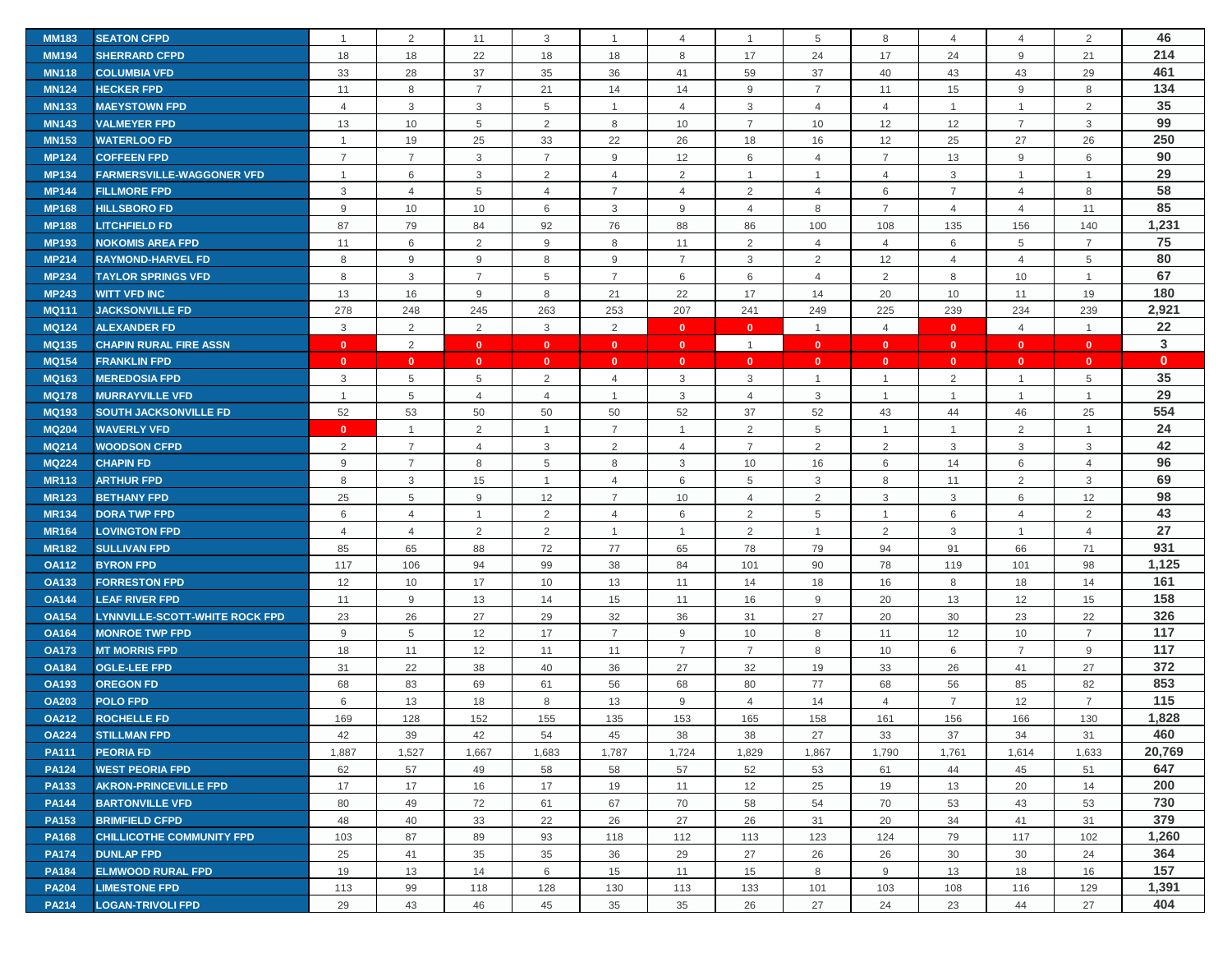| <b>MM183</b> | <b>SEATON CFPD</b>                    | $\overline{1}$ | 2                | 11             | 3              | $\mathbf{1}$   | $\overline{4}$ | $\overline{1}$ | 5              | 8              | $\overline{4}$ | $\overline{4}$ | 2              | 46           |
|--------------|---------------------------------------|----------------|------------------|----------------|----------------|----------------|----------------|----------------|----------------|----------------|----------------|----------------|----------------|--------------|
| <b>MM194</b> | <b>SHERRARD CFPD</b>                  | 18             | 18               | 22             | 18             | 18             | 8              | 17             | 24             | 17             | 24             | 9              | 21             | 214          |
| <b>MN118</b> | <b>COLUMBIA VFD</b>                   | 33             | 28               | 37             | 35             | 36             | 41             | 59             | 37             | 40             | 43             | 43             | 29             | 461          |
| <b>MN124</b> | <b>HECKER FPD</b>                     | 11             | 8                | $\overline{7}$ | 21             | 14             | 14             | 9              | $\overline{7}$ | 11             | 15             | 9              | 8              | 134          |
| <b>MN133</b> | <b>MAEYSTOWN FPD</b>                  | $\overline{4}$ | 3                | $\mathbf{3}$   | 5              | $\mathbf{1}$   | $\overline{4}$ | 3              | $\overline{4}$ | $\overline{4}$ | $\overline{1}$ | $\mathbf{1}$   | $\overline{2}$ | 35           |
| <b>MN143</b> | <b>VALMEYER FPD</b>                   | 13             | 10               | 5              | $\overline{2}$ | 8              | 10             | $\overline{7}$ | 10             | 12             | 12             | $\overline{7}$ | 3              | 99           |
| <b>MN153</b> | <b>WATERLOO FD</b>                    | $\overline{1}$ | 19               | 25             | 33             | 22             | 26             | 18             | 16             | 12             | 25             | 27             | 26             | 250          |
| <b>MP124</b> | <b>COFFEEN FPD</b>                    | $\overline{7}$ | $\overline{7}$   | 3              | $\overline{7}$ | 9              | 12             | 6              | $\overline{4}$ | $\overline{7}$ | 13             | 9              | 6              | 90           |
| <b>MP134</b> | <b>FARMERSVILLE-WAGGONER VFD</b>      | $\overline{1}$ | $\,6\,$          | $\mathbf{3}$   | 2              | $\overline{4}$ | 2              | $\overline{1}$ | $\mathbf{1}$   | $\overline{4}$ | 3              | $\mathbf{1}$   | $\overline{1}$ | 29           |
| <b>MP144</b> | <b>FILLMORE FPD</b>                   | 3              | $\overline{4}$   | 5              | $\overline{4}$ | $\overline{7}$ | $\overline{4}$ | 2              | $\overline{4}$ | 6              | $\overline{7}$ | $\overline{4}$ | 8              | 58           |
| <b>MP168</b> | <b>HILLSBORO FD</b>                   | 9              | 10               | 10             | 6              | 3              | 9              | $\overline{4}$ | 8              | $\overline{7}$ | $\overline{4}$ | $\overline{4}$ | 11             | 85           |
| <b>MP188</b> | <b>LITCHFIELD FD</b>                  | 87             | 79               | 84             | 92             | 76             | 88             | 86             | 100            | 108            | 135            | 156            | 140            | 1,231        |
| <b>MP193</b> | NOKOMIS AREA FPD                      | 11             | $\,6\,$          | $\overline{2}$ | 9              | 8              | 11             | $\overline{2}$ | $\overline{4}$ | $\overline{4}$ | 6              | 5              | $\overline{7}$ | 75           |
| <b>MP214</b> | <b>RAYMOND-HARVEL FD</b>              | 8              | 9                | 9              | 8              | 9              | $\overline{7}$ | 3              | 2              | 12             | $\overline{4}$ | 4              | 5              | 80           |
| <b>MP234</b> | <b>TAYLOR SPRINGS VFD</b>             | 8              | 3                | $\overline{7}$ | 5              | $\overline{7}$ | 6              | 6              | $\overline{4}$ | 2              | 8              | 10             | $\overline{1}$ | 67           |
| <b>MP243</b> | <b>WITT VFD INC</b>                   | 13             | 16               | 9              | 8              | 21             | 22             | 17             | 14             | 20             | 10             | 11             | 19             | 180          |
| <b>MQ111</b> | <b>JACKSONVILLE FD</b>                | 278            | 248              | 245            | 263            | 253            | 207            | 241            | 249            | 225            | 239            | 234            | 239            | 2,921        |
| <b>MQ124</b> | <b>ALEXANDER FD</b>                   | 3              | $\overline{2}$   | 2              | 3              | 2              | $\mathbf{0}$   | $\mathbf{0}$   | $\mathbf{1}$   | $\overline{4}$ | $\mathbf{0}$   | $\overline{4}$ | $\mathbf{1}$   | 22           |
| <b>MQ135</b> | <b>CHAPIN RURAL FIRE ASSN</b>         | $\mathbf{0}$   | $\overline{2}$   | $\mathbf{0}$   | $\mathbf{0}$   | $\mathbf{0}$   | $\mathbf{0}$   | $\overline{1}$ | $\mathbf{0}$   | $\mathbf{0}$   | $\mathbf{0}$   | $\mathbf{0}$   | $\mathbf{0}$   | 3            |
| <b>MQ154</b> | <b>FRANKLIN FPD</b>                   | $\mathbf{0}$   | $\mathbf{0}$     | $\mathbf{0}$   | $\mathbf{0}$   | $\mathbf{0}$   | $\mathbf{0}$   | $\mathbf{0}$   | $\mathbf{0}$   | $\mathbf{0}$   | $\mathbf{0}$   | $\mathbf{0}$   | $\mathbf{0}$   | $\mathbf{0}$ |
| <b>MQ163</b> | <b>MEREDOSIA FPD</b>                  | 3              | 5                | 5              | 2              | $\overline{4}$ | 3              | 3              | $\mathbf{1}$   | $\overline{1}$ | $\overline{2}$ | $\mathbf{1}$   | 5              | 35           |
| <b>MQ178</b> | <b>MURRAYVILLE VFD</b>                | $\overline{1}$ | 5                | $\overline{4}$ | $\overline{4}$ | $\mathbf{1}$   | 3              | $\overline{4}$ | 3              | $\mathbf{1}$   | $\overline{1}$ | $\mathbf{1}$   | $\overline{1}$ | 29           |
| <b>MQ193</b> | <b>SOUTH JACKSONVILLE FD</b>          | 52             | 53               | 50             | 50             | 50             | 52             | 37             | 52             | 43             | 44             | 46             | 25             | 554          |
| <b>MQ204</b> | <b>WAVERLY VFD</b>                    | $\mathbf{0}$   | $\mathbf{1}$     | $\overline{2}$ | $\mathbf 1$    | $\overline{7}$ | $\overline{1}$ | $\overline{2}$ | 5              | $\overline{1}$ |                | $\overline{2}$ | $\mathbf{1}$   | 24           |
| <b>MQ214</b> | <b>WOODSON CFPD</b>                   | 2              | $\overline{7}$   | $\overline{4}$ | 3              | 2              | $\overline{4}$ | $\overline{7}$ | 2              | $\overline{2}$ | 3              | 3              | 3              | 42           |
| <b>MQ224</b> | <b>CHAPIN FD</b>                      | 9              | $\overline{7}$   | 8              | 5              | 8              | 3              | 10             | 16             | 6              | 14             | 6              | $\overline{4}$ | 96           |
| <b>MR113</b> | <b>ARTHUR FPD</b>                     | 8              | $\mathsf 3$      | 15             | $\overline{1}$ | $\overline{4}$ | 6              | 5              | 3              | 8              | 11             | 2              | 3              | 69           |
| <b>MR123</b> | <b>BETHANY FPD</b>                    | 25             | 5                | 9              | 12             | $\overline{7}$ | 10             | 4              | 2              | 3              | 3              | 6              | 12             | 98           |
| <b>MR134</b> | <b>DORA TWP FPD</b>                   | 6              | $\overline{4}$   | $\overline{1}$ | 2              | $\overline{4}$ | 6              | 2              | 5              | $\mathbf{1}$   | 6              | $\overline{4}$ | $\overline{2}$ | 43           |
| <b>MR164</b> | <b>LOVINGTON FPD</b>                  | 4              | $\overline{4}$   | $\overline{2}$ | 2              | $\mathbf{1}$   | $\overline{1}$ | 2              | $\mathbf{1}$   | $\overline{2}$ | 3              | $\mathbf{1}$   | $\overline{4}$ | 27           |
| <b>MR182</b> | <b>SULLIVAN FPD</b>                   | 85             | 65               | 88             | 72             | 77             | 65             | 78             | 79             | 94             | 91             | 66             | 71             | 931          |
| <b>OA112</b> | <b>BYRON FPD</b>                      | 117            | 106              | 94             | 99             | 38             | 84             | 101            | 90             | 78             | 119            | 101            | 98             | 1,125        |
| <b>OA133</b> | <b>FORRESTON FPD</b>                  | 12             | 10               | 17             | 10             | 13             | 11             | 14             | 18             | 16             | 8              | 18             | 14             | 161          |
| <b>OA144</b> | <b>LEAF RIVER FPD</b>                 | 11             | $\boldsymbol{9}$ | 13             | 14             | 15             | 11             | 16             | 9              | 20             | 13             | 12             | 15             | 158          |
| <b>OA154</b> | <b>LYNNVILLE-SCOTT-WHITE ROCK FPD</b> | 23             | 26               | 27             | 29             | 32             | 36             | 31             | 27             | 20             | 30             | 23             | 22             | 326          |
| <b>OA164</b> | <b>MONROE TWP FPD</b>                 | 9              | $\,$ 5 $\,$      | 12             | 17             | $\overline{7}$ | 9              | 10             | 8              | 11             | 12             | 10             | $\overline{7}$ | 117          |
| <b>OA173</b> | <b>MT MORRIS FPD</b>                  | 18             | 11               | 12             | 11             | 11             | $\overline{7}$ | $\overline{7}$ | 8              | 10             | 6              | $\overline{7}$ | 9              | 117          |
| <b>OA184</b> | <b>OGLE-LEE FPD</b>                   | 31             | 22               | 38             | 40             | 36             | 27             | 32             | 19             | 33             | 26             | 41             | 27             | 372          |
| <b>OA193</b> | <b>OREGON FD</b>                      | 68             | 83               | 69             | 61             | 56             | 68             | 80             | 77             | 68             | 56             | 85             | 82             | 853          |
| <b>OA203</b> | <b>POLO FPD</b>                       | 6              | 13               | 18             | 8              | 13             | 9              | $\overline{4}$ | 14             | $\overline{4}$ | $\overline{7}$ | 12             | $\overline{7}$ | 115          |
| <b>OA212</b> | <b>ROCHELLE FD</b>                    | 169            | 128              | 152            | 155            | 135            | 153            | 165            | 158            | 161            | 156            | 166            | 130            | 1,828        |
| <b>OA224</b> | <b>STILLMAN FPD</b>                   | 42             | 39               | 42             | 54             | 45             | 38             | 38             | 27             | 33             | 37             | 34             | 31             | 460          |
| <b>PA111</b> | <b>PEORIA FD</b>                      | 1,887          | 1,527            | 1,667          | 1,683          | 1,787          | 1,724          | 1,829          | 1,867          | 1,790          | 1,761          | 1,614          | 1,633          | 20,769       |
| <b>PA124</b> | <b>WEST PEORIA FPD</b>                | 62             | 57               | 49             | 58             | 58             | 57             | 52             | 53             | 61             | 44             | 45             | 51             | 647          |
| <b>PA133</b> | <b>AKRON-PRINCEVILLE FPD</b>          | 17             | 17               | 16             | 17             | 19             | 11             | 12             | 25             | 19             | 13             | 20             | 14             | 200          |
| <b>PA144</b> | <b>BARTONVILLE VFD</b>                | 80             | 49               | 72             | 61             | 67             | 70             | 58             | 54             | 70             | 53             | 43             | 53             | 730          |
| <b>PA153</b> | <b>BRIMFIELD CFPD</b>                 | 48             | 40               | 33             | 22             | 26             | 27             | 26             | 31             | 20             | 34             | 41             | 31             | 379          |
| <b>PA168</b> | <b>CHILLICOTHE COMMUNITY FPD</b>      | 103            | 87               | 89             | 93             | 118            | 112            | 113            | 123            | 124            | 79             | 117            | 102            | 1,260        |
| <b>PA174</b> | <b>DUNLAP FPD</b>                     | 25             | 41               | 35             | 35             | 36             | 29             | 27             | 26             | 26             | 30             | 30             | 24             | 364          |
| <b>PA184</b> | <b>ELMWOOD RURAL FPD</b>              | 19             | 13               | 14             | 6              | 15             | 11             | 15             | 8              | 9              | 13             | 18             | 16             | 157          |
| <b>PA204</b> | <b>LIMESTONE FPD</b>                  | 113            | 99               | 118            | 128            | 130            | 113            | 133            | 101            | 103            | 108            | 116            | 129            | 1,391        |
| <b>PA214</b> | <b>LOGAN-TRIVOLI FPD</b>              | 29             | 43               | 46             | 45             | 35             | 35             | 26             | 27             | 24             | 23             | 44             | 27             | 404          |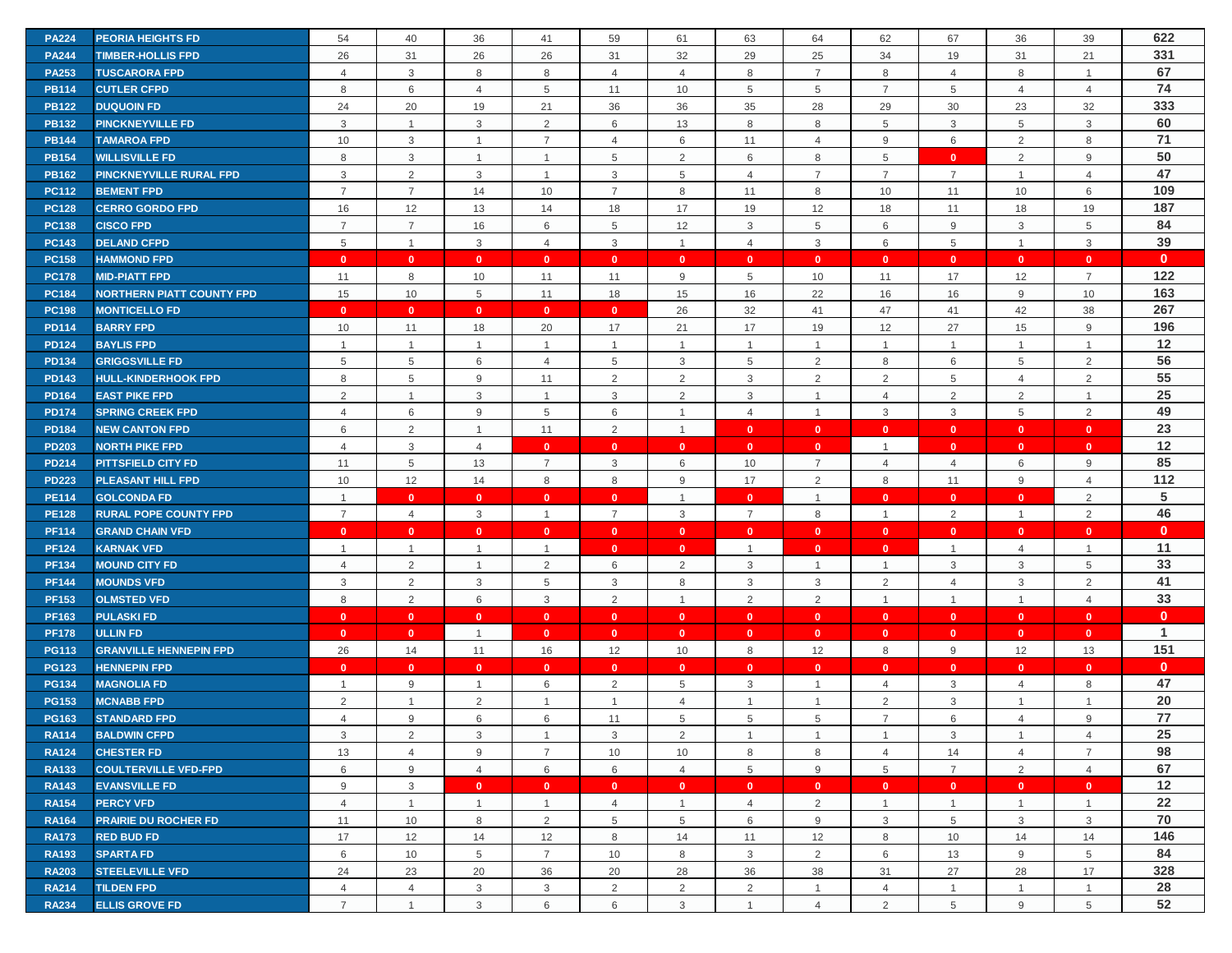| <b>PA224</b> | <b>PEORIA HEIGHTS FD</b>         | 54             | 40             | 36             | 41             | 59              | 61             | 63             | 64             | 62              | 67             | 36                       | 39             | 622          |
|--------------|----------------------------------|----------------|----------------|----------------|----------------|-----------------|----------------|----------------|----------------|-----------------|----------------|--------------------------|----------------|--------------|
| <b>PA244</b> | <b>TIMBER-HOLLIS FPD</b>         | 26             | 31             | 26             | 26             | 31              | 32             | 29             | 25             | 34              | 19             | 31                       | 21             | 331          |
| <b>PA253</b> | <b>TUSCARORA FPD</b>             | $\overline{4}$ | 3              | 8              | 8              | $\overline{4}$  | $\overline{4}$ | 8              | $\overline{7}$ | 8               | $\overline{4}$ | 8                        | $\overline{1}$ | 67           |
| <b>PB114</b> | <b>CUTLER CFPD</b>               | 8              | 6              | $\overline{4}$ | $\overline{5}$ | 11              | 10             | 5              | 5              | $\overline{7}$  | 5              | $\overline{4}$           | $\overline{4}$ | 74           |
| <b>PB122</b> | <b>DUQUOIN FD</b>                | 24             | 20             | 19             | 21             | 36              | 36             | 35             | 28             | 29              | 30             | 23                       | 32             | 333          |
| <b>PB132</b> | <b>PINCKNEYVILLE FD</b>          | 3              | $\overline{1}$ | 3              | 2              | 6               | 13             | 8              | 8              | 5               | 3              | 5                        | $\mathbf{3}$   | 60           |
| <b>PB144</b> | <b>TAMAROA FPD</b>               | 10             | $\mathbf{3}$   | $\mathbf{1}$   | $\overline{7}$ | $\overline{4}$  | 6              | 11             | $\overline{4}$ | 9               | 6              | 2                        | 8              | 71           |
| <b>PB154</b> | <b>WILLISVILLE FD</b>            | 8              | 3              | $\overline{1}$ | $\overline{1}$ | $5\phantom{.0}$ | 2              | 6              | 8              | 5               | $\mathbf{0}$   | 2                        | 9              | 50           |
| <b>PB162</b> | <b>PINCKNEYVILLE RURAL FPD</b>   | 3              | $\overline{2}$ | 3              | $\overline{1}$ | 3               | 5              | $\overline{4}$ | $\overline{7}$ | $\overline{7}$  | $\overline{7}$ | $\mathbf{1}$             | $\overline{4}$ | 47           |
| <b>PC112</b> | <b>BEMENT FPD</b>                | $\overline{7}$ | $\overline{7}$ | 14             | 10             | $\overline{7}$  | 8              | 11             | 8              | 10              | 11             | 10                       | 6              | 109          |
| <b>PC128</b> | <b>CERRO GORDO FPD</b>           | 16             | 12             | 13             | 14             | 18              | 17             | 19             | 12             | 18              | 11             | 18                       | 19             | 187          |
| <b>PC138</b> | <b>CISCO FPD</b>                 | $\overline{7}$ | $\overline{7}$ | 16             | 6              | 5               | 12             | 3              | 5              | 6               | 9              | 3                        | 5              | 84           |
| <b>PC143</b> | <b>DELAND CFPD</b>               | 5              | $\mathbf{1}$   | 3              | $\overline{4}$ | 3               | $\overline{1}$ | $\overline{4}$ | 3              | 6               | 5              | $\mathbf{1}$             | $\mathbf{3}$   | 39           |
| <b>PC158</b> | <b>HAMMOND FPD</b>               | $\mathbf{0}$   | $\mathbf{0}$   | $\mathbf{0}$   | $\mathbf{0}$   | $\mathbf{0}$    | $\mathbf{0}$   | $\mathbf{0}$   | $\mathbf{0}$   | $\mathbf{0}$    | $\mathbf{0}$   | $\mathbf{0}$             | $\mathbf{0}$   | $\mathbf{0}$ |
| <b>PC178</b> | <b>MID-PIATT FPD</b>             | 11             | 8              | 10             | 11             | 11              | 9              | 5              | 10             | 11              | 17             | 12                       | $\overline{7}$ | 122          |
| <b>PC184</b> | <b>NORTHERN PIATT COUNTY FPD</b> | 15             | 10             | 5              | 11             | 18              | 15             | 16             | 22             | 16              | 16             | 9                        | 10             | 163          |
| <b>PC198</b> | <b>MONTICELLO FD</b>             | $\mathbf{0}$   | $\mathbf{0}$   | $\mathbf{0}$   | $\mathbf{0}$   | $\mathbf{0}$    | 26             | 32             | 41             | 47              | 41             | 42                       | 38             | 267          |
| <b>PD114</b> | <b>BARRY FPD</b>                 | 10             | 11             | 18             | 20             | 17              | 21             | 17             | 19             | 12              | 27             | 15                       | 9              | 196          |
| <b>PD124</b> | <b>BAYLIS FPD</b>                | $\overline{1}$ | $\overline{1}$ | $\overline{1}$ | $\mathbf{1}$   | $\overline{1}$  | $\overline{1}$ | $\overline{1}$ | $\mathbf{1}$   | $\mathbf{1}$    | $\mathbf{1}$   | $\mathbf{1}$             | $\mathbf{1}$   | 12           |
| <b>PD134</b> | <b>GRIGGSVILLE FD</b>            | 5              | 5              | 6              | $\overline{4}$ | 5               | 3              | 5              | 2              | 8               | 6              | 5                        | 2              | 56           |
| <b>PD143</b> | <b>HULL-KINDERHOOK FPD</b>       | 8              | 5              | 9              | 11             | 2               | 2              | 3              | 2              | $\overline{2}$  | 5              | $\overline{4}$           | 2              | 55           |
| <b>PD164</b> | <b>EAST PIKE FPD</b>             | $\overline{2}$ | $\mathbf{1}$   | 3              | $\overline{1}$ | 3               | $\overline{2}$ | 3              | $\mathbf{1}$   | $\overline{4}$  | $\overline{2}$ | $\overline{2}$           | $\overline{1}$ | 25           |
| <b>PD174</b> | <b>SPRING CREEK FPD</b>          | $\overline{4}$ | 6              | 9              | 5              | 6               | $\overline{1}$ | $\overline{4}$ | $\overline{1}$ | 3               | $\mathbf{3}$   | 5                        | 2              | 49           |
| <b>PD184</b> | <b>NEW CANTON FPD</b>            | 6              | $\overline{2}$ | $\overline{1}$ | 11             | 2               | $\overline{1}$ | $\mathbf{0}$   | $\mathbf{0}$   | $\mathbf{0}$    | $\mathbf{0}$   | $\mathbf{0}$             | $\mathbf{0}$   | 23           |
| <b>PD203</b> | <b>NORTH PIKE FPD</b>            | $\overline{4}$ | 3              | 4              | $\mathbf{0}$   | $\mathbf{0}$    | $\mathbf{0}$   | $\mathbf{0}$   | $\mathbf{0}$   | $\mathbf{1}$    | $\mathbf{0}$   | $\mathbf{0}$             | $\mathbf{0}$   | 12           |
| <b>PD214</b> | <b>PITTSFIELD CITY FD</b>        | 11             | 5              | 13             | $\overline{7}$ | 3               | 6              | 10             | $\overline{7}$ | $\overline{4}$  | $\overline{4}$ | 6                        | 9              | 85           |
| <b>PD223</b> | PLEASANT HILL FPD                | 10             | 12             | 14             | 8              | 8               | 9              | 17             | $\overline{2}$ | 8               | 11             | 9                        | $\overline{4}$ | 112          |
| <b>PE114</b> | <b>GOLCONDA FD</b>               | $\overline{1}$ | $\mathbf{0}$   | $\mathbf{0}$   | $\mathbf{0}$   | $\mathbf{0}$    | $\overline{1}$ | $\mathbf{0}$   | $\overline{1}$ | $\mathbf{0}$    | $\mathbf{0}$   | $\mathbf{0}$             | $\overline{2}$ | 5            |
| <b>PE128</b> | <b>RURAL POPE COUNTY FPD</b>     | $\overline{7}$ | $\overline{4}$ | 3              | $\mathbf{1}$   | $\overline{7}$  | 3              | $\overline{7}$ | 8              | $\mathbf{1}$    | 2              | $\mathbf{1}$             | 2              | 46           |
| <b>PF114</b> | <b>GRAND CHAIN VFD</b>           | $\mathbf{0}$   | $\mathbf{0}$   | $\mathbf{0}$   | $\mathbf{0}$   | $\mathbf{0}$    | $\mathbf{0}$   | $\mathbf{0}$   | $\mathbf{0}$   | $\mathbf{0}$    | $\mathbf{0}$   | $\mathbf{0}$             | $\mathbf{0}$   | $\mathbf{0}$ |
| <b>PF124</b> | <b>KARNAK VFD</b>                | $\overline{1}$ | $\overline{1}$ | $\overline{1}$ | $\overline{1}$ | $\mathbf{0}$    | $\mathbf{0}$   | -1             | $\mathbf{0}$   | $\mathbf{0}$    | $\overline{1}$ | $\overline{4}$           | $\overline{1}$ | 11           |
| <b>PF134</b> | <b>MOUND CITY FD</b>             | $\overline{4}$ | $\overline{2}$ | $\overline{1}$ | $\overline{2}$ | 6               | $\overline{2}$ | 3              |                | $\overline{1}$  | 3              | 3                        | 5              | 33           |
| <b>PF144</b> | <b>MOUNDS VFD</b>                | 3              | $\overline{2}$ | 3              | 5              | 3               | 8              | 3              | 3              | $\overline{2}$  | $\overline{4}$ | 3                        | 2              | 41           |
| <b>PF153</b> | <b>OLMSTED VFD</b>               | 8              | 2              | 6              | 3              | 2               | $\overline{1}$ | 2              | 2              | $\overline{1}$  | $\overline{1}$ | $\overline{1}$           | $\overline{4}$ | 33           |
| <b>PF163</b> | <b>PULASKI FD</b>                | $\mathbf{0}$   | $\bullet$      | $\mathbf{0}$   | $\mathbf{0}$   | $\mathbf{0}$    | $\mathbf{0}$   | $\mathbf{0}$   | $\mathbf{0}$   | $\mathbf{0}$    | $\mathbf{0}$   | $\mathbf{0}$             | $\mathbf{0}$   | $\mathbf{0}$ |
| <b>PF178</b> | <b>ULLIN FD</b>                  | $\mathbf{0}$   | $\mathbf{0}$   | $\overline{1}$ | $\mathbf{0}$   | $\mathbf{0}$    | $\mathbf{0}$   | $\mathbf{0}$   | $\mathbf{0}$   | $\mathbf{0}$    | $\mathbf{0}$   | $\mathbf{0}$             | $\mathbf{0}$   | 1            |
| <b>PG113</b> | <b>GRANVILLE HENNEPIN FPD</b>    | 26             | 14             | 11             | 16             | 12              | 10             | 8              | 12             | 8               | 9              | 12                       | 13             | 151          |
| <b>PG123</b> | <b>HENNEPIN FPD</b>              | $\mathbf{0}$   | $\mathbf{0}$   | $\mathbf{0}$   | $\mathbf{0}$   | $\mathbf{0}$    | $\mathbf{0}$   | $\mathbf{0}$   | $\mathbf{0}$   | $\mathbf{0}$    | $\mathbf{0}$   | $\mathbf{0}$             | $\mathbf{0}$   | $\mathbf{0}$ |
| <b>PG134</b> | <b>MAGNOLIA FD</b>               | $\overline{1}$ | 9              | $\overline{1}$ | 6              | 2               | 5              | 3              | $\mathbf{1}$   | 4               | 3              | 4                        | 8              | 47           |
| <b>PG153</b> | <b>MCNABB FPD</b>                | 2              | $\mathbf{1}$   | $\overline{2}$ | $\mathbf{1}$   | $\overline{1}$  | $\overline{4}$ | $\overline{1}$ | $\mathbf{1}$   | $\overline{2}$  | 3              | $\mathbf{1}$             | $\mathbf{1}$   | 20           |
| <b>PG163</b> | <b>STANDARD FPD</b>              | $\overline{4}$ | 9              | 6              | 6              | 11              | 5              | 5              | 5              | $\overline{7}$  | 6              | $\overline{\mathcal{L}}$ | 9              | 77           |
| <b>RA114</b> | <b>BALDWIN CFPD</b>              | 3              | $\overline{2}$ | 3              | $\overline{1}$ | 3               | 2              | $\overline{1}$ | $\mathbf{1}$   | $\mathbf{1}$    | 3              | $\mathbf{1}$             | $\overline{4}$ | 25           |
| <b>RA124</b> | <b>CHESTER FD</b>                | 13             | $\overline{4}$ | 9              | $\overline{7}$ | 10              | 10             | 8              | 8              | $\overline{4}$  | 14             | $\overline{4}$           | $\overline{7}$ | 98           |
| <b>RA133</b> | <b>COULTERVILLE VFD-FPD</b>      | 6              | 9              | $\overline{4}$ | 6              | 6               | $\overline{4}$ | 5              | 9              | $5\phantom{.0}$ | $\overline{7}$ | $\overline{2}$           | $\overline{4}$ | 67           |
| <b>RA143</b> | <b>EVANSVILLE FD</b>             | 9              | 3              | $\mathbf{0}$   | $\mathbf{0}$   | $\mathbf{0}$    | $\mathbf{0}$   | $\mathbf{0}$   | $\mathbf{0}$   | $\mathbf{0}$    | $\mathbf{0}$   | $\mathbf{0}$             | $\mathbf{0}$   | 12           |
| <b>RA154</b> | <b>PERCY VFD</b>                 | 4              | $\mathbf{1}$   | $\overline{1}$ |                | $\overline{4}$  | $\overline{1}$ | 4              | $\overline{2}$ | $\mathbf{1}$    |                | $\mathbf{1}$             | $\overline{1}$ | 22           |
| <b>RA164</b> | <b>PRAIRIE DU ROCHER FD</b>      | 11             | 10             | 8              | 2              | 5               | 5              | 6              | 9              | 3               | 5              | 3                        | 3              | 70           |
| <b>RA173</b> | <b>RED BUD FD</b>                | 17             | 12             | 14             | 12             | 8               | 14             | 11             | 12             | 8               | 10             | 14                       | 14             | 146          |
| <b>RA193</b> | <b>SPARTA FD</b>                 | 6              | 10             | 5              | $\overline{7}$ | 10              | 8              | 3              | $\overline{2}$ | 6               | 13             | 9                        | 5              | 84           |
| <b>RA203</b> | <b>STEELEVILLE VFD</b>           | 24             | 23             | 20             | 36             | 20              | 28             | 36             | 38             | 31              | 27             | 28                       | 17             | 328          |
| <b>RA214</b> | <b>TILDEN FPD</b>                | $\overline{4}$ | $\overline{4}$ | 3              | 3              | $\overline{2}$  | 2              | 2              | $\mathbf{1}$   | $\overline{4}$  | $\mathbf{1}$   | $\mathbf{1}$             | $\overline{1}$ | 28           |
| <b>RA234</b> | <b>ELLIS GROVE FD</b>            | $\overline{7}$ | $\mathbf{1}$   | 3              | 6              | 6               | 3              | $\overline{1}$ | $\overline{4}$ | 2               | 5              | 9                        | 5              | 52           |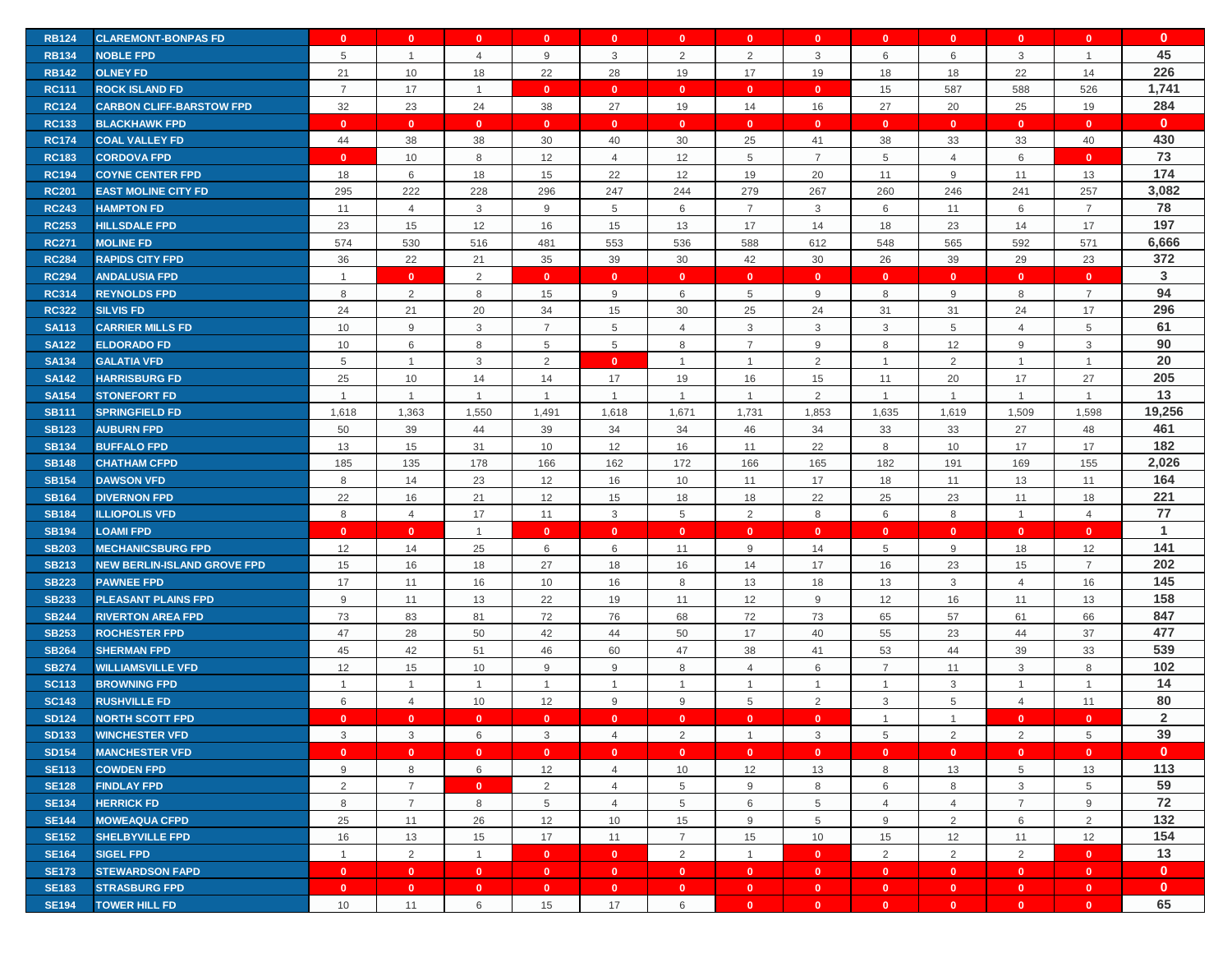| <b>RB124</b> | <b>CLAREMONT-BONPAS FD</b>         | $\mathbf{0}$   | $\mathbf{0}$     | $\mathbf{0}$    | $\mathbf{0}$   | $\mathbf{0}$   | $\mathbf{0}$   | $\mathbf{0}$   | $\mathbf{0}$   | $\mathbf{0}$   | $\mathbf{0}$    | $\mathbf{0}$   | $\mathbf{0}$   | $\mathbf{0}$   |
|--------------|------------------------------------|----------------|------------------|-----------------|----------------|----------------|----------------|----------------|----------------|----------------|-----------------|----------------|----------------|----------------|
| <b>RB134</b> | <b>NOBLE FPD</b>                   | 5              | $\mathbf{1}$     | $\overline{4}$  | 9              | 3              | 2              | 2              | 3              | 6              | 6               | 3              | $\mathbf{1}$   | 45             |
| <b>RB142</b> | <b>OLNEY FD</b>                    | 21             | 10               | 18              | 22             | 28             | 19             | 17             | 19             | 18             | 18              | 22             | 14             | 226            |
| <b>RC111</b> | <b>ROCK ISLAND FD</b>              | $\overline{7}$ | 17               | $\overline{1}$  | $\mathbf{0}$   | $\mathbf{0}$   | $\mathbf{0}$   | $\mathbf{0}$   | $\mathbf{0}$   | 15             | 587             | 588            | 526            | 1,741          |
| <b>RC124</b> | <b>CARBON CLIFF-BARSTOW FPD</b>    | 32             | 23               | 24              | 38             | 27             | 19             | 14             | 16             | 27             | 20              | 25             | 19             | 284            |
| <b>RC133</b> | <b>BLACKHAWK FPD</b>               | $\mathbf{0}$   | $\mathbf{0}$     | $\mathbf{0}$    | $\mathbf{0}$   | $\mathbf{0}$   | $\mathbf{0}$   | $\mathbf{0}$   | $\mathbf{0}$   | $\mathbf{0}$   | $\mathbf{0}$    | $\mathbf{0}$   | $\mathbf{0}$   | $\mathbf{0}$   |
| <b>RC174</b> | <b>COAL VALLEY FD</b>              | 44             | 38               | 38              | 30             | 40             | 30             | 25             | 41             | 38             | 33              | 33             | 40             | 430            |
| <b>RC183</b> | <b>CORDOVA FPD</b>                 | $\mathbf{0}$   | 10               | 8               | 12             | 4              | 12             | 5              | $\overline{7}$ | 5              | $\overline{4}$  | 6              | $\mathbf{0}$   | 73             |
| <b>RC194</b> | <b>COYNE CENTER FPD</b>            | 18             | 6                | 18              | 15             | 22             | 12             | 19             | 20             | 11             | 9               | 11             | 13             | 174            |
| <b>RC201</b> | <b>EAST MOLINE CITY FD</b>         | 295            | 222              | 228             | 296            | 247            | 244            | 279            | 267            | 260            | 246             | 241            | 257            | 3,082          |
| <b>RC243</b> | <b>HAMPTON FD</b>                  | 11             | 4                | $\mathbf{3}$    | 9              | 5              | 6              | $\overline{7}$ | 3              | 6              | 11              | 6              | $\overline{7}$ | 78             |
| <b>RC253</b> | <b>HILLSDALE FPD</b>               | 23             | 15               | 12              | 16             | 15             | 13             | 17             | 14             | 18             | 23              | 14             | 17             | 197            |
| <b>RC271</b> | <b>MOLINE FD</b>                   | 574            | 530              | 516             | 481            | 553            | 536            | 588            | 612            | 548            | 565             | 592            | 571            | 6,666          |
| <b>RC284</b> | <b>RAPIDS CITY FPD</b>             | 36             | 22               | 21              | 35             | 39             | 30             | 42             | 30             | 26             | 39              | 29             | 23             | 372            |
| <b>RC294</b> | <b>ANDALUSIA FPD</b>               | $\overline{1}$ | $\mathbf{0}$     | $\overline{2}$  | $\mathbf{0}$   | $\mathbf{0}$   | $\mathbf{0}$   | $\mathbf{0}$   | $\mathbf{0}$   | $\mathbf{0}$   | $\mathbf{0}$    | $\mathbf{0}$   | $\mathbf{0}$   | 3              |
| <b>RC314</b> | <b>REYNOLDS FPD</b>                | 8              | 2                | 8               | 15             | 9              | 6              | 5              | 9              | 8              | 9               | 8              | $\overline{7}$ | 94             |
| <b>RC322</b> | <b>SILVIS FD</b>                   | 24             | 21               | 20              | 34             | 15             | 30             | 25             | 24             | 31             | 31              | 24             | 17             | 296            |
| <b>SA113</b> | <b>CARRIER MILLS FD</b>            | 10             | $\boldsymbol{9}$ | $\mathbf{3}$    | $\overline{7}$ | 5              | $\overline{4}$ | 3              | 3              | $\mathbf{3}$   | $5\phantom{.0}$ | $\overline{4}$ | 5              | 61             |
| <b>SA122</b> | <b>ELDORADO FD</b>                 | 10             | 6                | 8               | 5              | 5              | 8              | $\overline{7}$ | 9              | 8              | 12              | 9              | 3              | 90             |
| <b>SA134</b> | <b>GALATIA VFD</b>                 | 5              | $\mathbf{1}$     | $\mathbf{3}$    | 2              | $\mathbf{0}$   | $\overline{1}$ | $\overline{1}$ | 2              | $\overline{1}$ | 2               | $\mathbf{1}$   | $\mathbf{1}$   | 20             |
| <b>SA142</b> | <b>HARRISBURG FD</b>               | 25             | 10               | 14              | 14             | 17             | 19             | 16             | 15             | 11             | 20              | 17             | 27             | 205            |
| <b>SA154</b> | <b>STONEFORT FD</b>                | $\overline{1}$ | $\mathbf{1}$     | $\overline{1}$  | $\overline{1}$ | $\mathbf{1}$   | $\overline{1}$ | $\overline{1}$ | $\overline{2}$ | $\mathbf{1}$   | $\mathbf 1$     | $\mathbf{1}$   | $\overline{1}$ | 13             |
| <b>SB111</b> | <b>SPRINGFIELD FD</b>              | 1,618          | 1,363            | 1,550           | 1,491          | 1,618          | 1,671          | 1,731          | 1,853          | 1,635          | 1,619           | 1,509          | 1,598          | 19,256         |
| <b>SB123</b> | <b>AUBURN FPD</b>                  | 50             | 39               | 44              | 39             | 34             | 34             | 46             | 34             | 33             | 33              | 27             | 48             | 461            |
| <b>SB134</b> | <b>BUFFALO FPD</b>                 | 13             | 15               | 31              | 10             | 12             | 16             | 11             | 22             | 8              | 10              | 17             | 17             | 182            |
| <b>SB148</b> | <b>CHATHAM CFPD</b>                | 185            | 135              | 178             | 166            | 162            | 172            | 166            | 165            | 182            | 191             | 169            | 155            | 2,026          |
| <b>SB154</b> | <b>DAWSON VFD</b>                  | 8              | 14               | 23              | 12             | 16             | 10             | 11             | 17             | 18             | 11              | 13             | 11             | 164            |
| <b>SB164</b> | <b>DIVERNON FPD</b>                | 22             | 16               | 21              | 12             | 15             | 18             | 18             | 22             | 25             | 23              | 11             | 18             | 221            |
| <b>SB184</b> | <b>ILLIOPOLIS VFD</b>              | 8              | $\overline{4}$   | 17              | 11             | 3              | 5              | 2              | 8              | 6              | 8               | $\mathbf{1}$   | $\overline{4}$ | 77             |
| <b>SB194</b> | <b>LOAMI FPD</b>                   | $\mathbf{0}$   | $\mathbf{0}$     | $\overline{1}$  | $\mathbf{0}$   | $\mathbf{0}$   | $\mathbf{0}$   | $\mathbf{0}$   | $\mathbf{0}$   | $\mathbf{0}$   | $\mathbf{0}$    | $\mathbf{0}$   | $\mathbf{0}$   | $\mathbf{1}$   |
| <b>SB203</b> | <b>MECHANICSBURG FPD</b>           | 12             | 14               | 25              | 6              | 6              | 11             | 9              | 14             | 5              | 9               | 18             | 12             | 141            |
| <b>SB213</b> | <b>NEW BERLIN-ISLAND GROVE FPD</b> | 15             | 16               | 18              | 27             | 18             | 16             | 14             | 17             | 16             | 23              | 15             | $\overline{7}$ | 202            |
| <b>SB223</b> | <b>PAWNEE FPD</b>                  | 17             | 11               | 16              | 10             | 16             | 8              | 13             | 18             | 13             | 3               | $\overline{4}$ | 16             | 145            |
| <b>SB233</b> | <b>PLEASANT PLAINS FPD</b>         | $9\,$          | 11               | 13              | 22             | 19             | 11             | 12             | 9              | 12             | 16              | 11             | 13             | 158            |
| <b>SB244</b> | <b>RIVERTON AREA FPD</b>           | 73             | 83               | 81              | 72             | 76             | 68             | 72             | 73             | 65             | 57              | 61             | 66             | 847            |
| <b>SB253</b> | <b>ROCHESTER FPD</b>               | 47             | 28               | 50              | 42             | 44             | 50             | 17             | 40             | 55             | 23              | 44             | 37             | 477            |
| <b>SB264</b> | <b>SHERMAN FPD</b>                 | 45             | 42               | 51              | 46             | 60             | 47             | 38             | 41             | 53             | 44              | 39             | 33             | 539            |
| <b>SB274</b> | <b>WILLIAMSVILLE VFD</b>           | 12             | 15               | 10              | 9              | 9              | 8              | $\overline{4}$ | 6              | $\overline{7}$ | 11              | 3              | 8              | 102            |
| <b>SC113</b> | <b>BROWNING FPD</b>                | $\overline{1}$ | $\mathbf{1}$     | $\overline{1}$  | -1             |                | $\overline{1}$ | 1              | $\mathbf{1}$   | $\mathbf{1}$   | 3               | 1              | $\overline{1}$ | 14             |
| <b>SC143</b> | <b>RUSHVILLE FD</b>                | 6              | $\overline{4}$   | 10              | 12             | 9              | 9              | 5              | 2              | $\mathbf{3}$   | 5               | $\overline{4}$ | 11             | 80             |
| <b>SD124</b> | <b>NORTH SCOTT FPD</b>             | $\mathbf{0}$   | $\mathbf{0}$     | $\mathbf{0}$    | $\mathbf{0}$   | $\mathbf{0}$   | $\mathbf{0}$   | $\mathbf{0}$   | $\mathbf{0}$   | $\overline{1}$ | 1               | $\mathbf{0}$   | $\mathbf{0}$   | $\overline{2}$ |
| <b>SD133</b> | <b>WINCHESTER VFD</b>              | 3              | 3                | $6\phantom{.0}$ | 3              | $\overline{4}$ | $\overline{2}$ | $\overline{1}$ | $\mathbf{3}$   | 5              | 2               | 2              | $\overline{5}$ | 39             |
| <b>SD154</b> | <b>MANCHESTER VFD</b>              | $\mathbf{0}$   | $\mathbf{0}$     | $\mathbf{0}$    | $\bullet$      | $\mathbf{0}$   | $\bullet$      | $\mathbf{0}$   | $\mathbf{0}$   | $\mathbf{0}$   | $\bullet$       | $\mathbf{0}$   | $\mathbf{0}$   | $\mathbf{0}$   |
| <b>SE113</b> | <b>COWDEN FPD</b>                  | 9              | 8                | $6\phantom{.0}$ | 12             | $\overline{4}$ | 10             | 12             | 13             | 8              | 13              | 5              | 13             | 113            |
| <b>SE128</b> | <b>FINDLAY FPD</b>                 | $\overline{2}$ | $\overline{7}$   | $\mathbf{0}$    | 2              | $\overline{4}$ | 5              | 9              | 8              | 6              | 8               | 3              | $\,$ 5 $\,$    | 59             |
| <b>SE134</b> | <b>HERRICK FD</b>                  | 8              | $\overline{7}$   | 8               | 5              | $\overline{4}$ | 5              | 6              | 5              | $\overline{4}$ | 4               | $\overline{7}$ | 9              | 72             |
| <b>SE144</b> | <b>MOWEAQUA CFPD</b>               | 25             | 11               | 26              | 12             | 10             | 15             | 9              | 5              | 9              | $\overline{2}$  | 6              | 2              | 132            |
| <b>SE152</b> | <b>SHELBYVILLE FPD</b>             | 16             | 13               | 15              | 17             | 11             | $\overline{7}$ | 15             | 10             | 15             | 12              | 11             | 12             | 154            |
| <b>SE164</b> | <b>SIGEL FPD</b>                   | $\overline{1}$ | $\overline{2}$   | $\overline{1}$  | $\overline{0}$ | $\mathbf{0}$   | 2              | $\overline{1}$ | $\mathbf{0}$   | $\overline{2}$ | 2               | 2              | $\mathbf{0}$   | 13             |
| <b>SE173</b> | <b>STEWARDSON FAPD</b>             | $\mathbf{0}$   | $\bullet$        | $\mathbf{0}$    | $\bullet$      | $\mathbf{0}$   | $\mathbf{0}$   | $\mathbf{0}$   | $\mathbf{0}$   | $\bullet$      | $\bullet$       | $\bullet$      | $\mathbf{0}$   | $\mathbf{0}$   |
| <b>SE183</b> | <b>STRASBURG FPD</b>               | $\mathbf{0}$   | $\mathbf{0}$     | $\mathbf{0}$    | $\mathbf{0}$   | $\mathbf{0}$   | $\mathbf{0}$   | $\mathbf{0}$   | $\mathbf{0}$   | $\mathbf{0}$   | $\bullet$       | $\bullet$      | $\mathbf{0}$   | $\mathbf{0}$   |
| <b>SE194</b> | <b>TOWER HILL FD</b>               | 10             | 11               | 6               | 15             | 17             | 6              | $\mathbf{0}$   | $\mathbf{0}$   | $\mathbf{0}$   | $\mathbf{0}$    | $\mathbf{0}$   | $\mathbf{0}$   | 65             |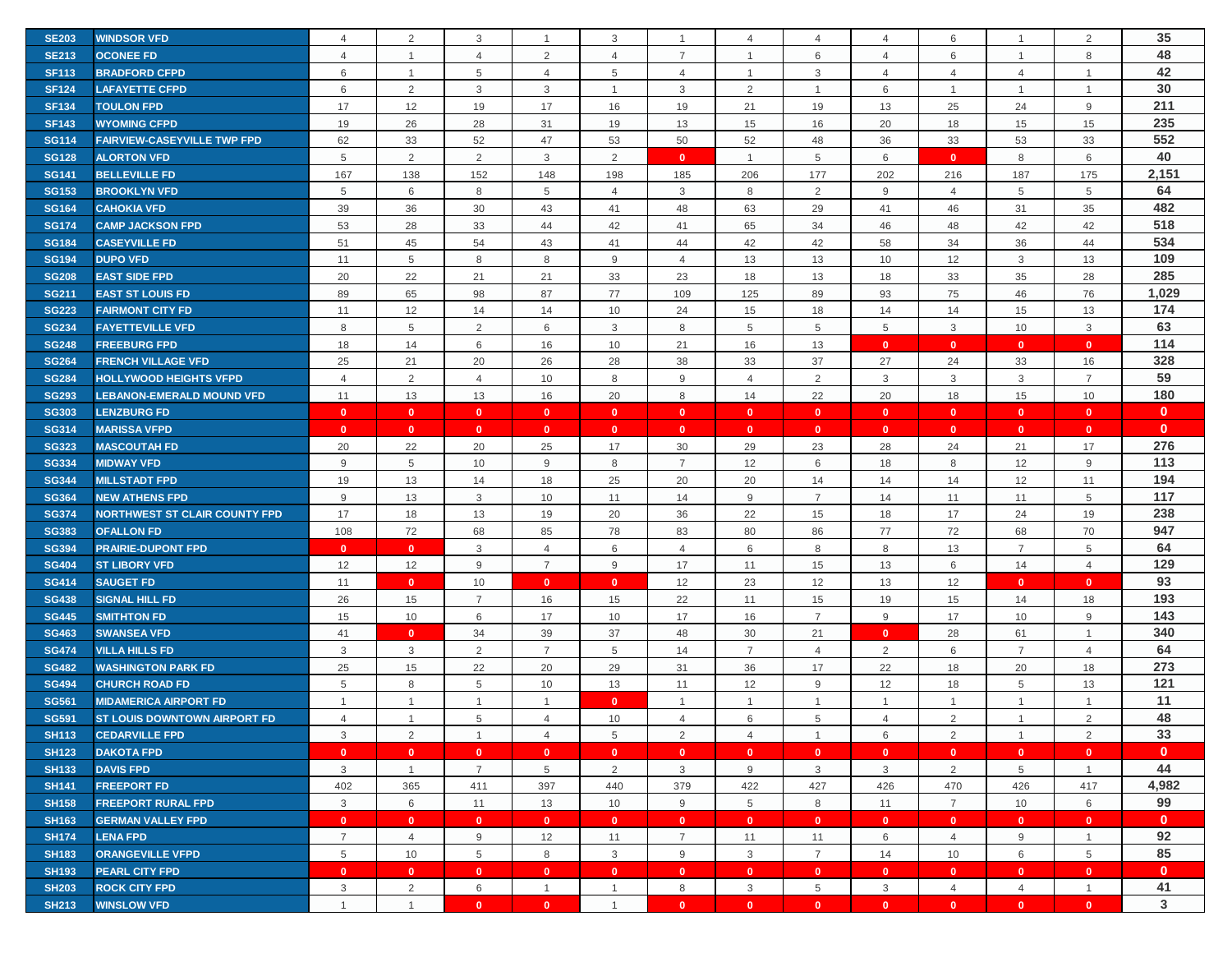| <b>SE203</b> | <b>WINDSOR VFD</b>                   | $\overline{4}$ | 2              | 3              |                         | 3              | $\overline{1}$ | 4               | 4              | 4              | 6              |                | 2              | 35           |
|--------------|--------------------------------------|----------------|----------------|----------------|-------------------------|----------------|----------------|-----------------|----------------|----------------|----------------|----------------|----------------|--------------|
| <b>SE213</b> | <b>OCONEE FD</b>                     | $\overline{4}$ | $\mathbf{1}$   | $\overline{4}$ | 2                       | $\overline{4}$ | 7              | $\mathbf 1$     | 6              | 4              | 6              | $\mathbf{1}$   | 8              | 48           |
| <b>SF113</b> | <b>BRADFORD CFPD</b>                 | 6              | $\overline{1}$ | 5              | $\overline{4}$          | 5              | $\overline{4}$ | $\overline{1}$  | 3              | $\overline{4}$ | $\overline{4}$ | $\overline{4}$ | $\overline{1}$ | 42           |
| <b>SF124</b> | <b>LAFAYETTE CFPD</b>                | 6              | 2              | $\mathbf{3}$   | 3                       |                | 3              | $\overline{2}$  | $\mathbf{1}$   | 6              | -1             | $\overline{1}$ |                | 30           |
| <b>SF134</b> | <b>TOULON FPD</b>                    | 17             | 12             | 19             | 17                      | 16             | 19             | 21              | 19             | 13             | 25             | 24             | 9              | 211          |
| <b>SF143</b> | <b>WYOMING CFPD</b>                  | 19             | 26             | 28             | 31                      | 19             | 13             | 15              | 16             | 20             | 18             | 15             | 15             | 235          |
| <b>SG114</b> | <b>FAIRVIEW-CASEYVILLE TWP FPD</b>   | 62             | 33             | 52             | 47                      | 53             | 50             | 52              | 48             | 36             | 33             | 53             | 33             | 552          |
| <b>SG128</b> | <b>ALORTON VFD</b>                   | 5              | 2              | $\overline{2}$ | 3                       | 2              | $\mathbf{0}$   | $\overline{1}$  | 5              | 6              | $\mathbf{0}$   | 8              | 6              | 40           |
| <b>SG141</b> | <b>BELLEVILLE FD</b>                 | 167            | 138            | 152            | 148                     | 198            | 185            | 206             | 177            | 202            | 216            | 187            | 175            | 2,151        |
| <b>SG153</b> | <b>BROOKLYN VFD</b>                  | 5              | 6              | 8              | 5                       | $\overline{4}$ | 3              | 8               | 2              | 9              | $\overline{4}$ | 5              | 5              | 64           |
| <b>SG164</b> | <b>CAHOKIA VFD</b>                   | 39             | 36             | 30             | 43                      | 41             | 48             | 63              | 29             | 41             | 46             | 31             | 35             | 482          |
| <b>SG174</b> | <b>CAMP JACKSON FPD</b>              | 53             | 28             | 33             | 44                      | 42             | 41             | 65              | 34             | 46             | 48             | 42             | 42             | 518          |
| <b>SG184</b> | <b>CASEYVILLE FD</b>                 | 51             | 45             | 54             | 43                      | 41             | 44             | 42              | 42             | 58             | 34             | 36             | 44             | 534          |
| <b>SG194</b> | <b>DUPO VFD</b>                      | 11             | 5              | 8              | 8                       | 9              | $\overline{4}$ | 13              | 13             | 10             | 12             | 3              | 13             | 109          |
| <b>SG208</b> | <b>EAST SIDE FPD</b>                 | 20             | 22             | 21             | 21                      | 33             | 23             | 18              | 13             | 18             | 33             | 35             | 28             | 285          |
| <b>SG211</b> | <b>EAST ST LOUIS FD</b>              | 89             | 65             | 98             | 87                      | 77             | 109            | 125             | 89             | 93             | 75             | 46             | 76             | 1,029        |
| <b>SG223</b> | <b>FAIRMONT CITY FD</b>              | 11             | 12             | 14             | 14                      | 10             | 24             | 15              | 18             | 14             | 14             | 15             | 13             | 174          |
| <b>SG234</b> | <b>FAYETTEVILLE VFD</b>              | 8              | 5              | $\overline{2}$ | 6                       | 3              | 8              | 5               | 5              | 5              | $\mathbf{3}$   | 10             | 3              | 63           |
| <b>SG248</b> | <b>FREEBURG FPD</b>                  | 18             | 14             | 6              | 16                      | 10             | 21             | 16              | 13             | $\mathbf{0}$   | $\mathbf{0}$   | $\mathbf{0}$   | $\mathbf{0}$   | 114          |
| <b>SG264</b> | <b>FRENCH VILLAGE VFD</b>            | 25             | 21             | 20             | 26                      | 28             | 38             | 33              | 37             | 27             | 24             | 33             | 16             | 328          |
| <b>SG284</b> | <b>HOLLYWOOD HEIGHTS VFPD</b>        | $\overline{4}$ | $\overline{2}$ | $\overline{4}$ | 10                      | 8              | 9              | $\overline{4}$  | $\overline{2}$ | 3              | $\mathbf{3}$   | 3              | $\overline{7}$ | 59           |
| <b>SG293</b> | <b>LEBANON-EMERALD MOUND VFD</b>     | 11             | 13             | 13             | 16                      | 20             | 8              | 14              | 22             | 20             | 18             | 15             | 10             | 180          |
| <b>SG303</b> | <b>LENZBURG FD</b>                   | $\mathbf{0}$   | $\mathbf{0}$   | $\mathbf{0}$   | $\mathbf{0}$            | $\mathbf{0}$   | $\mathbf{0}$   | $\mathbf{0}$    | $\mathbf{0}$   | $\mathbf{0}$   | $\mathbf{0}$   | $\mathbf{0}$   | $\mathbf{0}$   | $\mathbf{0}$ |
| <b>SG314</b> | <b>MARISSA VFPD</b>                  | $\mathbf{0}$   | $\mathbf{0}$   | $\mathbf{0}$   | $\mathbf{0}$            | $\mathbf{0}$   | $\mathbf{0}$   | $\mathbf{0}$    | $\mathbf{0}$   | $\mathbf{0}$   | $\mathbf{0}$   | $\mathbf{0}$   | $\mathbf{0}$   | $\mathbf{0}$ |
| <b>SG323</b> | <b>MASCOUTAH FD</b>                  | 20             | 22             | 20             | 25                      | 17             | 30             | 29              | 23             | 28             | 24             | 21             | 17             | 276          |
| <b>SG334</b> | <b>MIDWAY VFD</b>                    | 9              | 5              | 10             | 9                       | 8              | $\overline{7}$ | 12              | 6              | 18             | 8              | 12             | 9              | 113          |
| <b>SG344</b> | <b>MILLSTADT FPD</b>                 | 19             | 13             | 14             | 18                      | 25             | 20             | 20              | 14             | 14             | 14             | 12             | 11             | 194          |
| <b>SG364</b> | <b>NEW ATHENS FPD</b>                | 9              | 13             | $\mathbf{3}$   | 10                      | 11             | 14             | 9               | $\overline{7}$ | 14             | 11             | 11             | 5              | 117          |
| <b>SG374</b> | <b>NORTHWEST ST CLAIR COUNTY FPD</b> | 17             | 18             | 13             | 19                      | 20             | 36             | 22              | 15             | 18             | 17             | 24             | 19             | 238          |
| <b>SG383</b> | <b>OFALLON FD</b>                    | 108            | 72             | 68             | 85                      | 78             | 83             | 80              | 86             | 77             | 72             | 68             | 70             | 947          |
| <b>SG394</b> | <b>PRAIRIE-DUPONT FPD</b>            | $\mathbf{0}$   | $\mathbf{0}$   | 3              | 4                       | 6              | $\overline{4}$ | 6               | 8              | 8              | 13             | $\overline{7}$ | 5              | 64           |
| <b>SG404</b> | <b>ST LIBORY VFD</b>                 | 12             | 12             | 9              | $\overline{7}$          | 9              | 17             | 11              | 15             | 13             | 6              | 14             | $\overline{4}$ | 129          |
| <b>SG414</b> | <b>SAUGET FD</b>                     | 11             | $\mathbf{0}$   | 10             | $\mathbf{0}$            | $\mathbf{0}$   | 12             | 23              | 12             | 13             | 12             | $\mathbf{0}$   | $\mathbf{0}$   | 93           |
| <b>SG438</b> | <b>SIGNAL HILL FD</b>                | 26             | 15             | $\overline{7}$ | 16                      | 15             | 22             | 11              | 15             | 19             | 15             | 14             | 18             | 193          |
| <b>SG445</b> | <b>SMITHTON FD</b>                   | 15             | 10             | 6              | 17                      | 10             | 17             | 16              | $\overline{7}$ | 9              | 17             | 10             | 9              | 143          |
| <b>SG463</b> | <b>SWANSEA VFD</b>                   | 41             | $\mathbf{0}$   | 34             | 39                      | 37             | 48             | 30              | 21             | $\mathbf{0}$   | 28             | 61             | $\overline{1}$ | 340          |
| <b>SG474</b> | <b>VILLA HILLS FD</b>                | 3              | 3              | 2              | $\overline{7}$          | 5              | 14             | $\overline{7}$  | $\overline{4}$ | 2              | 6              | $\overline{7}$ | $\overline{4}$ | 64           |
| <b>SG482</b> | <b>WASHINGTON PARK FD</b>            | 25             | 15             | 22             | 20                      | 29             | 31             | 36              | 17             | 22             | 18             | 20             | 18             | 273          |
| <b>SG494</b> | <b>CHURCH ROAD FD</b>                | 5              | 8              | 5              | 10                      | 13             | 11             | 12              | 9              | 12             | 18             | 5              | 13             | 121          |
| <b>SG561</b> | <b>MIDAMERICA AIRPORT FD</b>         | $\mathbf{1}$   | $\mathbf{1}$   | $\overline{1}$ | $\mathbf{1}$            | $\mathbf{0}$   | $\overline{1}$ | $\mathbf 1$     | $\mathbf{1}$   | $\mathbf{1}$   | $\overline{1}$ | $\mathbf{1}$   | $\mathbf{1}$   | 11           |
| <b>SG591</b> | ST LOUIS DOWNTOWN AIRPORT FD         | $\overline{4}$ | $\overline{1}$ | 5              | 4                       | 10             | $\overline{4}$ | 6               | 5              | $\overline{4}$ | $\overline{2}$ | $\overline{1}$ | $\mathcal{P}$  | 48           |
| <b>SH113</b> | <b>CEDARVILLE FPD</b>                | 3              | 2              | $\overline{1}$ | $\overline{4}$          | 5              | 2              | $\overline{4}$  | $\mathbf{1}$   | 6              | 2              | $\overline{1}$ | 2              | 33           |
| <b>SH123</b> | <b>DAKOTA FPD</b>                    | $\mathbf{0}$   | $\mathbf{0}$   | $\mathbf{0}$   | $\mathbf{0}$            | $\bullet$      | $\mathbf{0}$   | $\overline{0}$  | $\mathbf{0}$   | $\mathbf{0}$   | $\mathbf{0}$   | $\mathbf{0}$   | $\mathbf{0}$   | $\mathbf{0}$ |
| <b>SH133</b> | <b>DAVIS FPD</b>                     | 3              | $\mathbf{1}$   | $\overline{7}$ | 5                       | 2              | $\mathbf{3}$   | 9               | 3              | $\mathbf{3}$   | 2              | 5              | $\overline{1}$ | 44           |
| <b>SH141</b> | <b>FREEPORT FD</b>                   | 402            | 365            | 411            | 397                     | 440            | 379            | 422             | 427            | 426            | 470            | 426            | 417            | 4,982        |
| <b>SH158</b> | <b>FREEPORT RURAL FPD</b>            | 3              | 6              | 11             | 13                      | 10             | 9              | $5\phantom{.0}$ | 8              | 11             | $\overline{7}$ | 10             | 6              | 99           |
| <b>SH163</b> | <b>GERMAN VALLEY FPD</b>             | $\mathbf{0}$   | $\mathbf{0}$   | $\mathbf{0}$   | $\mathbf{0}$            | $\mathbf{0}$   | $\mathbf{0}$   | $\mathbf{0}$    | $\mathbf{0}$   | $\mathbf{0}$   | $\mathbf{0}$   | $\mathbf{0}$   | $\mathbf{0}$   | $\mathbf{0}$ |
| <b>SH174</b> | <b>LENA FPD</b>                      | $\overline{7}$ | $\overline{4}$ | 9              | 12                      | 11             | $\overline{7}$ | 11              | 11             | 6              | $\overline{4}$ | 9              | $\overline{1}$ | 92           |
| <b>SH183</b> | <b>ORANGEVILLE VFPD</b>              | 5              | 10             | 5              | 8                       | $\mathbf{3}$   | 9              | 3               | $\overline{7}$ | 14             | 10             | 6              | 5              | 85           |
| <b>SH193</b> | <b>PEARL CITY FPD</b>                | $\mathbf{0}$   | $\mathbf{0}$   | $\mathbf{0}$   | $\mathbf{0}$            | $\mathbf{0}$   | $\mathbf{0}$   | $\mathbf{0}$    | $\mathbf{0}$   | $\mathbf{0}$   | $\mathbf{0}$   | $\mathbf{0}$   | $\mathbf{0}$   | $\mathbf{0}$ |
| <b>SH203</b> | <b>ROCK CITY FPD</b>                 | 3              | 2              | 6              | $\overline{1}$          | $\mathbf{1}$   | 8              | 3               | 5              | $\mathbf{3}$   | $\overline{4}$ | $\overline{4}$ | $\mathbf{1}$   | 41           |
| <b>SH213</b> | <b>WINSLOW VFD</b>                   | $\mathbf{1}$   | $\mathbf{1}$   | $\mathbf{0}$   | $\overline{\mathbf{0}}$ | $\mathbf{1}$   | $\mathbf{0}$   | $\mathbf{0}$    | $\bullet$      | $\mathbf{0}$   | $\mathbf{0}$   | $\mathbf{0}$   | $\mathbf{0}$   | 3            |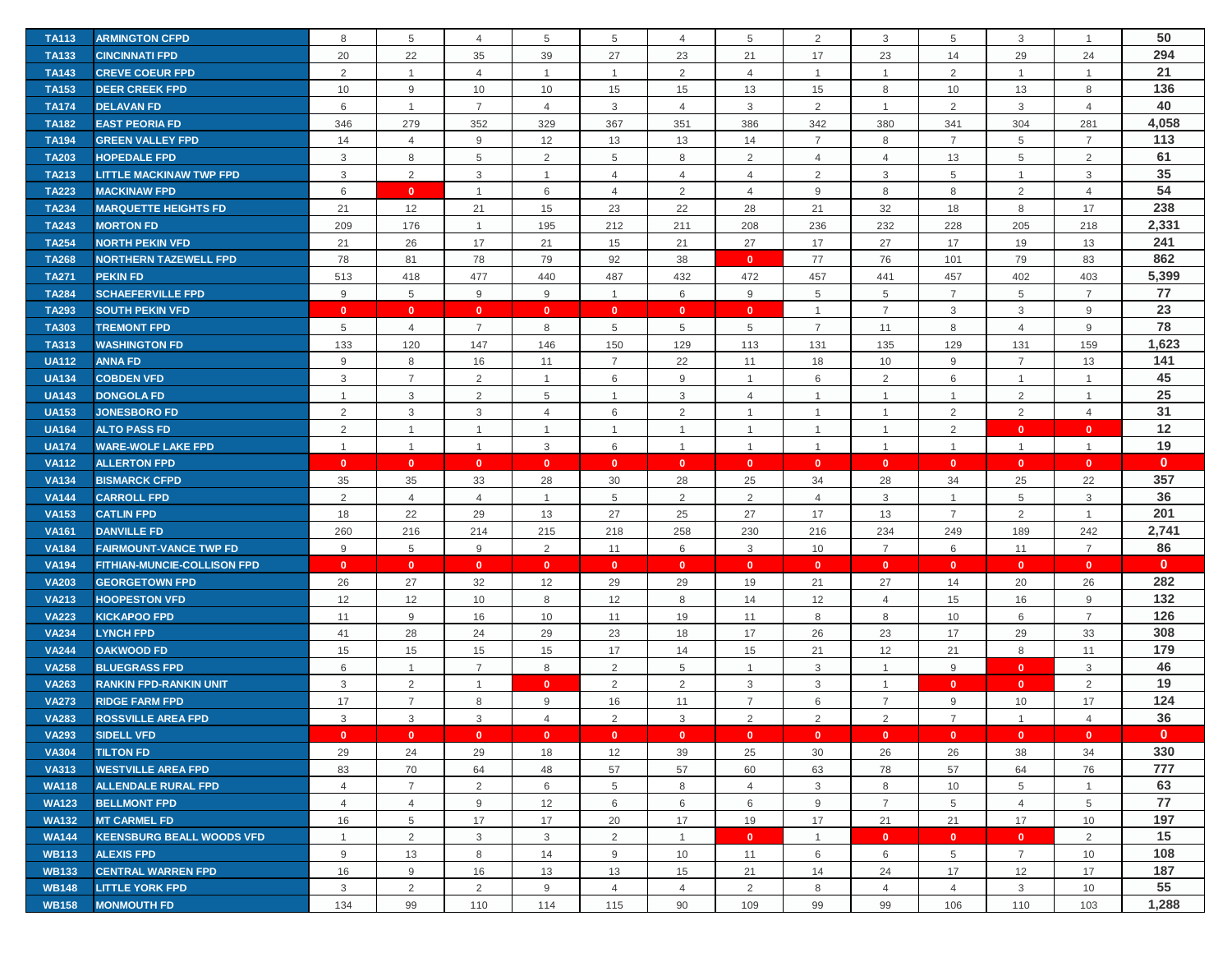| <b>TA113</b> | <b>ARMINGTON CFPD</b>              | 8              | 5              | 4              | 5              | 5               | 4              | 5              | 2              | 3              | 5              | 3              | $\overline{1}$ | 50           |
|--------------|------------------------------------|----------------|----------------|----------------|----------------|-----------------|----------------|----------------|----------------|----------------|----------------|----------------|----------------|--------------|
| <b>TA133</b> | <b>CINCINNATI FPD</b>              | 20             | 22             | 35             | 39             | 27              | 23             | 21             | 17             | 23             | 14             | 29             | 24             | 294          |
| <b>TA143</b> | <b>CREVE COEUR FPD</b>             | 2              | $\overline{1}$ | $\overline{4}$ | $\mathbf 1$    | $\overline{1}$  | 2              | $\overline{4}$ | $\mathbf{1}$   | $\mathbf{1}$   | 2              | $\mathbf{1}$   | $\overline{1}$ | 21           |
| <b>TA153</b> | <b>DEER CREEK FPD</b>              | 10             | 9              | 10             | 10             | 15              | 15             | 13             | 15             | 8              | 10             | 13             | 8              | 136          |
| <b>TA174</b> | <b>DELAVAN FD</b>                  | 6              | $\overline{1}$ | $\overline{7}$ | $\overline{4}$ | 3               | $\overline{4}$ | 3              | $\overline{2}$ | $\mathbf{1}$   | 2              | 3              | $\overline{4}$ | 40           |
| <b>TA182</b> | <b>EAST PEORIA FD</b>              | 346            | 279            | 352            | 329            | 367             | 351            | 386            | 342            | 380            | 341            | 304            | 281            | 4,058        |
| <b>TA194</b> | <b>GREEN VALLEY FPD</b>            | 14             | $\overline{4}$ | 9              | 12             | 13              | 13             | 14             | $\overline{7}$ | 8              | $\overline{7}$ | 5              | $\overline{7}$ | 113          |
| <b>TA203</b> | <b>HOPEDALE FPD</b>                | 3              | 8              | 5              | 2              | 5               | 8              | 2              | 4              | 4              | 13             | 5              | $\overline{2}$ | 61           |
| <b>TA213</b> | <b>LITTLE MACKINAW TWP FPD</b>     | 3              | 2              | 3              | $\overline{1}$ | $\overline{4}$  | $\overline{4}$ | $\overline{4}$ | 2              | 3              | 5              | $\mathbf{1}$   | 3              | 35           |
| <b>TA223</b> | <b>MACKINAW FPD</b>                | 6              | $\mathbf{0}$   | $\overline{1}$ | 6              | $\overline{4}$  | 2              | $\overline{4}$ | 9              | 8              | 8              | 2              | $\overline{4}$ | 54           |
| <b>TA234</b> | <b>MARQUETTE HEIGHTS FD</b>        | 21             | 12             | 21             | 15             | 23              | 22             | 28             | 21             | 32             | 18             | 8              | 17             | 238          |
| <b>TA243</b> | <b>MORTON FD</b>                   | 209            | 176            | $\mathbf{1}$   | 195            | 212             | 211            | 208            | 236            | 232            | 228            | 205            | 218            | 2,331        |
| <b>TA254</b> | <b>NORTH PEKIN VFD</b>             | 21             | 26             | 17             | 21             | 15              | 21             | 27             | 17             | 27             | 17             | 19             | 13             | 241          |
| <b>TA268</b> | <b>NORTHERN TAZEWELL FPD</b>       | 78             | 81             | 78             | 79             | 92              | 38             | $\mathbf{0}$   | 77             | 76             | 101            | 79             | 83             | 862          |
| <b>TA271</b> | <b>PEKIN FD</b>                    | 513            | 418            | 477            | 440            | 487             | 432            | 472            | 457            | 441            | 457            | 402            | 403            | 5,399        |
| <b>TA284</b> | <b>SCHAEFERVILLE FPD</b>           | 9              | 5              | 9              | 9              | $\mathbf{1}$    | 6              | 9              | 5              | 5              | $\overline{7}$ | 5              | $\overline{7}$ | 77           |
| <b>TA293</b> | <b>SOUTH PEKIN VFD</b>             | $\mathbf{0}$   | $\mathbf{0}$   | $\mathbf{0}$   | $\mathbf{0}$   | $\mathbf{0}$    | $\mathbf{0}$   | $\mathbf{0}$   | $\mathbf{1}$   | $\overline{7}$ | 3              | 3              | 9              | 23           |
| <b>TA303</b> | <b>TREMONT FPD</b>                 | 5              | $\overline{4}$ | $\overline{7}$ | 8              | $5\phantom{.0}$ | 5              | 5              | $\overline{7}$ | 11             | 8              | $\overline{4}$ | $\mathsf g$    | 78           |
| <b>TA313</b> | <b>WASHINGTON FD</b>               | 133            | 120            | 147            | 146            | 150             | 129            | 113            | 131            | 135            | 129            | 131            | 159            | 1,623        |
| <b>UA112</b> | <b>ANNA FD</b>                     | 9              | 8              | 16             | 11             | $\overline{7}$  | 22             | 11             | 18             | 10             | 9              | $\overline{7}$ | 13             | 141          |
| <b>UA134</b> | <b>COBDEN VFD</b>                  | $\mathbf{3}$   | $\overline{7}$ | $\overline{2}$ | $\overline{1}$ | 6               | 9              | $\overline{1}$ | 6              | 2              | 6              | $\mathbf{1}$   | $\overline{1}$ | 45           |
| <b>UA143</b> | <b>DONGOLA FD</b>                  | $\overline{1}$ | 3              | $\overline{2}$ | 5              | $\overline{1}$  | 3              | 4              | $\mathbf{1}$   | $\mathbf{1}$   | $\overline{1}$ | 2              | $\mathbf{1}$   | 25           |
| <b>UA153</b> | <b>JONESBORO FD</b>                | $\overline{2}$ | $\mathbf{3}$   | 3              | $\overline{4}$ | 6               | 2              | $\overline{1}$ | $\mathbf{1}$   | $\mathbf{1}$   | 2              | 2              | $\overline{4}$ | 31           |
| <b>UA164</b> | <b>ALTO PASS FD</b>                | $\overline{2}$ | $\mathbf{1}$   | $\mathbf{1}$   |                | $\overline{1}$  | 1              | $\overline{1}$ | $\mathbf{1}$   | $\mathbf{1}$   | 2              | $\mathbf{0}$   | $\mathbf{0}$   | 12           |
| <b>UA174</b> | <b>WARE-WOLF LAKE FPD</b>          | $\mathbf{1}$   | $\overline{1}$ | $\overline{1}$ | 3              | 6               | $\overline{1}$ | $\overline{1}$ | $\mathbf{1}$   | $\mathbf{1}$   | $\overline{1}$ | $\mathbf{1}$   | $\overline{1}$ | 19           |
| <b>VA112</b> | <b>ALLERTON FPD</b>                | $\mathbf{0}$   | $\mathbf{0}$   | $\mathbf{0}$   | $\mathbf{0}$   | $\mathbf{0}$    | $\mathbf{0}$   | $\mathbf{0}$   | $\mathbf{0}$   | $\mathbf{0}$   | $\overline{0}$ | $\mathbf{0}$   | $\mathbf{0}$   | $\mathbf{0}$ |
| <b>VA134</b> | <b>BISMARCK CFPD</b>               | 35             | 35             | 33             | 28             | 30              | 28             | 25             | 34             | 28             | 34             | 25             | 22             | 357          |
| <b>VA144</b> | <b>CARROLL FPD</b>                 | $\overline{2}$ | $\overline{4}$ | $\overline{4}$ | $\overline{1}$ | 5               | $\overline{2}$ | $\overline{2}$ | $\overline{4}$ | $\mathbf{3}$   | $\overline{1}$ | 5              | 3              | 36           |
| <b>VA153</b> | <b>CATLIN FPD</b>                  | 18             | 22             | 29             | 13             | 27              | 25             | 27             | 17             | 13             | $\overline{7}$ | 2              | $\overline{1}$ | 201          |
| <b>VA161</b> | <b>DANVILLE FD</b>                 | 260            | 216            | 214            | 215            | 218             | 258            | 230            | 216            | 234            | 249            | 189            | 242            | 2,741        |
| <b>VA184</b> | <b>FAIRMOUNT-VANCE TWP FD</b>      | 9              | 5              | 9              | 2              | 11              | 6              | 3              | 10             | $\overline{7}$ | 6              | 11             | $\overline{7}$ | 86           |
| <b>VA194</b> | <b>FITHIAN-MUNCIE-COLLISON FPD</b> | $\mathbf{0}$   | $\mathbf{0}$   | $\mathbf{0}$   | $\mathbf{0}$   | $\mathbf{0}$    | $\mathbf{0}$   | $\mathbf{0}$   | $\mathbf{0}$   | $\mathbf{0}$   | $\mathbf{0}$   | $\mathbf{0}$   | $\mathbf{0}$   | $\mathbf{0}$ |
| <b>VA203</b> | <b>GEORGETOWN FPD</b>              | 26             | 27             | 32             | 12             | 29              | 29             | 19             | 21             | 27             | 14             | 20             | 26             | 282          |
| <b>VA213</b> | <b>HOOPESTON VFD</b>               | 12             | 12             | 10             | 8              | 12              | 8              | 14             | 12             | $\overline{4}$ | 15             | 16             | 9              | 132          |
| <b>VA223</b> | <b>KICKAPOO FPD</b>                | 11             | 9              | 16             | 10             | 11              | 19             | 11             | 8              | 8              | 10             | 6              | $\overline{7}$ | 126          |
| <b>VA234</b> | <b>LYNCH FPD</b>                   | 41             | 28             | 24             | 29             | 23              | 18             | 17             | 26             | 23             | 17             | 29             | 33             | 308          |
| <b>VA244</b> | <b>OAKWOOD FD</b>                  | 15             | 15             | 15             | 15             | 17              | 14             | 15             | 21             | 12             | 21             | 8              | 11             | 179          |
| <b>VA258</b> | <b>BLUEGRASS FPD</b>               | 6              | $\mathbf{1}$   | $\overline{7}$ | 8              | 2               | 5              | $\overline{1}$ | 3              | $\mathbf{1}$   | 9              | $\mathbf{0}$   | 3              | 46           |
| <b>VA263</b> | <b>RANKIN FPD-RANKIN UNIT</b>      | 3              | $\overline{2}$ | $\overline{1}$ | $\mathbf{0}$   | 2               | $\overline{2}$ | 3              | 3              | $\mathbf{1}$   | $\mathbf{0}$   | $\mathbf{0}$   | $\overline{2}$ | 19           |
| <b>VA273</b> | <b>RIDGE FARM FPD</b>              | 17             | $\overline{7}$ | 8              | 9              | 16              | 11             | $\overline{7}$ | 6              | $\overline{7}$ | 9              | 10             | 17             | 124          |
| <b>VA283</b> | <b>ROSSVILLE AREA FPD</b>          | 3              | 3              | 3              | $\overline{4}$ | 2               | 3              | $\overline{2}$ | 2              | $\overline{2}$ | $\overline{7}$ | $\mathbf{1}$   | $\overline{4}$ | 36           |
| <b>VA293</b> | <b>SIDELL VFD</b>                  | $\mathbf{0}$   | $\mathbf{0}$   | $\overline{0}$ | $\mathbf{0}$   | $\mathbf{0}$    | $\mathbf{0}$   | $\mathbf{0}$   | $\mathbf{0}$   | $\mathbf{0}$   | $\mathbf{0}$   | $\mathbf{0}$   | $\mathbf{0}$   | $\mathbf{0}$ |
| <b>VA304</b> | <b>TILTON FD</b>                   | 29             | 24             | 29             | 18             | 12              | 39             | 25             | 30             | 26             | 26             | 38             | 34             | 330          |
| <b>VA313</b> | <b>WESTVILLE AREA FPD</b>          | 83             | 70             | 64             | 48             | 57              | 57             | 60             | 63             | 78             | 57             | 64             | 76             | 777          |
| <b>WA118</b> | <b>ALLENDALE RURAL FPD</b>         | $\overline{4}$ | $\overline{7}$ | $\overline{2}$ | 6              | $5\phantom{.0}$ | 8              | $\overline{4}$ | 3              | 8              | 10             | 5              | $\overline{1}$ | 63           |
| <b>WA123</b> | <b>BELLMONT FPD</b>                | 4              | $\overline{4}$ | 9              | 12             | 6               | 6              | 6              | 9              | $\overline{7}$ | 5              | 4              | 5              | 77           |
| <b>WA132</b> | <b>MT CARMEL FD</b>                | 16             | 5              | 17             | 17             | 20              | 17             | 19             | 17             | 21             | 21             | 17             | 10             | 197          |
| <b>WA144</b> | <b>KEENSBURG BEALL WOODS VFD</b>   | $\mathbf{1}$   | 2              | 3              | $\mathbf{3}$   | 2               | $\overline{1}$ | $\mathbf{0}$   | $\mathbf{1}$   | $\mathbf{0}$   | $\mathbf{0}$   | $\mathbf{0}$   | 2              | 15           |
| <b>WB113</b> | <b>ALEXIS FPD</b>                  | 9              | 13             | 8              | 14             | 9               | 10             | 11             | 6              | 6              | 5              | $\overline{7}$ | 10             | 108          |
| <b>WB133</b> | <b>CENTRAL WARREN FPD</b>          | 16             | 9              | 16             | 13             | 13              | 15             | 21             | 14             | 24             | 17             | 12             | 17             | 187          |
| <b>WB148</b> | <b>LITTLE YORK FPD</b>             | 3              | 2              | 2              | 9              | $\overline{4}$  | $\overline{4}$ | 2              | 8              | $\overline{4}$ | $\overline{4}$ | 3              | 10             | 55           |
| <b>WB158</b> | <b>MONMOUTH FD</b>                 | 134            | 99             | 110            | 114            | 115             | 90             | 109            | 99             | 99             | 106            | 110            | 103            | 1,288        |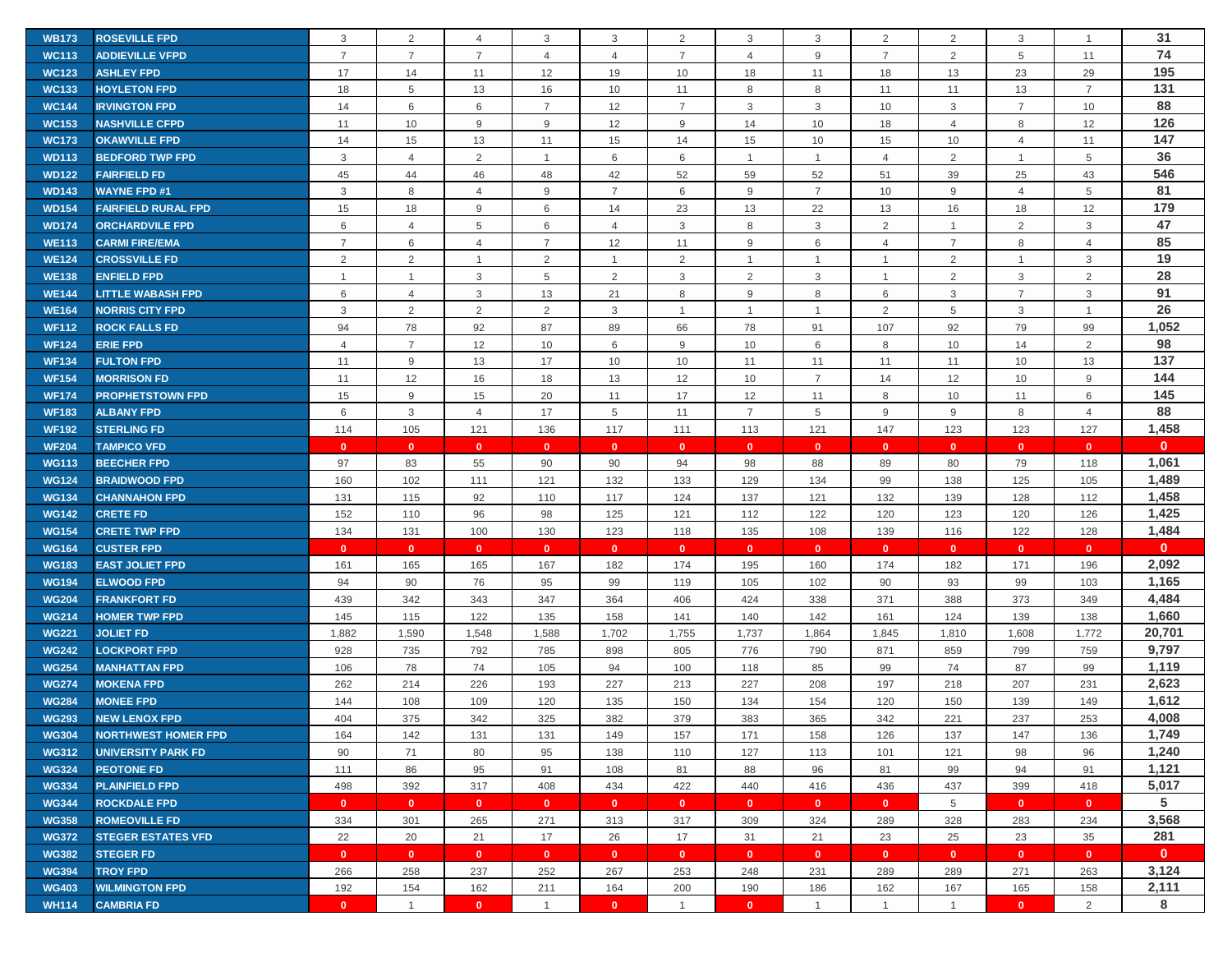| <b>WB173</b> | <b>ROSEVILLE FPD</b>       | 3              | $\overline{2}$ | $\overline{4}$          | 3              | 3              | $\overline{2}$ | 3              | 3              | $\overline{2}$ | 2              | 3              |                | 31           |
|--------------|----------------------------|----------------|----------------|-------------------------|----------------|----------------|----------------|----------------|----------------|----------------|----------------|----------------|----------------|--------------|
| <b>WC113</b> | <b>ADDIEVILLE VFPD</b>     | $\overline{7}$ | $\overline{7}$ | $\overline{7}$          | $\overline{4}$ | $\overline{4}$ | $\overline{7}$ | 4              | 9              | $\overline{7}$ | 2              | 5              | 11             | 74           |
| <b>WC123</b> | <b>ASHLEY FPD</b>          | 17             | 14             | 11                      | 12             | 19             | 10             | 18             | 11             | 18             | 13             | 23             | 29             | 195          |
| <b>WC133</b> | <b>HOYLETON FPD</b>        | 18             | 5              | 13                      | 16             | 10             | 11             | 8              | 8              | 11             | 11             | 13             | $\overline{7}$ | 131          |
| <b>WC144</b> | <b>IRVINGTON FPD</b>       | 14             | 6              | 6                       | $\overline{7}$ | 12             | $\overline{7}$ | 3              | 3              | 10             | 3              | $\overline{7}$ | 10             | 88           |
| <b>WC153</b> | <b>NASHVILLE CFPD</b>      | 11             | 10             | 9                       | 9              | 12             | 9              | 14             | 10             | 18             | $\overline{4}$ | 8              | 12             | 126          |
| <b>WC173</b> | <b>OKAWVILLE FPD</b>       | 14             | 15             | 13                      | 11             | 15             | 14             | 15             | 10             | 15             | 10             | $\overline{4}$ | 11             | 147          |
| <b>WD113</b> | <b>BEDFORD TWP FPD</b>     | 3              | $\overline{4}$ | 2                       | $\mathbf{1}$   | 6              | 6              | $\overline{1}$ | $\mathbf{1}$   | $\overline{4}$ | 2              | $\mathbf{1}$   | 5              | 36           |
| <b>WD122</b> | <b>FAIRFIELD FD</b>        | 45             | 44             | 46                      | 48             | 42             | 52             | 59             | 52             | 51             | 39             | 25             | 43             | 546          |
| <b>WD143</b> | <b>WAYNE FPD #1</b>        | 3              | 8              | $\overline{4}$          | 9              | $\overline{7}$ | 6              | 9              | $\overline{7}$ | 10             | 9              | $\overline{4}$ | 5              | 81           |
| <b>WD154</b> | <b>FAIRFIELD RURAL FPD</b> | 15             | 18             | 9                       | 6              | 14             | 23             | 13             | 22             | 13             | 16             | 18             | 12             | 179          |
| <b>WD174</b> | <b>ORCHARDVILE FPD</b>     | 6              | $\overline{4}$ | 5                       | 6              | $\overline{4}$ | 3              | 8              | 3              | $\overline{2}$ | $\mathbf 1$    | 2              | 3              | 47           |
| <b>WE113</b> | <b>CARMI FIRE/EMA</b>      | $\overline{7}$ | 6              | $\overline{4}$          | $\overline{7}$ | 12             | 11             | 9              | 6              | $\overline{4}$ | $\overline{7}$ | 8              | $\overline{4}$ | 85           |
| <b>WE124</b> | <b>CROSSVILLE FD</b>       | 2              | 2              | $\mathbf{1}$            | 2              | $\overline{1}$ | 2              | $\overline{1}$ | $\mathbf{1}$   | $\overline{1}$ | $\overline{2}$ | $\mathbf{1}$   | 3              | 19           |
| <b>WE138</b> | <b>ENFIELD FPD</b>         |                | $\mathbf{1}$   | 3                       | 5              | 2              | 3              | 2              | 3              | $\overline{1}$ | 2              | 3              | $\overline{2}$ | 28           |
| <b>WE144</b> | <b>LITTLE WABASH FPD</b>   | 6              | $\overline{4}$ | 3                       | 13             | 21             | 8              | 9              | 8              | 6              | 3              | $\overline{7}$ | 3              | 91           |
| <b>WE164</b> | <b>NORRIS CITY FPD</b>     | 3              | 2              | 2                       | 2              | 3              | $\overline{1}$ | $\overline{1}$ | $\mathbf{1}$   | 2              | 5              | 3              | $\overline{1}$ | 26           |
| <b>WF112</b> | <b>ROCK FALLS FD</b>       | 94             | 78             | 92                      | 87             | 89             | 66             | 78             | 91             | 107            | 92             | 79             | 99             | 1,052        |
| <b>WF124</b> | <b>ERIE FPD</b>            | $\overline{4}$ | $\overline{7}$ | 12                      | 10             | 6              | 9              | 10             | 6              | 8              | 10             | 14             | 2              | 98           |
| <b>WF134</b> | <b>FULTON FPD</b>          | 11             | 9              | 13                      | 17             | 10             | 10             | 11             | 11             | 11             | 11             | 10             | 13             | 137          |
| <b>WF154</b> | <b>MORRISON FD</b>         | 11             | 12             | 16                      | 18             | 13             | 12             | 10             | $\overline{7}$ | 14             | 12             | 10             | $9\,$          | 144          |
| <b>WF174</b> | <b>PROPHETSTOWN FPD</b>    | 15             | 9              | 15                      | 20             | 11             | 17             | 12             | 11             | 8              | 10             | 11             | 6              | 145          |
| <b>WF183</b> | <b>ALBANY FPD</b>          | 6              | $\mathbf{3}$   | $\overline{4}$          | 17             | 5              | 11             | $\overline{7}$ | 5              | 9              | 9              | 8              | $\overline{4}$ | 88           |
| <b>WF192</b> | <b>STERLING FD</b>         | 114            | 105            | 121                     | 136            | 117            | 111            | 113            | 121            | 147            | 123            | 123            | 127            | 1,458        |
| <b>WF204</b> | <b>TAMPICO VFD</b>         | $\mathbf{0}$   | $\mathbf{0}$   | $\mathbf{0}$            | $\mathbf{0}$   | $\mathbf{0}$   | $\mathbf{0}$   | $\mathbf{0}$   | $\mathbf{0}$   | $\mathbf{0}$   | $\mathbf{0}$   | $\mathbf{0}$   | $\mathbf{0}$   | $\mathbf{0}$ |
| <b>WG113</b> | <b>BEECHER FPD</b>         | 97             | 83             | 55                      | 90             | 90             | 94             | 98             | 88             | 89             | 80             | 79             | 118            | 1,061        |
|              |                            |                |                |                         |                |                |                |                |                |                |                |                |                |              |
| <b>WG124</b> | <b>BRAIDWOOD FPD</b>       | 160            | 102            | 111                     | 121            | 132            | 133            | 129            | 134            | 99             | 138            | 125            | 105            | 1,489        |
| <b>WG134</b> | <b>CHANNAHON FPD</b>       | 131            | 115            | 92                      | 110            | 117            | 124            | 137            | 121            | 132            | 139            | 128            | 112            | 1,458        |
| <b>WG142</b> | <b>CRETE FD</b>            | 152            | 110            | 96                      | 98             | 125            | 121            | 112            | 122            | 120            | 123            | 120            | 126            | 1,425        |
| <b>WG154</b> | <b>CRETE TWP FPD</b>       | 134            | 131            | 100                     | 130            | 123            | 118            | 135            | 108            | 139            | 116            | 122            | 128            | 1,484        |
| <b>WG164</b> | <b>CUSTER FPD</b>          | $\mathbf{0}$   | $\mathbf{0}$   | $\mathbf{0}$            | $\mathbf{0}$   | $\mathbf{0}$   | $\mathbf{0}$   | $\mathbf{0}$   | $\mathbf{0}$   | $\mathbf{0}$   | $\mathbf{0}$   | $\mathbf{0}$   | $\mathbf{0}$   | $\mathbf{0}$ |
| <b>WG183</b> | <b>EAST JOLIET FPD</b>     | 161            | 165            | 165                     | 167            | 182            | 174            | 195            | 160            | 174            | 182            | 171            | 196            | 2,092        |
| <b>WG194</b> | <b>ELWOOD FPD</b>          | 94             | 90             | 76                      | 95             | 99             | 119            | 105            | 102            | 90             | 93             | 99             | 103            | 1,165        |
| <b>WG204</b> | <b>FRANKFORT FD</b>        | 439            | 342            | 343                     | 347            | 364            | 406            | 424            | 338            | 371            | 388            | 373            | 349            | 4,484        |
| <b>WG214</b> | <b>HOMER TWP FPD</b>       | 145            | 115            | 122                     | 135            | 158            | 141            | 140            | 142            | 161            | 124            | 139            | 138            | 1,660        |
| <b>WG221</b> | <b>JOLIET FD</b>           | 1,882          | 1,590          | 1,548                   | 1,588          | 1,702          | 1,755          | 1,737          | 1,864          | 1,845          | 1,810          | 1,608          | 1,772          | 20,701       |
| <b>WG242</b> | <b>LOCKPORT FPD</b>        | 928            | 735            | 792                     | 785            | 898            | 805            | 776            | 790            | 871            | 859            | 799            | 759            | 9,797        |
| <b>WG254</b> | <b>MANHATTAN FPD</b>       | 106            | 78             | 74                      | 105            | 94             | 100            | 118            | 85             | 99             | 74             | 87             | 99             | 1,119        |
| <b>WG274</b> | <b>MOKENA FPD</b>          | 262            | 214            | 226                     | 193            | 227            | 213            | 227            | 208            | 197            | 218            | 207            | 231            | 2,623        |
| <b>WG284</b> | <b>MONEE FPD</b>           | 144            | 108            | 109                     | 120            | 135            | 150            | 134            | 154            | 120            | 150            | 139            | 149            | 1,612        |
| <b>WG293</b> | <b>NEW LENOX FPD</b>       | 404            | 375            | 342                     | 325            | 382            | 379            | 383            | 365            | 342            | 221            | 237            | 253            | 4,008        |
| <b>WG304</b> | <b>NORTHWEST HOMER FPD</b> | 164            | 142            | 131                     | 131            | 149            | 157            | 171            | 158            | 126            | 137            | 147            | 136            | 1,749        |
| <b>WG312</b> | <b>UNIVERSITY PARK FD</b>  | 90             | 71             | 80                      | 95             | 138            | 110            | 127            | 113            | 101            | 121            | 98             | 96             | 1,240        |
| <b>WG324</b> | <b>PEOTONE FD</b>          | 111            | 86             | 95                      | 91             | 108            | 81             | 88             | 96             | 81             | 99             | 94             | 91             | 1,121        |
| <b>WG334</b> | <b>PLAINFIELD FPD</b>      | 498            | 392            | 317                     | 408            | 434            | 422            | 440            | 416            | 436            | 437            | 399            | 418            | 5,017        |
| <b>WG344</b> | <b>ROCKDALE FPD</b>        | $\mathbf{0}$   | $\mathbf{0}$   | $\overline{\mathbf{0}}$ | $\mathbf{0}$   | $\mathbf{0}$   | $\mathbf{0}$   | $\mathbf{0}$   | $\mathbf{0}$   | $\mathbf{0}$   | 5              | $\mathbf{0}$   | $\mathbf{0}$   | 5            |
| <b>WG358</b> | <b>ROMEOVILLE FD</b>       | 334            | 301            | 265                     | 271            | 313            | 317            | 309            | 324            | 289            | 328            | 283            | 234            | 3,568        |
| <b>WG372</b> | <b>STEGER ESTATES VFD</b>  | 22             | 20             | 21                      | 17             | 26             | 17             | 31             | 21             | 23             | 25             | 23             | 35             | 281          |
| <b>WG382</b> | <b>STEGER FD</b>           | $\mathbf{0}$   | $\mathbf{0}$   | $\mathbf{0}$            | $\mathbf{0}$   | $\mathbf{0}$   | $\mathbf{0}$   | $\mathbf{0}$   | $\mathbf{0}$   | $\mathbf{0}$   | $\bullet$      | $\mathbf{0}$   | $\mathbf{0}$   | $\mathbf{0}$ |
| <b>WG394</b> | <b>TROY FPD</b>            | 266            | 258            | 237                     | 252            | 267            | 253            | 248            | 231            | 289            | 289            | 271            | 263            | 3,124        |
| <b>WG403</b> | <b>WILMINGTON FPD</b>      | 192            | 154            | 162                     | 211            | 164            | 200            | 190            | 186            | 162            | 167            | 165            | 158            | 2,111        |